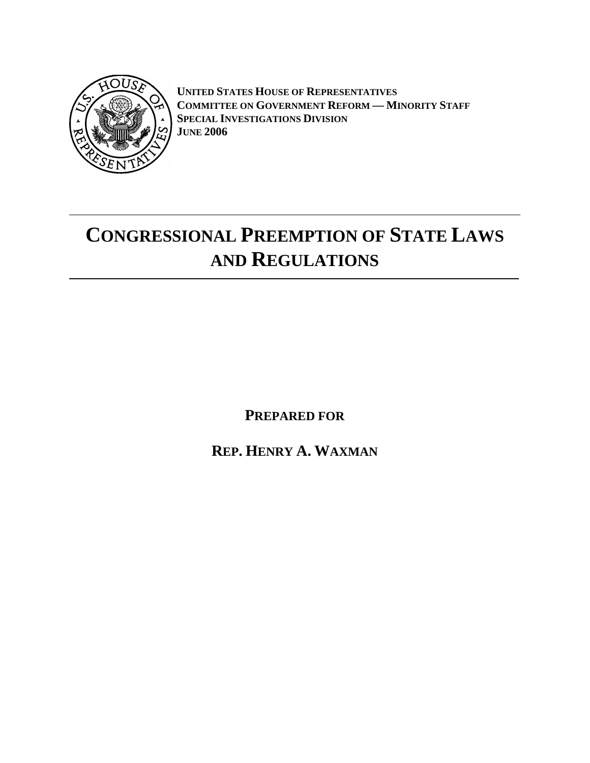

**UNITED STATES HOUSE OF REPRESENTATIVES COMMITTEE ON GOVERNMENT REFORM — MINORITY STAFF SPECIAL INVESTIGATIONS DIVISION JUNE 2006**

# **CONGRESSIONAL PREEMPTION OF STATE LAWS AND REGULATIONS**

**PREPARED FOR** 

**REP. HENRY A. WAXMAN**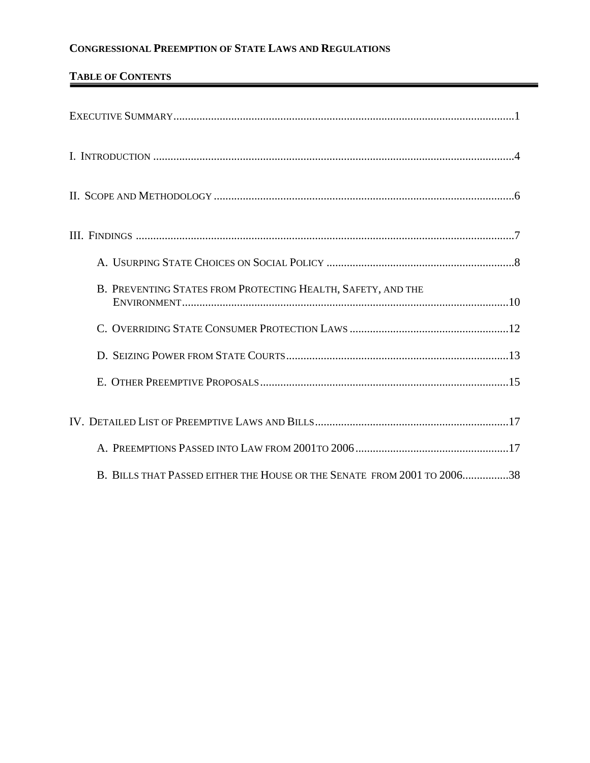## **TABLE OF CONTENTS**

| B. PREVENTING STATES FROM PROTECTING HEALTH, SAFETY, AND THE            |
|-------------------------------------------------------------------------|
|                                                                         |
|                                                                         |
|                                                                         |
|                                                                         |
|                                                                         |
| B. BILLS THAT PASSED EITHER THE HOUSE OR THE SENATE FROM 2001 TO 200638 |

<u> 1989 - Johann Harry Harry Harry Harry Harry Harry Harry Harry Harry Harry Harry Harry Harry Harry Harry Harry</u>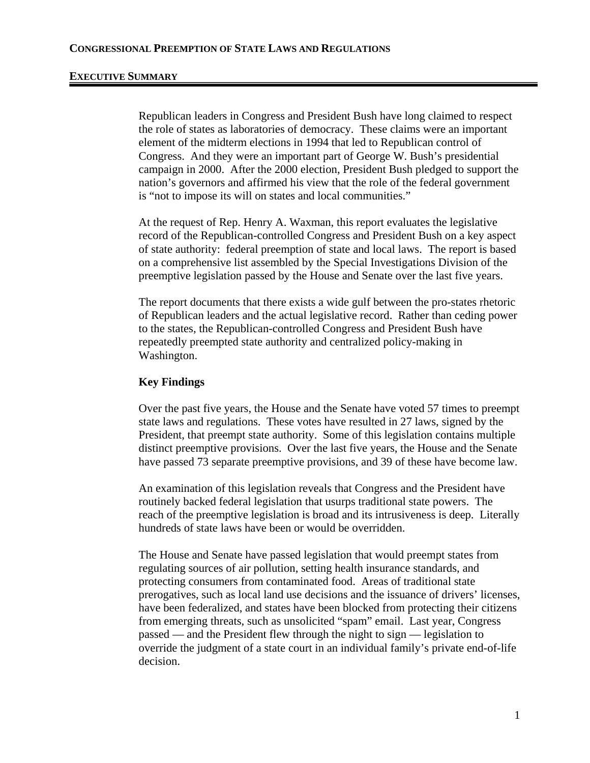#### **EXECUTIVE SUMMARY**

Republican leaders in Congress and President Bush have long claimed to respect the role of states as laboratories of democracy. These claims were an important element of the midterm elections in 1994 that led to Republican control of Congress. And they were an important part of George W. Bush's presidential campaign in 2000. After the 2000 election, President Bush pledged to support the nation's governors and affirmed his view that the role of the federal government is "not to impose its will on states and local communities."

At the request of Rep. Henry A. Waxman, this report evaluates the legislative record of the Republican-controlled Congress and President Bush on a key aspect of state authority: federal preemption of state and local laws. The report is based on a comprehensive list assembled by the Special Investigations Division of the preemptive legislation passed by the House and Senate over the last five years.

The report documents that there exists a wide gulf between the pro-states rhetoric of Republican leaders and the actual legislative record. Rather than ceding power to the states, the Republican-controlled Congress and President Bush have repeatedly preempted state authority and centralized policy-making in Washington.

## **Key Findings**

Over the past five years, the House and the Senate have voted 57 times to preempt state laws and regulations. These votes have resulted in 27 laws, signed by the President, that preempt state authority. Some of this legislation contains multiple distinct preemptive provisions. Over the last five years, the House and the Senate have passed 73 separate preemptive provisions, and 39 of these have become law.

An examination of this legislation reveals that Congress and the President have routinely backed federal legislation that usurps traditional state powers. The reach of the preemptive legislation is broad and its intrusiveness is deep. Literally hundreds of state laws have been or would be overridden.

The House and Senate have passed legislation that would preempt states from regulating sources of air pollution, setting health insurance standards, and protecting consumers from contaminated food. Areas of traditional state prerogatives, such as local land use decisions and the issuance of drivers' licenses, have been federalized, and states have been blocked from protecting their citizens from emerging threats, such as unsolicited "spam" email. Last year, Congress passed — and the President flew through the night to sign — legislation to override the judgment of a state court in an individual family's private end-of-life decision.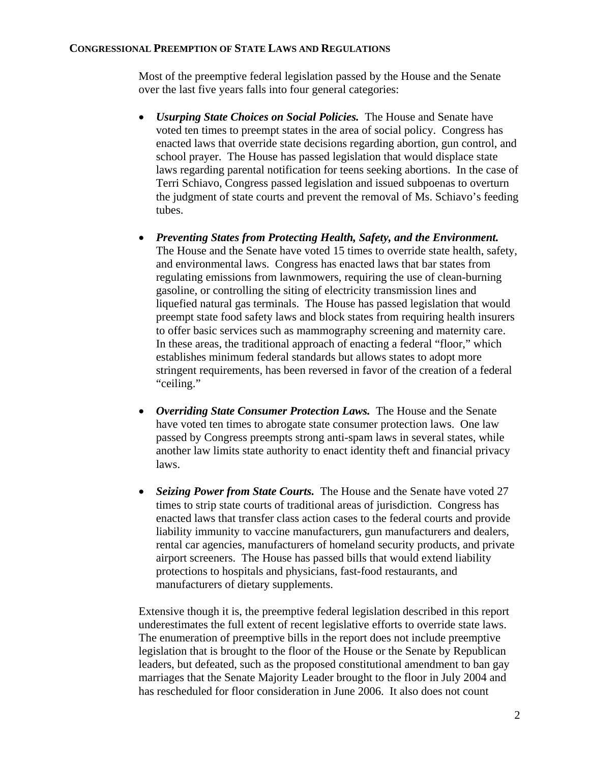Most of the preemptive federal legislation passed by the House and the Senate over the last five years falls into four general categories:

- *Usurping State Choices on Social Policies.*The House and Senate have voted ten times to preempt states in the area of social policy. Congress has enacted laws that override state decisions regarding abortion, gun control, and school prayer. The House has passed legislation that would displace state laws regarding parental notification for teens seeking abortions. In the case of Terri Schiavo, Congress passed legislation and issued subpoenas to overturn the judgment of state courts and prevent the removal of Ms. Schiavo's feeding tubes.
- *Preventing States from Protecting Health, Safety, and the Environment.* The House and the Senate have voted 15 times to override state health, safety, and environmental laws. Congress has enacted laws that bar states from regulating emissions from lawnmowers, requiring the use of clean-burning gasoline, or controlling the siting of electricity transmission lines and liquefied natural gas terminals. The House has passed legislation that would preempt state food safety laws and block states from requiring health insurers to offer basic services such as mammography screening and maternity care. In these areas, the traditional approach of enacting a federal "floor," which establishes minimum federal standards but allows states to adopt more stringent requirements, has been reversed in favor of the creation of a federal "ceiling."
- *Overriding State Consumer Protection Laws.* The House and the Senate have voted ten times to abrogate state consumer protection laws. One law passed by Congress preempts strong anti-spam laws in several states, while another law limits state authority to enact identity theft and financial privacy laws.
- *Seizing Power from State Courts.* The House and the Senate have voted 27 times to strip state courts of traditional areas of jurisdiction. Congress has enacted laws that transfer class action cases to the federal courts and provide liability immunity to vaccine manufacturers, gun manufacturers and dealers, rental car agencies, manufacturers of homeland security products, and private airport screeners. The House has passed bills that would extend liability protections to hospitals and physicians, fast-food restaurants, and manufacturers of dietary supplements.

Extensive though it is, the preemptive federal legislation described in this report underestimates the full extent of recent legislative efforts to override state laws. The enumeration of preemptive bills in the report does not include preemptive legislation that is brought to the floor of the House or the Senate by Republican leaders, but defeated, such as the proposed constitutional amendment to ban gay marriages that the Senate Majority Leader brought to the floor in July 2004 and has rescheduled for floor consideration in June 2006. It also does not count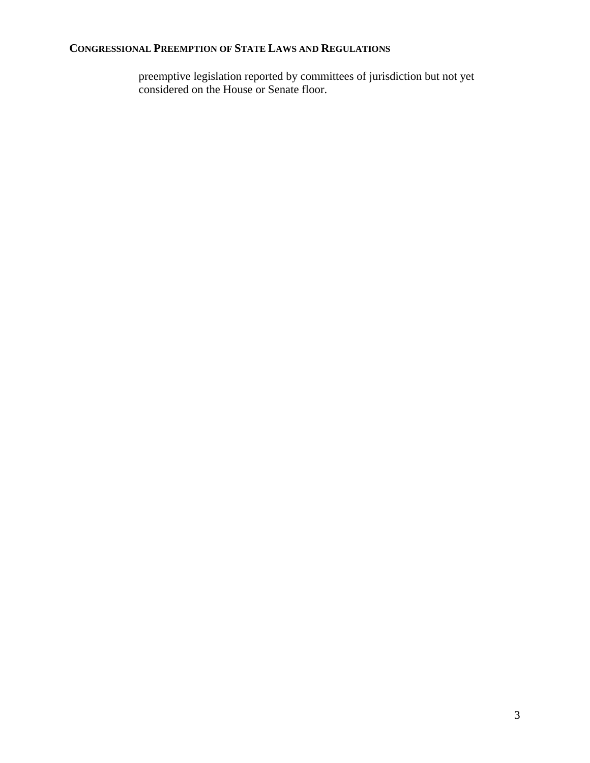preemptive legislation reported by committees of jurisdiction but not yet considered on the House or Senate floor.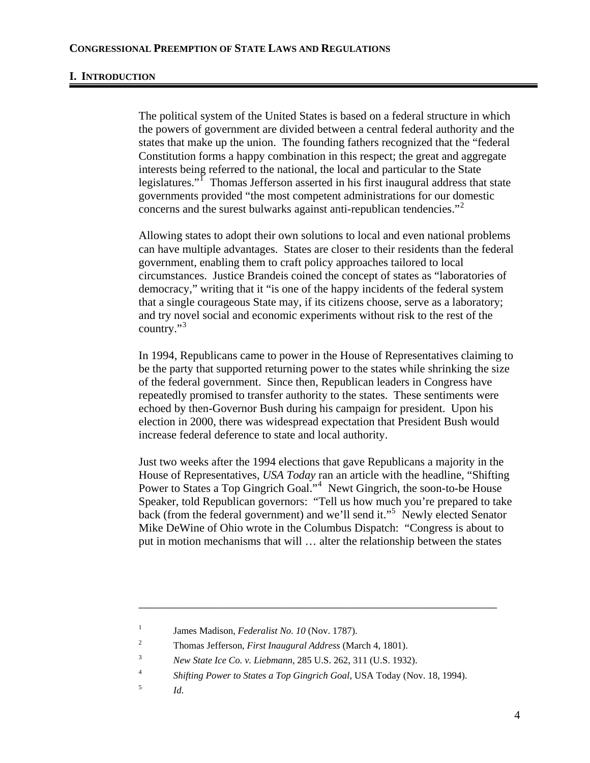### **I. INTRODUCTION**

The political system of the United States is based on a federal structure in which the powers of government are divided between a central federal authority and the states that make up the union. The founding fathers recognized that the "federal Constitution forms a happy combination in this respect; the great and aggregate interests being referred to the national, the local and particular to the State legislatures."<sup>I</sup> Thomas Jefferson asserted in his first inaugural address that state governments provided "the most competent administrations for our domestic concerns and the surest bulwarks against anti-republican tendencies."[2](#page-5-1)

Allowing states to adopt their own solutions to local and even national problems can have multiple advantages. States are closer to their residents than the federal government, enabling them to craft policy approaches tailored to local circumstances. Justice Brandeis coined the concept of states as "laboratories of democracy," writing that it "is one of the happy incidents of the federal system that a single courageous State may, if its citizens choose, serve as a laboratory; and try novel social and economic experiments without risk to the rest of the country." $3$ 

In 1994, Republicans came to power in the House of Representatives claiming to be the party that supported returning power to the states while shrinking the size of the federal government. Since then, Republican leaders in Congress have repeatedly promised to transfer authority to the states. These sentiments were echoed by then-Governor Bush during his campaign for president. Upon his election in 2000, there was widespread expectation that President Bush would increase federal deference to state and local authority.

Just two weeks after the 1994 elections that gave Republicans a majority in the House of Representatives, *USA Today* ran an article with the headline, "Shifting Power to States a Top Gingrich Goal."<sup>[4](#page-5-3)</sup> Newt Gingrich, the soon-to-be House Speaker, told Republican governors: "Tell us how much you're prepared to take back (from the federal government) and we'll send it."[5](#page-5-4) Newly elected Senator Mike DeWine of Ohio wrote in the Columbus Dispatch: "Congress is about to put in motion mechanisms that will … alter the relationship between the states

<span id="page-5-0"></span>\_\_\_\_\_\_\_\_\_\_\_\_\_\_\_\_\_\_\_\_\_\_\_\_\_\_\_\_\_\_\_\_\_\_\_\_\_\_\_\_\_\_\_\_\_\_\_\_\_\_\_\_\_\_\_\_\_\_\_\_\_\_

5

<span id="page-5-1"></span><sup>1</sup> James Madison, *Federalist No. 10* (Nov. 1787).

<span id="page-5-3"></span><span id="page-5-2"></span> $\overline{2}$ Thomas Jefferson, *First Inaugural Address* (March 4, 1801).

<span id="page-5-4"></span><sup>3</sup> *New State Ice Co. v. Liebmann*, 285 U.S. 262, 311 (U.S. 1932).

<span id="page-5-5"></span><sup>4</sup> *Shifting Power to States a Top Gingrich Goal*, USA Today (Nov. 18, 1994).

*Id*.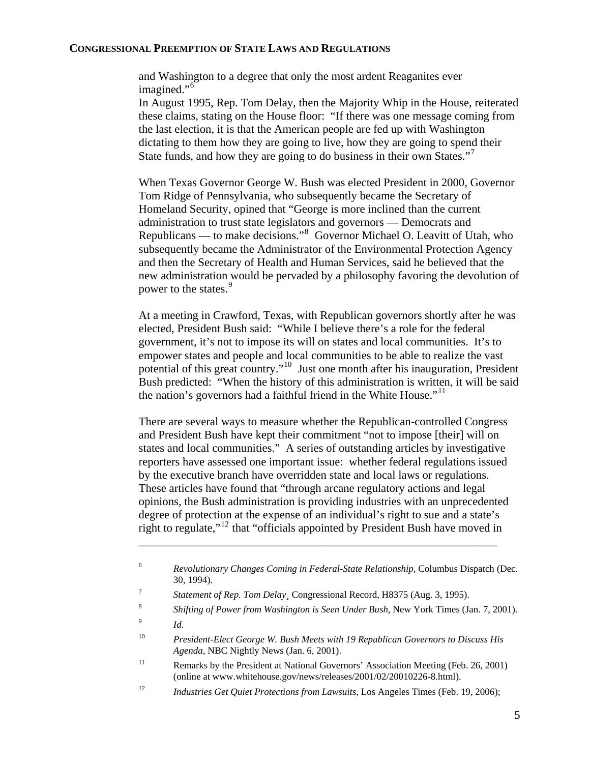and Washington to a degree that only the most ardent Reaganites ever imagined."<sup>[6](#page-5-5)</sup>

In August 1995, Rep. Tom Delay, then the Majority Whip in the House, reiterated these claims, stating on the House floor: "If there was one message coming from the last election, it is that the American people are fed up with Washington dictating to them how they are going to live, how they are going to spend their State funds, and how they are going to do business in their own States."<sup>[7](#page-6-0)</sup>

When Texas Governor George W. Bush was elected President in 2000, Governor Tom Ridge of Pennsylvania, who subsequently became the Secretary of Homeland Security, opined that "George is more inclined than the current administration to trust state legislators and governors — Democrats and Republicans — to make decisions."[8](#page-6-1) Governor Michael O. Leavitt of Utah, who subsequently became the Administrator of the Environmental Protection Agency and then the Secretary of Health and Human Services, said he believed that the new administration would be pervaded by a philosophy favoring the devolution of power to the states.<sup>[9](#page-6-2)</sup>

At a meeting in Crawford, Texas, with Republican governors shortly after he was elected, President Bush said: "While I believe there's a role for the federal government, it's not to impose its will on states and local communities. It's to empower states and people and local communities to be able to realize the vast potential of this great country."[10](#page-6-3) Just one month after his inauguration, President Bush predicted: "When the history of this administration is written, it will be said the nation's governors had a faithful friend in the White House."<sup>[11](#page-6-4)</sup>

There are several ways to measure whether the Republican-controlled Congress and President Bush have kept their commitment "not to impose [their] will on states and local communities." A series of outstanding articles by investigative reporters have assessed one important issue: whether federal regulations issued by the executive branch have overridden state and local laws or regulations. These articles have found that "through arcane regulatory actions and legal opinions, the Bush administration is providing industries with an unprecedented degree of protection at the expense of an individual's right to sue and a state's right to regulate,"[12](#page-6-5) that "officials appointed by President Bush have moved in

- 7 *Statement of Rep. Tom Delay*¸ Congressional Record, H8375 (Aug. 3, 1995).
- <span id="page-6-1"></span><span id="page-6-0"></span>8 *Shifting of Power from Washington is Seen Under Bush*, New York Times (Jan. 7, 2001).
- <span id="page-6-3"></span><span id="page-6-2"></span>9 *Id*.

<sup>6</sup> *Revolutionary Changes Coming in Federal-State Relationship*, Columbus Dispatch (Dec. 30, 1994).

<sup>10</sup> *President-Elect George W. Bush Meets with 19 Republican Governors to Discuss His Agenda,* NBC Nightly News (Jan. 6, 2001).

<span id="page-6-4"></span><sup>&</sup>lt;sup>11</sup> Remarks by the President at National Governors' Association Meeting (Feb. 26, 2001) (online at www.whitehouse.gov/news/releases/2001/02/20010226-8.html).

<span id="page-6-5"></span><sup>12</sup> *Industries Get Quiet Protections from Lawsuits*, Los Angeles Times (Feb. 19, 2006);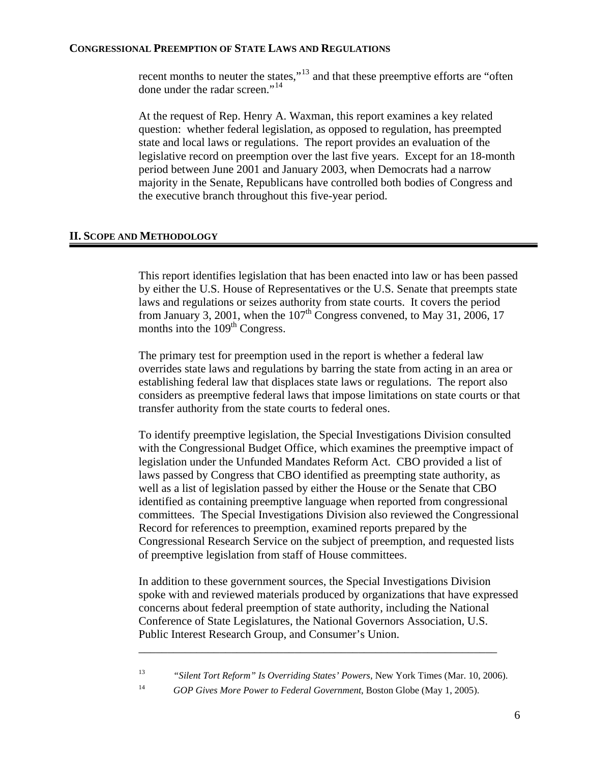recent months to neuter the states,"<sup>[13](#page-7-0)</sup> and that these preemptive efforts are "often done under the radar screen."[14](#page-7-1)

At the request of Rep. Henry A. Waxman, this report examines a key related question: whether federal legislation, as opposed to regulation, has preempted state and local laws or regulations. The report provides an evaluation of the legislative record on preemption over the last five years. Except for an 18-month period between June 2001 and January 2003, when Democrats had a narrow majority in the Senate, Republicans have controlled both bodies of Congress and the executive branch throughout this five-year period.

## **II. SCOPE AND METHODOLOGY**

This report identifies legislation that has been enacted into law or has been passed by either the U.S. House of Representatives or the U.S. Senate that preempts state laws and regulations or seizes authority from state courts. It covers the period from January 3, 2001, when the  $107<sup>th</sup>$  Congress convened, to May 31, 2006, 17 months into the  $109<sup>th</sup>$  Congress.

The primary test for preemption used in the report is whether a federal law overrides state laws and regulations by barring the state from acting in an area or establishing federal law that displaces state laws or regulations. The report also considers as preemptive federal laws that impose limitations on state courts or that transfer authority from the state courts to federal ones.

To identify preemptive legislation, the Special Investigations Division consulted with the Congressional Budget Office, which examines the preemptive impact of legislation under the Unfunded Mandates Reform Act. CBO provided a list of laws passed by Congress that CBO identified as preempting state authority, as well as a list of legislation passed by either the House or the Senate that CBO identified as containing preemptive language when reported from congressional committees. The Special Investigations Division also reviewed the Congressional Record for references to preemption, examined reports prepared by the Congressional Research Service on the subject of preemption, and requested lists of preemptive legislation from staff of House committees.

In addition to these government sources, the Special Investigations Division spoke with and reviewed materials produced by organizations that have expressed concerns about federal preemption of state authority, including the National Conference of State Legislatures, the National Governors Association, U.S. Public Interest Research Group, and Consumer's Union.

<span id="page-7-0"></span><sup>13</sup> *"Silent Tort Reform" Is Overriding States' Powers*, New York Times (Mar. 10, 2006).

<span id="page-7-1"></span><sup>&</sup>lt;sup>14</sup> *GOP Gives More Power to Federal Government*, Boston Globe (May 1, 2005).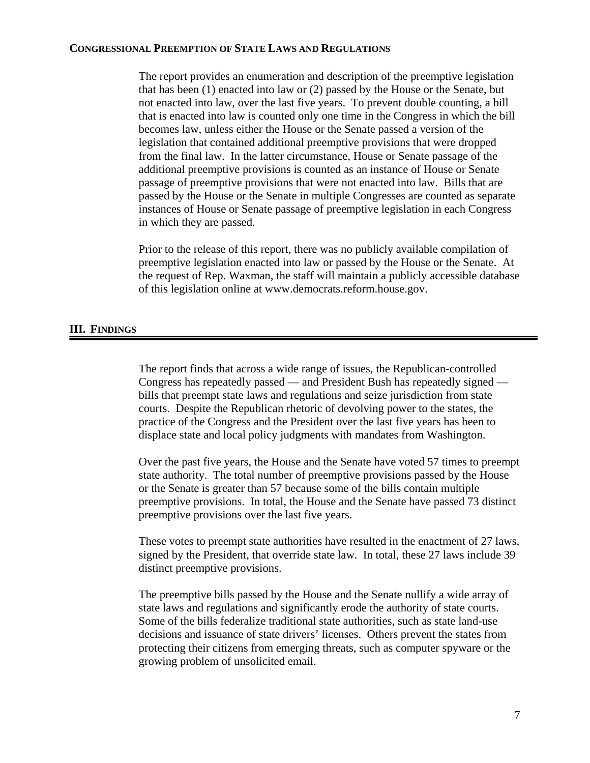The report provides an enumeration and description of the preemptive legislation that has been (1) enacted into law or (2) passed by the House or the Senate, but not enacted into law, over the last five years. To prevent double counting, a bill that is enacted into law is counted only one time in the Congress in which the bill becomes law, unless either the House or the Senate passed a version of the legislation that contained additional preemptive provisions that were dropped from the final law. In the latter circumstance, House or Senate passage of the additional preemptive provisions is counted as an instance of House or Senate passage of preemptive provisions that were not enacted into law. Bills that are passed by the House or the Senate in multiple Congresses are counted as separate instances of House or Senate passage of preemptive legislation in each Congress in which they are passed.

Prior to the release of this report, there was no publicly available compilation of preemptive legislation enacted into law or passed by the House or the Senate. At the request of Rep. Waxman, the staff will maintain a publicly accessible database of this legislation online at www.democrats.reform.house.gov.

#### **III. FINDINGS**

The report finds that across a wide range of issues, the Republican-controlled Congress has repeatedly passed — and President Bush has repeatedly signed bills that preempt state laws and regulations and seize jurisdiction from state courts. Despite the Republican rhetoric of devolving power to the states, the practice of the Congress and the President over the last five years has been to displace state and local policy judgments with mandates from Washington.

Over the past five years, the House and the Senate have voted 57 times to preempt state authority. The total number of preemptive provisions passed by the House or the Senate is greater than 57 because some of the bills contain multiple preemptive provisions. In total, the House and the Senate have passed 73 distinct preemptive provisions over the last five years.

These votes to preempt state authorities have resulted in the enactment of 27 laws, signed by the President, that override state law. In total, these 27 laws include 39 distinct preemptive provisions.

The preemptive bills passed by the House and the Senate nullify a wide array of state laws and regulations and significantly erode the authority of state courts. Some of the bills federalize traditional state authorities, such as state land-use decisions and issuance of state drivers' licenses. Others prevent the states from protecting their citizens from emerging threats, such as computer spyware or the growing problem of unsolicited email.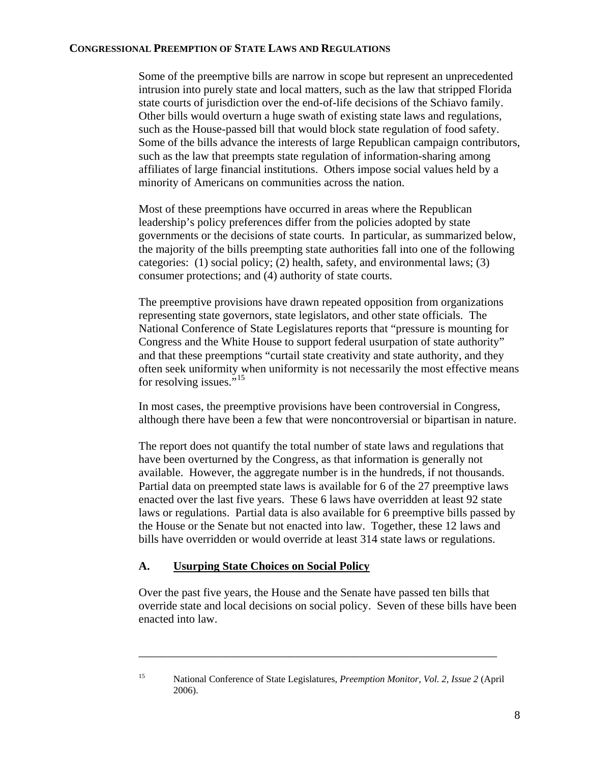Some of the preemptive bills are narrow in scope but represent an unprecedented intrusion into purely state and local matters, such as the law that stripped Florida state courts of jurisdiction over the end-of-life decisions of the Schiavo family. Other bills would overturn a huge swath of existing state laws and regulations, such as the House-passed bill that would block state regulation of food safety. Some of the bills advance the interests of large Republican campaign contributors, such as the law that preempts state regulation of information-sharing among affiliates of large financial institutions. Others impose social values held by a minority of Americans on communities across the nation.

Most of these preemptions have occurred in areas where the Republican leadership's policy preferences differ from the policies adopted by state governments or the decisions of state courts. In particular, as summarized below, the majority of the bills preempting state authorities fall into one of the following categories: (1) social policy; (2) health, safety, and environmental laws; (3) consumer protections; and (4) authority of state courts.

The preemptive provisions have drawn repeated opposition from organizations representing state governors, state legislators, and other state officials. The National Conference of State Legislatures reports that "pressure is mounting for Congress and the White House to support federal usurpation of state authority" and that these preemptions "curtail state creativity and state authority, and they often seek uniformity when uniformity is not necessarily the most effective means for resolving issues."<sup>[15](#page-9-0)</sup>

In most cases, the preemptive provisions have been controversial in Congress, although there have been a few that were noncontroversial or bipartisan in nature.

The report does not quantify the total number of state laws and regulations that have been overturned by the Congress, as that information is generally not available. However, the aggregate number is in the hundreds, if not thousands. Partial data on preempted state laws is available for 6 of the 27 preemptive laws enacted over the last five years. These 6 laws have overridden at least 92 state laws or regulations. Partial data is also available for 6 preemptive bills passed by the House or the Senate but not enacted into law. Together, these 12 laws and bills have overridden or would override at least 314 state laws or regulations.

## **A. Usurping State Choices on Social Policy**

Over the past five years, the House and the Senate have passed ten bills that override state and local decisions on social policy. Seven of these bills have been enacted into law.

<span id="page-9-0"></span><sup>15</sup> National Conference of State Legislatures, *Preemption Monitor, Vol. 2, Issue 2* (April 2006).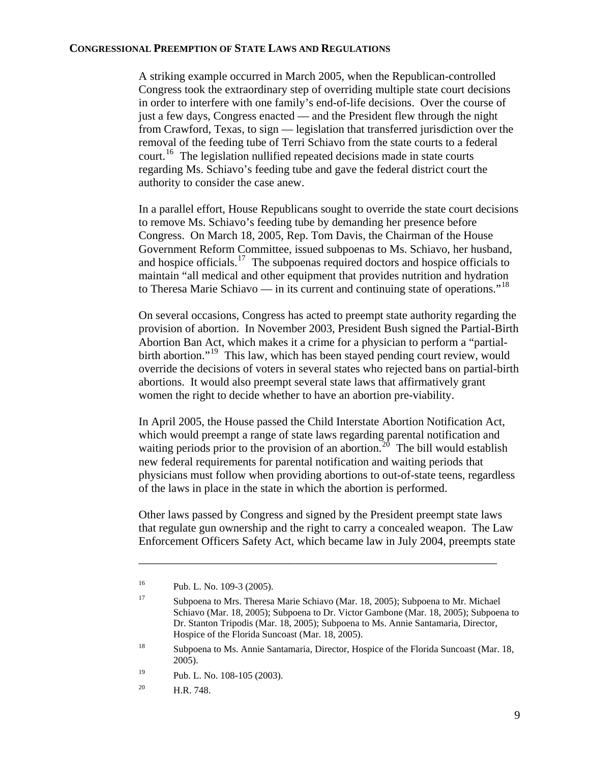A striking example occurred in March 2005, when the Republican-controlled Congress took the extraordinary step of overriding multiple state court decisions in order to interfere with one family's end-of-life decisions. Over the course of just a few days, Congress enacted — and the President flew through the night from Crawford, Texas, to sign — legislation that transferred jurisdiction over the removal of the feeding tube of Terri Schiavo from the state courts to a federal court.<sup>[16](#page-10-0)</sup> The legislation nullified repeated decisions made in state courts regarding Ms. Schiavo's feeding tube and gave the federal district court the authority to consider the case anew.

In a parallel effort, House Republicans sought to override the state court decisions to remove Ms. Schiavo's feeding tube by demanding her presence before Congress. On March 18, 2005, Rep. Tom Davis, the Chairman of the House Government Reform Committee, issued subpoenas to Ms. Schiavo, her husband, and hospice officials.<sup>[17](#page-10-1)</sup> The subpoenas required doctors and hospice officials to maintain "all medical and other equipment that provides nutrition and hydration to Theresa Marie Schiavo — in its current and continuing state of operations."[18](#page-10-2)

On several occasions, Congress has acted to preempt state authority regarding the provision of abortion. In November 2003, President Bush signed the Partial-Birth Abortion Ban Act, which makes it a crime for a physician to perform a "partial-birth abortion."<sup>[19](#page-10-3)</sup> This law, which has been stayed pending court review, would override the decisions of voters in several states who rejected bans on partial-birth abortions. It would also preempt several state laws that affirmatively grant women the right to decide whether to have an abortion pre-viability.

In April 2005, the House passed the Child Interstate Abortion Notification Act, which would preempt a range of state laws regarding parental notification and waiting periods prior to the provision of an abortion.<sup>[20](#page-10-4)</sup> The bill would establish new federal requirements for parental notification and waiting periods that physicians must follow when providing abortions to out-of-state teens, regardless of the laws in place in the state in which the abortion is performed.

Other laws passed by Congress and signed by the President preempt state laws that regulate gun ownership and the right to carry a concealed weapon. The Law Enforcement Officers Safety Act, which became law in July 2004, preempts state

\_\_\_\_\_\_\_\_\_\_\_\_\_\_\_\_\_\_\_\_\_\_\_\_\_\_\_\_\_\_\_\_\_\_\_\_\_\_\_\_\_\_\_\_\_\_\_\_\_\_\_\_\_\_\_\_\_\_\_\_\_\_

<span id="page-10-4"></span><sup>20</sup> H.R. 748.

<span id="page-10-0"></span><sup>16</sup> Pub. L. No. 109-3 (2005).

<span id="page-10-1"></span><sup>17</sup> Subpoena to Mrs. Theresa Marie Schiavo (Mar. 18, 2005); Subpoena to Mr. Michael Schiavo (Mar. 18, 2005); Subpoena to Dr. Victor Gambone (Mar. 18, 2005); Subpoena to Dr. Stanton Tripodis (Mar. 18, 2005); Subpoena to Ms. Annie Santamaria, Director, Hospice of the Florida Suncoast (Mar. 18, 2005).

<span id="page-10-2"></span><sup>18</sup> Subpoena to Ms. Annie Santamaria, Director, Hospice of the Florida Suncoast (Mar. 18, 2005).

<span id="page-10-3"></span><sup>19</sup> Pub. L. No. 108-105 (2003).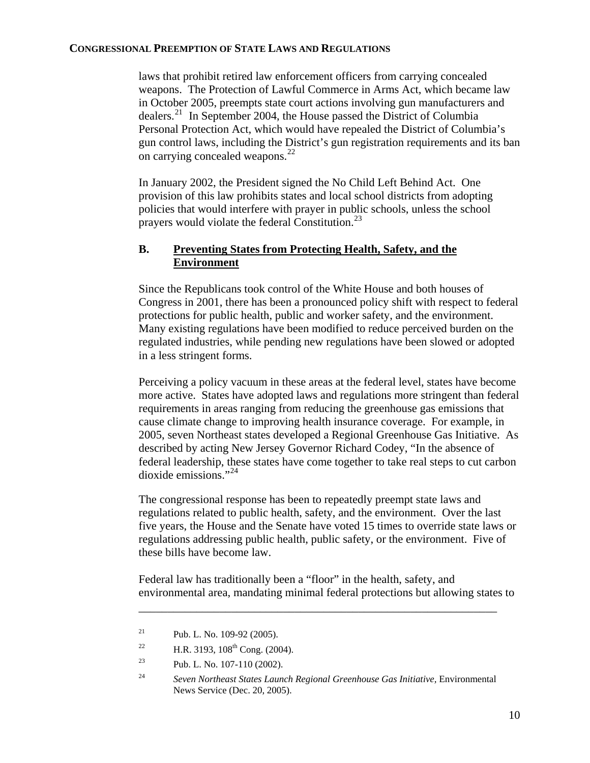laws that prohibit retired law enforcement officers from carrying concealed weapons. The Protection of Lawful Commerce in Arms Act, which became law in October 2005, preempts state court actions involving gun manufacturers and dealers.[21](#page-11-0) In September 2004, the House passed the District of Columbia Personal Protection Act, which would have repealed the District of Columbia's gun control laws, including the District's gun registration requirements and its ban on carrying concealed weapons.<sup>[22](#page-11-1)</sup>

In January 2002, the President signed the No Child Left Behind Act. One provision of this law prohibits states and local school districts from adopting policies that would interfere with prayer in public schools, unless the school prayers would violate the federal Constitution.<sup>[23](#page-11-2)</sup>

## **B. Preventing States from Protecting Health, Safety, and the Environment**

Since the Republicans took control of the White House and both houses of Congress in 2001, there has been a pronounced policy shift with respect to federal protections for public health, public and worker safety, and the environment. Many existing regulations have been modified to reduce perceived burden on the regulated industries, while pending new regulations have been slowed or adopted in a less stringent forms.

Perceiving a policy vacuum in these areas at the federal level, states have become more active. States have adopted laws and regulations more stringent than federal requirements in areas ranging from reducing the greenhouse gas emissions that cause climate change to improving health insurance coverage. For example, in 2005, seven Northeast states developed a Regional Greenhouse Gas Initiative. As described by acting New Jersey Governor Richard Codey, "In the absence of federal leadership, these states have come together to take real steps to cut carbon dioxide emissions."[24](#page-11-3)

The congressional response has been to repeatedly preempt state laws and regulations related to public health, safety, and the environment. Over the last five years, the House and the Senate have voted 15 times to override state laws or regulations addressing public health, public safety, or the environment. Five of these bills have become law.

Federal law has traditionally been a "floor" in the health, safety, and environmental area, mandating minimal federal protections but allowing states to

<span id="page-11-0"></span><sup>&</sup>lt;sup>21</sup> Pub. L. No. 109-92 (2005).

<sup>&</sup>lt;sup>22</sup> H.R. 3193,  $108^{th}$  Cong. (2004).

<span id="page-11-2"></span><span id="page-11-1"></span><sup>&</sup>lt;sup>23</sup> Pub. L. No. 107-110 (2002).

<span id="page-11-3"></span><sup>24</sup> *Seven Northeast States Launch Regional Greenhouse Gas Initiative,* Environmental News Service (Dec. 20, 2005).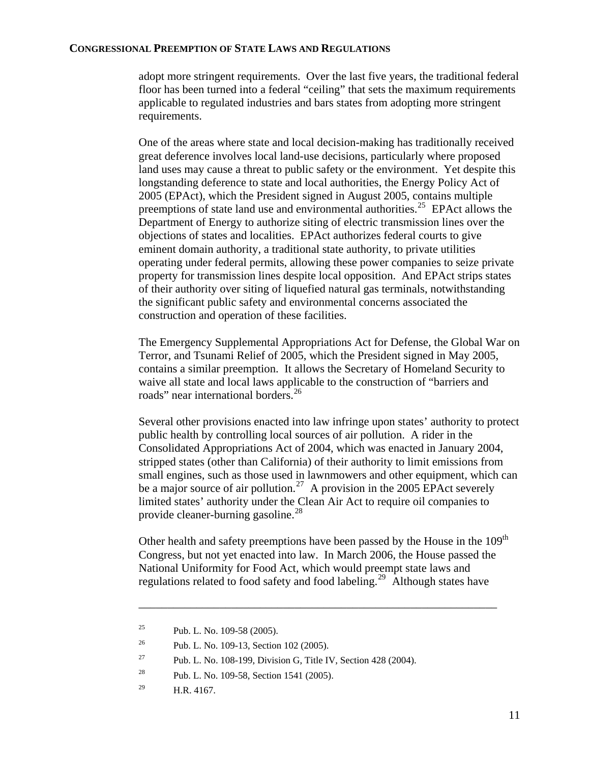adopt more stringent requirements. Over the last five years, the traditional federal floor has been turned into a federal "ceiling" that sets the maximum requirements applicable to regulated industries and bars states from adopting more stringent requirements.

One of the areas where state and local decision-making has traditionally received great deference involves local land-use decisions, particularly where proposed land uses may cause a threat to public safety or the environment. Yet despite this longstanding deference to state and local authorities, the Energy Policy Act of 2005 (EPAct), which the President signed in August 2005, contains multiple preemptions of state land use and environmental authorities.<sup>[25](#page-12-0)</sup> EPAct allows the Department of Energy to authorize siting of electric transmission lines over the objections of states and localities. EPAct authorizes federal courts to give eminent domain authority, a traditional state authority, to private utilities operating under federal permits, allowing these power companies to seize private property for transmission lines despite local opposition. And EPAct strips states of their authority over siting of liquefied natural gas terminals, notwithstanding the significant public safety and environmental concerns associated the construction and operation of these facilities.

The Emergency Supplemental Appropriations Act for Defense, the Global War on Terror, and Tsunami Relief of 2005, which the President signed in May 2005, contains a similar preemption. It allows the Secretary of Homeland Security to waive all state and local laws applicable to the construction of "barriers and roads" near international borders.<sup>[26](#page-12-1)</sup>

Several other provisions enacted into law infringe upon states' authority to protect public health by controlling local sources of air pollution. A rider in the Consolidated Appropriations Act of 2004, which was enacted in January 2004, stripped states (other than California) of their authority to limit emissions from small engines, such as those used in lawnmowers and other equipment, which can be a major source of air pollution.<sup>[27](#page-12-2)</sup> A provision in the 2005 EPAct severely limited states' authority under the Clean Air Act to require oil companies to provide cleaner-burning gasoline.<sup>[28](#page-12-3)</sup>

Other health and safety preemptions have been passed by the House in the 109<sup>th</sup> Congress, but not yet enacted into law. In March 2006, the House passed the National Uniformity for Food Act, which would preempt state laws and regulations related to food safety and food labeling.[29](#page-12-4) Although states have

<sup>&</sup>lt;sup>25</sup> Pub. L. No. 109-58 (2005).

<span id="page-12-2"></span><span id="page-12-1"></span><span id="page-12-0"></span><sup>&</sup>lt;sup>26</sup> Pub. L. No. 109-13, Section 102 (2005).

<sup>&</sup>lt;sup>27</sup> Pub. L. No. 108-199, Division G, Title IV, Section 428 (2004).

<span id="page-12-3"></span><sup>28</sup> Pub. L. No. 109-58, Section 1541 (2005).

<span id="page-12-4"></span> $^{29}$  H.R. 4167.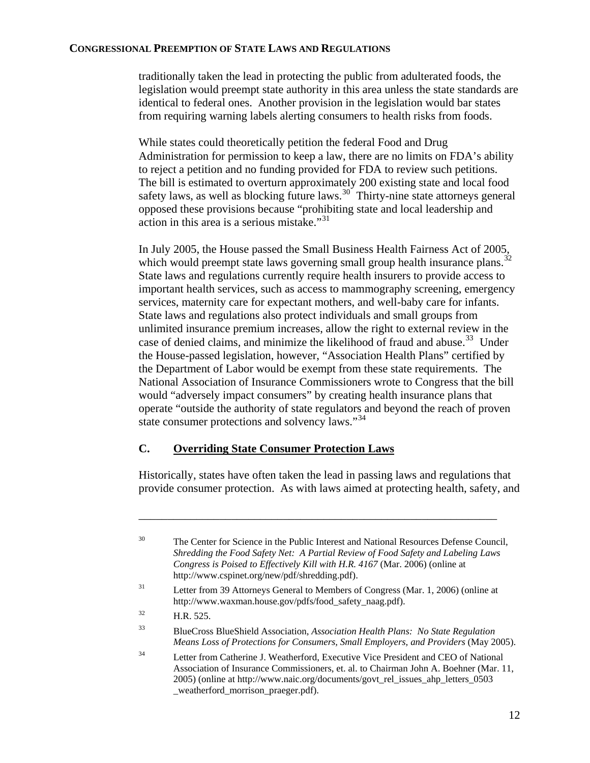traditionally taken the lead in protecting the public from adulterated foods, the legislation would preempt state authority in this area unless the state standards are identical to federal ones. Another provision in the legislation would bar states from requiring warning labels alerting consumers to health risks from foods.

While states could theoretically petition the federal Food and Drug Administration for permission to keep a law, there are no limits on FDA's ability to reject a petition and no funding provided for FDA to review such petitions. The bill is estimated to overturn approximately 200 existing state and local food safety laws, as well as blocking future laws.<sup>[30](#page-13-0)</sup> Thirty-nine state attorneys general opposed these provisions because "prohibiting state and local leadership and action in this area is a serious mistake."<sup>[31](#page-13-1)</sup>

In July 2005, the House passed the Small Business Health Fairness Act of 2005, which would preempt state laws governing small group health insurance plans.<sup>[32](#page-13-2)</sup> State laws and regulations currently require health insurers to provide access to important health services, such as access to mammography screening, emergency services, maternity care for expectant mothers, and well-baby care for infants. State laws and regulations also protect individuals and small groups from unlimited insurance premium increases, allow the right to external review in the case of denied claims, and minimize the likelihood of fraud and abuse.<sup>[33](#page-13-3)</sup> Under the House-passed legislation, however, "Association Health Plans" certified by the Department of Labor would be exempt from these state requirements. The National Association of Insurance Commissioners wrote to Congress that the bill would "adversely impact consumers" by creating health insurance plans that operate "outside the authority of state regulators and beyond the reach of proven state consumer protections and solvency laws."<sup>[34](#page-13-4)</sup>

## **C. Overriding State Consumer Protection Laws**

Historically, states have often taken the lead in passing laws and regulations that provide consumer protection. As with laws aimed at protecting health, safety, and

<span id="page-13-4"></span><span id="page-13-3"></span><span id="page-13-2"></span><span id="page-13-1"></span><span id="page-13-0"></span>

| 30 | The Center for Science in the Public Interest and National Resources Defense Council,<br>Shredding the Food Safety Net: A Partial Review of Food Safety and Labeling Laws<br>Congress is Poised to Effectively Kill with H.R. 4167 (Mar. 2006) (online at<br>http://www.cspinet.org/new/pdf/shredding.pdf). |
|----|-------------------------------------------------------------------------------------------------------------------------------------------------------------------------------------------------------------------------------------------------------------------------------------------------------------|
| 31 | Letter from 39 Attorneys General to Members of Congress (Mar. 1, 2006) (online at<br>http://www.waxman.house.gov/pdfs/food_safety_naag.pdf).                                                                                                                                                                |
| 32 | H.R. 525.                                                                                                                                                                                                                                                                                                   |
| 33 | BlueCross BlueShield Association, Association Health Plans: No State Regulation<br>Means Loss of Protections for Consumers, Small Employers, and Providers (May 2005).                                                                                                                                      |
| 34 | Letter from Catherine J. Weatherford, Executive Vice President and CEO of National<br>Association of Insurance Commissioners, et. al. to Chairman John A. Boehner (Mar. 11,<br>2005) (online at http://www.naic.org/documents/govt_rel_issues_ahp_letters_0503<br>_weatherford_morrison_praeger.pdf).       |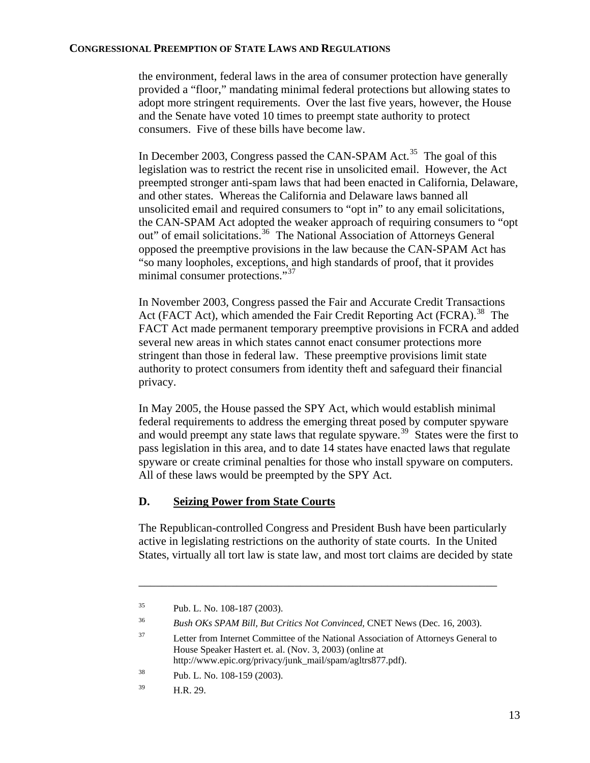the environment, federal laws in the area of consumer protection have generally provided a "floor," mandating minimal federal protections but allowing states to adopt more stringent requirements. Over the last five years, however, the House and the Senate have voted 10 times to preempt state authority to protect consumers. Five of these bills have become law.

In December 2003, Congress passed the CAN-SPAM Act.<sup>35</sup> The goal of this legislation was to restrict the recent rise in unsolicited email. However, the Act preempted stronger anti-spam laws that had been enacted in California, Delaware, and other states. Whereas the California and Delaware laws banned all unsolicited email and required consumers to "opt in" to any email solicitations, the CAN-SPAM Act adopted the weaker approach of requiring consumers to "opt out" of email solicitations.<sup>[36](#page-14-1)</sup> The National Association of Attorneys General opposed the preemptive provisions in the law because the CAN-SPAM Act has "so many loopholes, exceptions, and high standards of proof, that it provides minimal consumer protections."[37](#page-14-2)

In November 2003, Congress passed the Fair and Accurate Credit Transactions Act (FACT Act), which amended the Fair Credit Reporting Act (FCRA).<sup>[38](#page-14-3)</sup> The FACT Act made permanent temporary preemptive provisions in FCRA and added several new areas in which states cannot enact consumer protections more stringent than those in federal law. These preemptive provisions limit state authority to protect consumers from identity theft and safeguard their financial privacy.

In May 2005, the House passed the SPY Act, which would establish minimal federal requirements to address the emerging threat posed by computer spyware and would preempt any state laws that regulate spyware.<sup>[39](#page-14-4)</sup> States were the first to pass legislation in this area, and to date 14 states have enacted laws that regulate spyware or create criminal penalties for those who install spyware on computers. All of these laws would be preempted by the SPY Act.

## **D. Seizing Power from State Courts**

The Republican-controlled Congress and President Bush have been particularly active in legislating restrictions on the authority of state courts. In the United States, virtually all tort law is state law, and most tort claims are decided by state

<span id="page-14-0"></span><sup>35</sup> Pub. L. No. 108-187 (2003).

<sup>36</sup> *Bush OKs SPAM Bill, But Critics Not Convinced,* CNET News (Dec. 16, 2003).

<span id="page-14-2"></span><span id="page-14-1"></span><sup>&</sup>lt;sup>37</sup> Letter from Internet Committee of the National Association of Attorneys General to House Speaker Hastert et. al. (Nov. 3, 2003) (online at http://www.epic.org/privacy/junk\_mail/spam/agltrs877.pdf).

<span id="page-14-4"></span><span id="page-14-3"></span><sup>38</sup> Pub. L. No. 108-159 (2003).

<sup>39</sup> H.R. 29.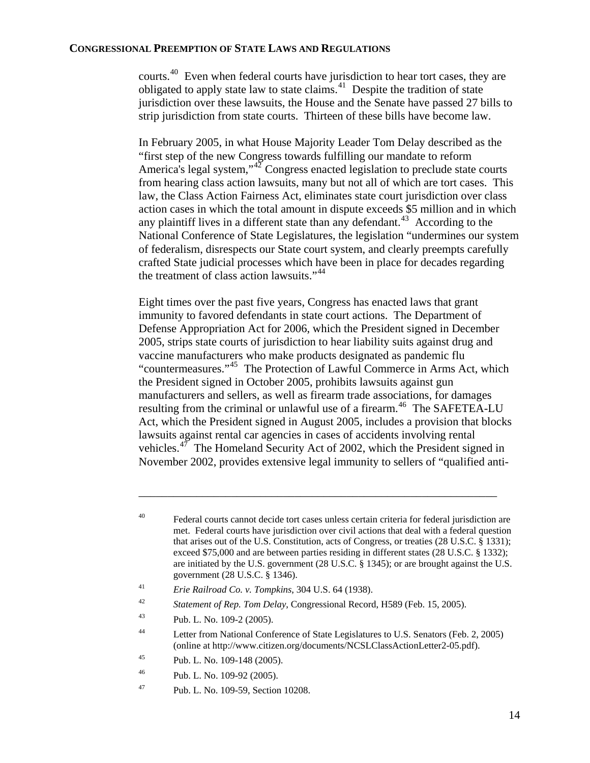courts.<sup>[40](#page-15-0)</sup> Even when federal courts have jurisdiction to hear tort cases, they are obligated to apply state law to state claims. $41$  Despite the tradition of state jurisdiction over these lawsuits, the House and the Senate have passed 27 bills to strip jurisdiction from state courts. Thirteen of these bills have become law.

In February 2005, in what House Majority Leader Tom Delay described as the "first step of the new Congress towards fulfilling our mandate to reform America's legal system,"<sup>[42](#page-15-2)</sup> Congress enacted legislation to preclude state courts from hearing class action lawsuits, many but not all of which are tort cases. This law, the Class Action Fairness Act, eliminates state court jurisdiction over class action cases in which the total amount in dispute exceeds \$5 million and in which any plaintiff lives in a different state than any defendant.<sup>[43](#page-15-3)</sup> According to the National Conference of State Legislatures, the legislation "undermines our system of federalism, disrespects our State court system, and clearly preempts carefully crafted State judicial processes which have been in place for decades regarding the treatment of class action lawsuits."<sup>[44](#page-15-4)</sup>

Eight times over the past five years, Congress has enacted laws that grant immunity to favored defendants in state court actions. The Department of Defense Appropriation Act for 2006, which the President signed in December 2005, strips state courts of jurisdiction to hear liability suits against drug and vaccine manufacturers who make products designated as pandemic flu "countermeasures."[45](#page-15-5)The Protection of Lawful Commerce in Arms Act, which the President signed in October 2005, prohibits lawsuits against gun manufacturers and sellers, as well as firearm trade associations, for damages resulting from the criminal or unlawful use of a firearm.<sup>[46](#page-15-6)</sup> The SAFETEA-LU Act, which the President signed in August 2005, includes a provision that blocks lawsuits against rental car agencies in cases of accidents involving rental vehicles.<sup>[47](#page-15-7)</sup> The Homeland Security Act of 2002, which the President signed in November 2002, provides extensive legal immunity to sellers of "qualified anti-

<span id="page-15-0"></span><sup>&</sup>lt;sup>40</sup> Federal courts cannot decide tort cases unless certain criteria for federal jurisdiction are met. Federal courts have jurisdiction over civil actions that deal with a federal question that arises out of the U.S. Constitution, acts of Congress, or treaties (28 U.S.C. § 1331); exceed \$75,000 and are between parties residing in different states (28 U.S.C. § 1332); are initiated by the U.S. government (28 U.S.C. § 1345); or are brought against the U.S. government (28 U.S.C. § 1346).

<span id="page-15-1"></span><sup>41</sup> *Erie Railroad Co. v. Tompkins*, 304 U.S. 64 (1938).

<span id="page-15-2"></span><sup>42</sup> *Statement of Rep. Tom Delay*, Congressional Record, H589 (Feb. 15, 2005).

<span id="page-15-3"></span><sup>43</sup> Pub. L. No. 109-2 (2005).

<span id="page-15-4"></span><sup>&</sup>lt;sup>44</sup> Letter from National Conference of State Legislatures to U.S. Senators (Feb. 2, 2005) (online at http://www.citizen.org/documents/NCSLClassActionLetter2-05.pdf).

<sup>45</sup> Pub. L. No. 109-148 (2005).

<span id="page-15-6"></span><span id="page-15-5"></span><sup>46</sup> Pub. L. No. 109-92 (2005).

<span id="page-15-7"></span><sup>47</sup> Pub. L. No. 109-59, Section 10208.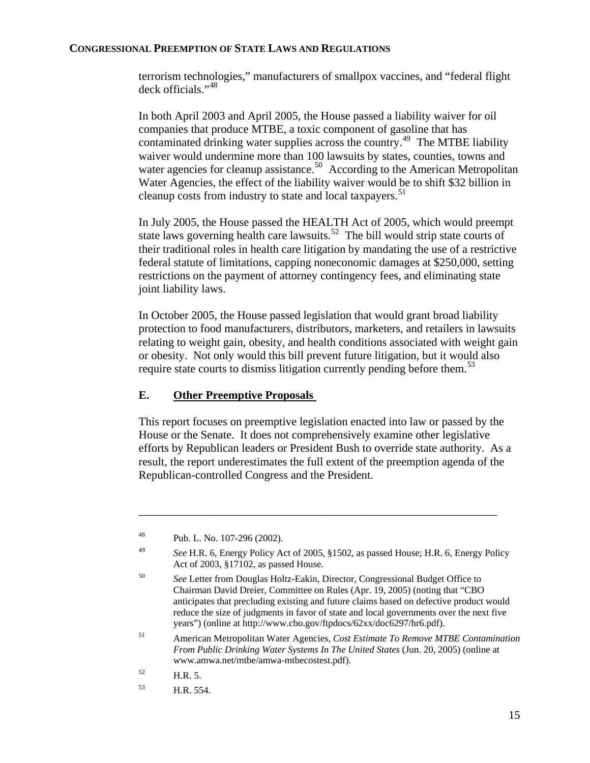terrorism technologies," manufacturers of smallpox vaccines, and "federal flight deck officials."[48](#page-16-0)

In both April 2003 and April 2005, the House passed a liability waiver for oil companies that produce MTBE, a toxic component of gasoline that has contaminated drinking water supplies across the country.<sup>[49](#page-16-1)</sup> The MTBE liability waiver would undermine more than 100 lawsuits by states, counties, towns and water agencies for cleanup assistance.<sup>[50](#page-16-2)</sup> According to the American Metropolitan Water Agencies, the effect of the liability waiver would be to shift \$32 billion in cleanup costs from industry to state and local taxpayers.<sup>[51](#page-16-3)</sup>

In July 2005, the House passed the HEALTH Act of 2005, which would preempt state laws governing health care lawsuits.<sup>[52](#page-16-4)</sup> The bill would strip state courts of their traditional roles in health care litigation by mandating the use of a restrictive federal statute of limitations, capping noneconomic damages at \$250,000, setting restrictions on the payment of attorney contingency fees, and eliminating state joint liability laws.

In October 2005, the House passed legislation that would grant broad liability protection to food manufacturers, distributors, marketers, and retailers in lawsuits relating to weight gain, obesity, and health conditions associated with weight gain or obesity. Not only would this bill prevent future litigation, but it would also require state courts to dismiss litigation currently pending before them.<sup>[53](#page-16-5)</sup>

## **E. Other Preemptive Proposals**

This report focuses on preemptive legislation enacted into law or passed by the House or the Senate. It does not comprehensively examine other legislative efforts by Republican leaders or President Bush to override state authority. As a result, the report underestimates the full extent of the preemption agenda of the Republican-controlled Congress and the President.

<span id="page-16-0"></span><sup>48</sup> Pub. L. No. 107-296 (2002).

<span id="page-16-1"></span><sup>49</sup> *See* H.R. 6, Energy Policy Act of 2005, §1502, as passed House; H.R. 6, Energy Policy Act of 2003, §17102, as passed House.

<span id="page-16-2"></span><sup>50</sup> *See* Letter from Douglas Holtz-Eakin, Director, Congressional Budget Office to Chairman David Dreier, Committee on Rules (Apr. 19, 2005) (noting that "CBO anticipates that precluding existing and future claims based on defective product would reduce the size of judgments in favor of state and local governments over the next five years") (online at http://www.cbo.gov/ftpdocs/62xx/doc6297/hr6.pdf).

<span id="page-16-3"></span><sup>51</sup> American Metropolitan Water Agencies, *Cost Estimate To Remove MTBE Contamination From Public Drinking Water Systems In The United States* (Jun. 20, 2005) (online at www.amwa.net/mtbe/amwa-mtbecostest.pdf).

<span id="page-16-4"></span> $^{52}$  H.R. 5.

<span id="page-16-5"></span><sup>53</sup> H.R. 554.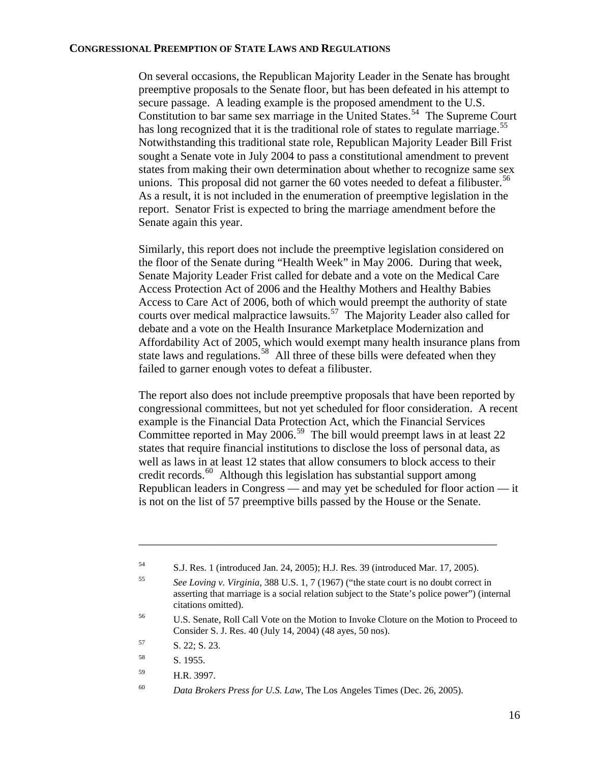On several occasions, the Republican Majority Leader in the Senate has brought preemptive proposals to the Senate floor, but has been defeated in his attempt to secure passage. A leading example is the proposed amendment to the U.S. Constitution to bar same sex marriage in the United States.<sup>[54](#page-17-0)</sup> The Supreme Court has long recognized that it is the traditional role of states to regulate marriage.<sup>[55](#page-17-1)</sup> Notwithstanding this traditional state role, Republican Majority Leader Bill Frist sought a Senate vote in July 2004 to pass a constitutional amendment to prevent states from making their own determination about whether to recognize same sex unions. This proposal did not garner the  $60$  votes needed to defeat a filibuster.<sup>[56](#page-17-2)</sup> As a result, it is not included in the enumeration of preemptive legislation in the report. Senator Frist is expected to bring the marriage amendment before the Senate again this year.

Similarly, this report does not include the preemptive legislation considered on the floor of the Senate during "Health Week" in May 2006. During that week, Senate Majority Leader Frist called for debate and a vote on the Medical Care Access Protection Act of 2006 and the Healthy Mothers and Healthy Babies Access to Care Act of 2006, both of which would preempt the authority of state courts over medical malpractice lawsuits.[57](#page-17-3) The Majority Leader also called for debate and a vote on the Health Insurance Marketplace Modernization and Affordability Act of 2005, which would exempt many health insurance plans from state laws and regulations.<sup>[58](#page-17-4)</sup> All three of these bills were defeated when they failed to garner enough votes to defeat a filibuster.

The report also does not include preemptive proposals that have been reported by congressional committees, but not yet scheduled for floor consideration. A recent example is the Financial Data Protection Act, which the Financial Services Committee reported in May 2006.<sup>[59](#page-17-5)</sup> The bill would preempt laws in at least 22 states that require financial institutions to disclose the loss of personal data, as well as laws in at least 12 states that allow consumers to block access to their credit records.<sup>[60](#page-17-6)</sup> Although this legislation has substantial support among Republican leaders in Congress — and may yet be scheduled for floor action — it is not on the list of 57 preemptive bills passed by the House or the Senate.

\_\_\_\_\_\_\_\_\_\_\_\_\_\_\_\_\_\_\_\_\_\_\_\_\_\_\_\_\_\_\_\_\_\_\_\_\_\_\_\_\_\_\_\_\_\_\_\_\_\_\_\_\_\_\_\_\_\_\_\_\_\_

<span id="page-17-2"></span>56 U.S. Senate, Roll Call Vote on the Motion to Invoke Cloture on the Motion to Proceed to Consider S. J. Res. 40 (July 14, 2004) (48 ayes, 50 nos).

- <span id="page-17-4"></span>58 S. 1955.
- <span id="page-17-5"></span>59 H.R. 3997.

<span id="page-17-0"></span><sup>54</sup> S.J. Res. 1 (introduced Jan. 24, 2005); H.J. Res. 39 (introduced Mar. 17, 2005).

<span id="page-17-1"></span><sup>55</sup> *See Loving v. Virginia*, 388 U.S. 1, 7 (1967) ("the state court is no doubt correct in asserting that marriage is a social relation subject to the State's police power") (internal citations omitted).

<span id="page-17-3"></span><sup>57</sup> S. 22; S. 23.

<span id="page-17-6"></span><sup>60</sup> *Data Brokers Press for U.S. Law*, The Los Angeles Times (Dec. 26, 2005).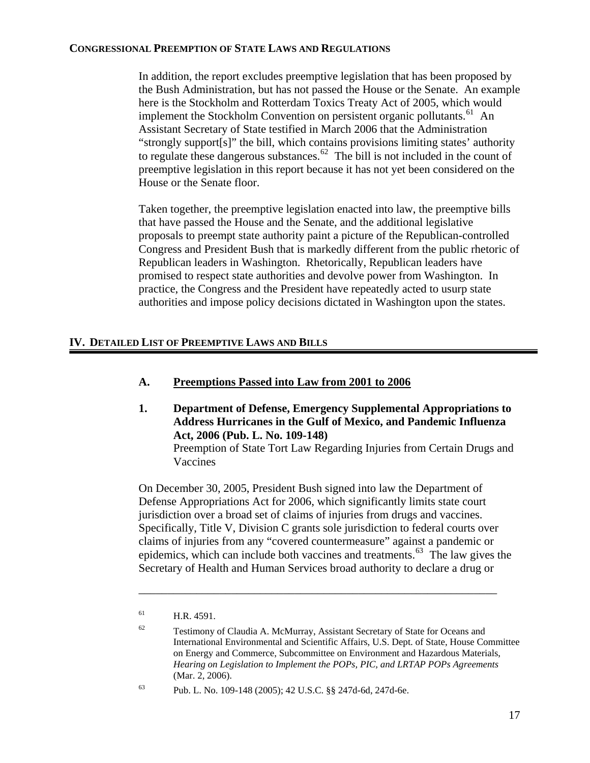In addition, the report excludes preemptive legislation that has been proposed by the Bush Administration, but has not passed the House or the Senate. An example here is the Stockholm and Rotterdam Toxics Treaty Act of 2005, which would implement the Stockholm Convention on persistent organic pollutants.<sup>[61](#page-18-0)</sup> An Assistant Secretary of State testified in March 2006 that the Administration "strongly support[s]" the bill, which contains provisions limiting states' authority to regulate these dangerous substances.<sup>[62](#page-18-1)</sup> The bill is not included in the count of preemptive legislation in this report because it has not yet been considered on the House or the Senate floor.

Taken together, the preemptive legislation enacted into law, the preemptive bills that have passed the House and the Senate, and the additional legislative proposals to preempt state authority paint a picture of the Republican-controlled Congress and President Bush that is markedly different from the public rhetoric of Republican leaders in Washington. Rhetorically, Republican leaders have promised to respect state authorities and devolve power from Washington. In practice, the Congress and the President have repeatedly acted to usurp state authorities and impose policy decisions dictated in Washington upon the states.

## **IV. DETAILED LIST OF PREEMPTIVE LAWS AND BILLS**

## **A. Preemptions Passed into Law from 2001 to 2006**

**1. Department of Defense, Emergency Supplemental Appropriations to Address Hurricanes in the Gulf of Mexico, and Pandemic Influenza Act, 2006 (Pub. L. No. 109-148)** 

Preemption of State Tort Law Regarding Injuries from Certain Drugs and Vaccines

On December 30, 2005, President Bush signed into law the Department of Defense Appropriations Act for 2006, which significantly limits state court jurisdiction over a broad set of claims of injuries from drugs and vaccines. Specifically, Title V, Division C grants sole jurisdiction to federal courts over claims of injuries from any "covered countermeasure" against a pandemic or epidemics, which can include both vaccines and treatments.<sup>[63](#page-18-2)</sup> The law gives the Secretary of Health and Human Services broad authority to declare a drug or

<span id="page-18-0"></span> $^{61}$  H.R. 4591.

<span id="page-18-1"></span><sup>&</sup>lt;sup>62</sup> Testimony of Claudia A. McMurray, Assistant Secretary of State for Oceans and International Environmental and Scientific Affairs, U.S. Dept. of State, House Committee on Energy and Commerce, Subcommittee on Environment and Hazardous Materials, *Hearing on Legislation to Implement the POPs, PIC, and LRTAP POPs Agreements*  (Mar. 2, 2006).

<span id="page-18-2"></span><sup>63</sup> Pub. L. No. 109-148 (2005); 42 U.S.C. §§ 247d-6d, 247d-6e.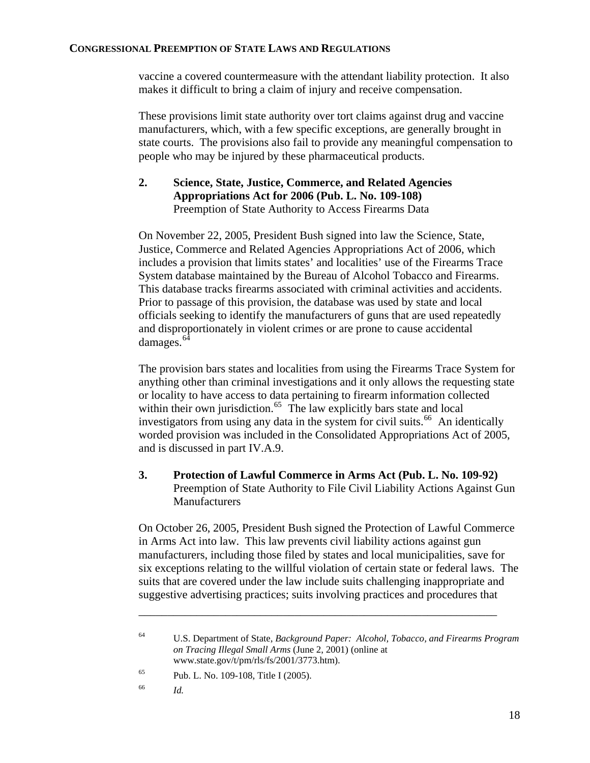vaccine a covered countermeasure with the attendant liability protection. It also makes it difficult to bring a claim of injury and receive compensation.

These provisions limit state authority over tort claims against drug and vaccine manufacturers, which, with a few specific exceptions, are generally brought in state courts. The provisions also fail to provide any meaningful compensation to people who may be injured by these pharmaceutical products.

## **2. Science, State, Justice, Commerce, and Related Agencies Appropriations Act for 2006 (Pub. L. No. 109-108)**  Preemption of State Authority to Access Firearms Data

On November 22, 2005, President Bush signed into law the Science, State, Justice, Commerce and Related Agencies Appropriations Act of 2006, which includes a provision that limits states' and localities' use of the Firearms Trace System database maintained by the Bureau of Alcohol Tobacco and Firearms. This database tracks firearms associated with criminal activities and accidents. Prior to passage of this provision, the database was used by state and local officials seeking to identify the manufacturers of guns that are used repeatedly and disproportionately in violent crimes or are prone to cause accidental damages.<sup>[64](#page-19-0)</sup>

The provision bars states and localities from using the Firearms Trace System for anything other than criminal investigations and it only allows the requesting state or locality to have access to data pertaining to firearm information collected within their own jurisdiction.<sup>[65](#page-19-1)</sup> The law explicitly bars state and local investigators from using any data in the system for civil suits. $^{66}$  $^{66}$  $^{66}$  An identically worded provision was included in the Consolidated Appropriations Act of 2005, and is discussed in part IV.A.9.

## **3. Protection of Lawful Commerce in Arms Act (Pub. L. No. 109-92)**  Preemption of State Authority to File Civil Liability Actions Against Gun **Manufacturers**

On October 26, 2005, President Bush signed the Protection of Lawful Commerce in Arms Act into law. This law prevents civil liability actions against gun manufacturers, including those filed by states and local municipalities, save for six exceptions relating to the willful violation of certain state or federal laws. The suits that are covered under the law include suits challenging inappropriate and suggestive advertising practices; suits involving practices and procedures that

<span id="page-19-0"></span><sup>64</sup> U.S. Department of State, *Background Paper: Alcohol, Tobacco, and Firearms Program on Tracing Illegal Small Arms* (June 2, 2001) (online at www.state.gov/t/pm/rls/fs/2001/3773.htm).

<span id="page-19-1"></span><sup>65</sup> Pub. L. No. 109-108, Title I (2005).

<span id="page-19-2"></span><sup>66</sup> *Id.*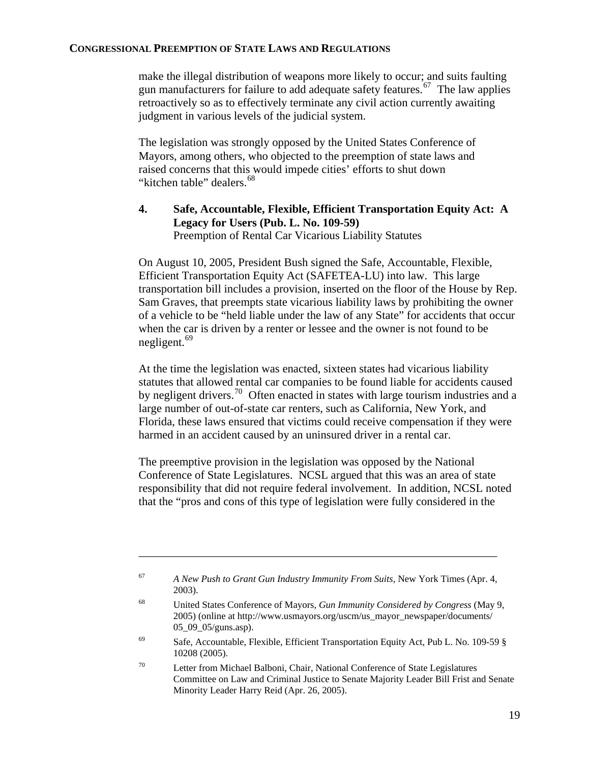make the illegal distribution of weapons more likely to occur; and suits faulting gun manufacturers for failure to add adequate safety features.<sup>[67](#page-20-0)</sup> The law applies retroactively so as to effectively terminate any civil action currently awaiting judgment in various levels of the judicial system.

The legislation was strongly opposed by the United States Conference of Mayors, among others, who objected to the preemption of state laws and raised concerns that this would impede cities' efforts to shut down "kitchen table" dealers.<sup>[68](#page-20-1)</sup>

## **4. Safe, Accountable, Flexible, Efficient Transportation Equity Act: A Legacy for Users (Pub. L. No. 109-59)**  Preemption of Rental Car Vicarious Liability Statutes

On August 10, 2005, President Bush signed the Safe, Accountable, Flexible, Efficient Transportation Equity Act (SAFETEA-LU) into law. This large transportation bill includes a provision, inserted on the floor of the House by Rep. Sam Graves, that preempts state vicarious liability laws by prohibiting the owner of a vehicle to be "held liable under the law of any State" for accidents that occur when the car is driven by a renter or lessee and the owner is not found to be negligent.<sup>[69](#page-20-2)</sup>

At the time the legislation was enacted, sixteen states had vicarious liability statutes that allowed rental car companies to be found liable for accidents caused by negligent drivers.<sup>[70](#page-20-3)</sup> Often enacted in states with large tourism industries and a large number of out-of-state car renters, such as California, New York, and Florida, these laws ensured that victims could receive compensation if they were harmed in an accident caused by an uninsured driver in a rental car.

The preemptive provision in the legislation was opposed by the National Conference of State Legislatures. NCSL argued that this was an area of state responsibility that did not require federal involvement. In addition, NCSL noted that the "pros and cons of this type of legislation were fully considered in the

<span id="page-20-0"></span><sup>67</sup> *A New Push to Grant Gun Industry Immunity From Suits*, New York Times (Apr. 4, 2003).

<span id="page-20-1"></span><sup>68</sup> United States Conference of Mayors, *Gun Immunity Considered by Congress* (May 9, 2005) (online at http://www.usmayors.org/uscm/us\_mayor\_newspaper/documents/  $05\_09\_05/gums.$ asp).

<span id="page-20-2"></span><sup>69</sup> Safe, Accountable, Flexible, Efficient Transportation Equity Act, Pub L. No. 109-59 § 10208 (2005).

<span id="page-20-3"></span><sup>70</sup> Letter from Michael Balboni, Chair, National Conference of State Legislatures Committee on Law and Criminal Justice to Senate Majority Leader Bill Frist and Senate Minority Leader Harry Reid (Apr. 26, 2005).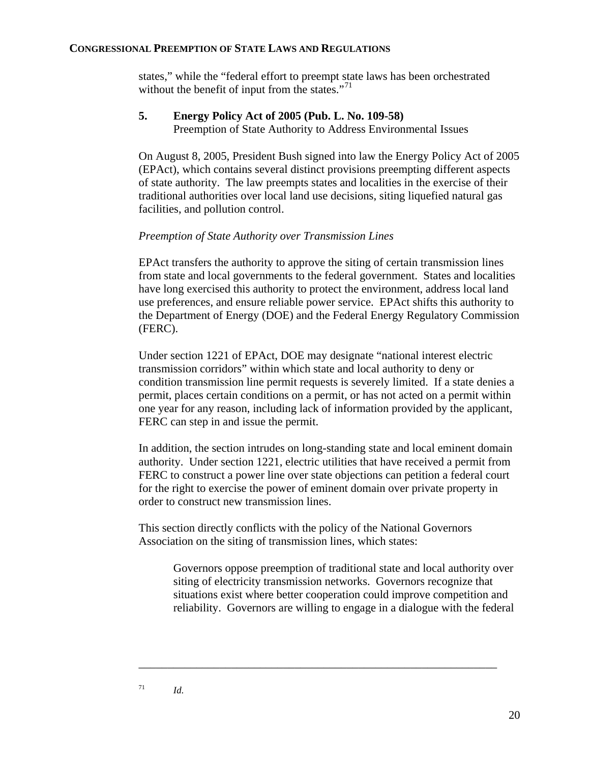states," while the "federal effort to preempt state laws has been orchestrated without the benefit of input from the states."<sup>[71](#page-21-0)</sup>

### **5. Energy Policy Act of 2005 (Pub. L. No. 109-58)**  Preemption of State Authority to Address Environmental Issues

On August 8, 2005, President Bush signed into law the Energy Policy Act of 2005 (EPAct), which contains several distinct provisions preempting different aspects of state authority. The law preempts states and localities in the exercise of their traditional authorities over local land use decisions, siting liquefied natural gas facilities, and pollution control.

## *Preemption of State Authority over Transmission Lines*

EPAct transfers the authority to approve the siting of certain transmission lines from state and local governments to the federal government. States and localities have long exercised this authority to protect the environment, address local land use preferences, and ensure reliable power service. EPAct shifts this authority to the Department of Energy (DOE) and the Federal Energy Regulatory Commission (FERC).

Under section 1221 of EPAct, DOE may designate "national interest electric transmission corridors" within which state and local authority to deny or condition transmission line permit requests is severely limited. If a state denies a permit, places certain conditions on a permit, or has not acted on a permit within one year for any reason, including lack of information provided by the applicant, FERC can step in and issue the permit.

In addition, the section intrudes on long-standing state and local eminent domain authority. Under section 1221, electric utilities that have received a permit from FERC to construct a power line over state objections can petition a federal court for the right to exercise the power of eminent domain over private property in order to construct new transmission lines.

This section directly conflicts with the policy of the National Governors Association on the siting of transmission lines, which states:

<span id="page-21-0"></span>\_\_\_\_\_\_\_\_\_\_\_\_\_\_\_\_\_\_\_\_\_\_\_\_\_\_\_\_\_\_\_\_\_\_\_\_\_\_\_\_\_\_\_\_\_\_\_\_\_\_\_\_\_\_\_\_\_\_\_\_\_\_

Governors oppose preemption of traditional state and local authority over siting of electricity transmission networks. Governors recognize that situations exist where better cooperation could improve competition and reliability. Governors are willing to engage in a dialogue with the federal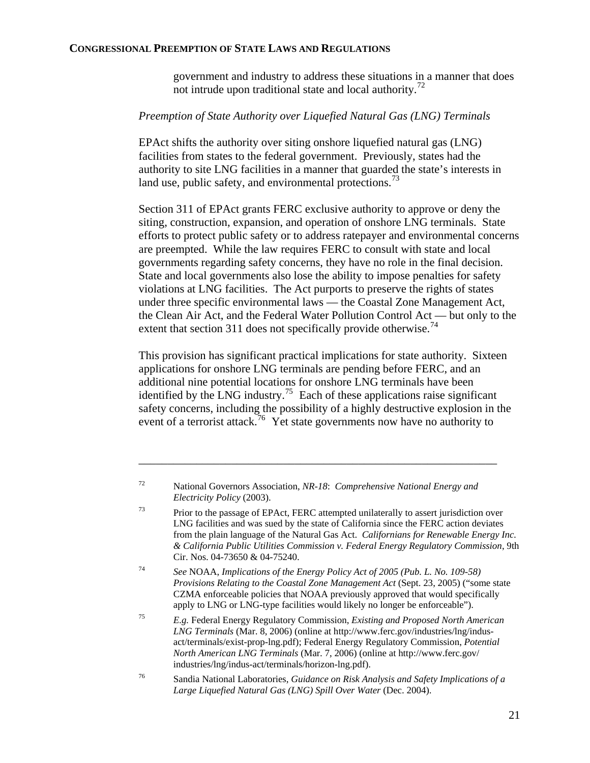government and industry to address these situations in a manner that does not intrude upon traditional state and local authority.<sup>[72](#page-22-0)</sup>

#### *Preemption of State Authority over Liquefied Natural Gas (LNG) Terminals*

EPAct shifts the authority over siting onshore liquefied natural gas (LNG) facilities from states to the federal government. Previously, states had the authority to site LNG facilities in a manner that guarded the state's interests in land use, public safety, and environmental protections.<sup>[73](#page-22-1)</sup>

Section 311 of EPAct grants FERC exclusive authority to approve or deny the siting, construction, expansion, and operation of onshore LNG terminals. State efforts to protect public safety or to address ratepayer and environmental concerns are preempted. While the law requires FERC to consult with state and local governments regarding safety concerns, they have no role in the final decision. State and local governments also lose the ability to impose penalties for safety violations at LNG facilities. The Act purports to preserve the rights of states under three specific environmental laws — the Coastal Zone Management Act, the Clean Air Act, and the Federal Water Pollution Control Act — but only to the extent that section 311 does not specifically provide otherwise.<sup>[74](#page-22-2)</sup>

This provision has significant practical implications for state authority. Sixteen applications for onshore LNG terminals are pending before FERC, and an additional nine potential locations for onshore LNG terminals have been identified by the LNG industry.<sup>[75](#page-22-3)</sup> Each of these applications raise significant safety concerns, including the possibility of a highly destructive explosion in the event of a terrorist attack.<sup>[76](#page-22-4)</sup> Yet state governments now have no authority to

<span id="page-22-0"></span>72 National Governors Association, *NR-18*: *Comprehensive National Energy and Electricity Policy* (2003).

<span id="page-22-1"></span><sup>73</sup> Prior to the passage of EPAct, FERC attempted unilaterally to assert jurisdiction over LNG facilities and was sued by the state of California since the FERC action deviates from the plain language of the Natural Gas Act. *Californians for Renewable Energy Inc. & California Public Utilities Commission v. Federal Energy Regulatory Commission*, 9th Cir. Nos. 04-73650 & 04-75240.

<span id="page-22-2"></span><sup>74</sup> *See* NOAA, *Implications of the Energy Policy Act of 2005 (Pub. L. No. 109-58) Provisions Relating to the Coastal Zone Management Act* (Sept. 23, 2005) ("some state CZMA enforceable policies that NOAA previously approved that would specifically apply to LNG or LNG-type facilities would likely no longer be enforceable").

<span id="page-22-3"></span><sup>75</sup> *E.g.* Federal Energy Regulatory Commission, *Existing and Proposed North American LNG Terminals* (Mar. 8, 2006) (online at http://www.ferc.gov/industries/lng/indusact/terminals/exist-prop-lng.pdf); Federal Energy Regulatory Commission, *Potential North American LNG Terminals* (Mar. 7, 2006) (online at http://www.ferc.gov/ industries/lng/indus-act/terminals/horizon-lng.pdf).

<span id="page-22-4"></span><sup>76</sup> Sandia National Laboratories, *Guidance on Risk Analysis and Safety Implications of a Large Liquefied Natural Gas (LNG) Spill Over Water* (Dec. 2004).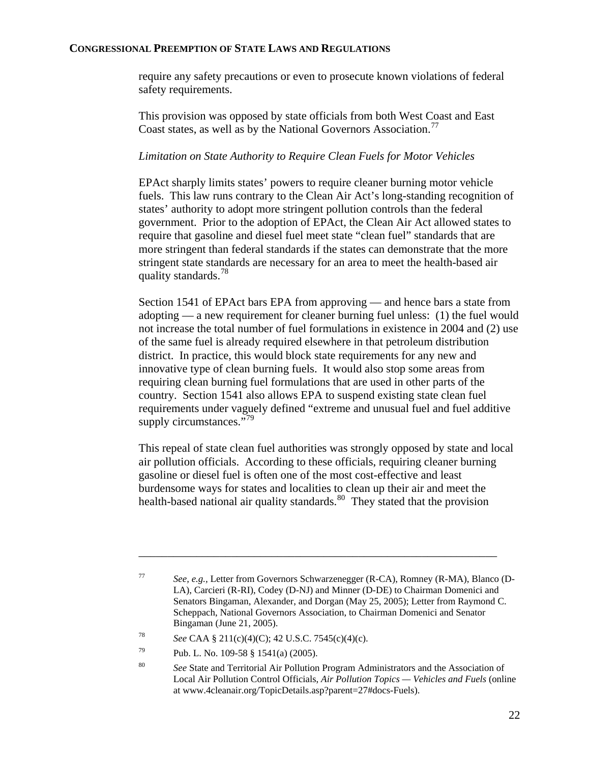require any safety precautions or even to prosecute known violations of federal safety requirements.

This provision was opposed by state officials from both West Coast and East Coast states, as well as by the National Governors Association.<sup>[77](#page-23-0)</sup>

## *Limitation on State Authority to Require Clean Fuels for Motor Vehicles*

EPAct sharply limits states' powers to require cleaner burning motor vehicle fuels. This law runs contrary to the Clean Air Act's long-standing recognition of states' authority to adopt more stringent pollution controls than the federal government. Prior to the adoption of EPAct, the Clean Air Act allowed states to require that gasoline and diesel fuel meet state "clean fuel" standards that are more stringent than federal standards if the states can demonstrate that the more stringent state standards are necessary for an area to meet the health-based air quality standards.<sup>[78](#page-23-1)</sup>

Section 1541 of EPAct bars EPA from approving — and hence bars a state from adopting — a new requirement for cleaner burning fuel unless: (1) the fuel would not increase the total number of fuel formulations in existence in 2004 and (2) use of the same fuel is already required elsewhere in that petroleum distribution district. In practice, this would block state requirements for any new and innovative type of clean burning fuels. It would also stop some areas from requiring clean burning fuel formulations that are used in other parts of the country. Section 1541 also allows EPA to suspend existing state clean fuel requirements under vaguely defined "extreme and unusual fuel and fuel additive supply circumstances."<sup>[79](#page-23-2)</sup>

This repeal of state clean fuel authorities was strongly opposed by state and local air pollution officials. According to these officials, requiring cleaner burning gasoline or diesel fuel is often one of the most cost-effective and least burdensome ways for states and localities to clean up their air and meet the health-based national air quality standards. $\frac{80}{30}$  $\frac{80}{30}$  $\frac{80}{30}$  They stated that the provision

<span id="page-23-0"></span><sup>77</sup> *See, e.g.,* Letter from Governors Schwarzenegger (R-CA), Romney (R-MA), Blanco (D-LA), Carcieri (R-RI), Codey (D-NJ) and Minner (D-DE) to Chairman Domenici and Senators Bingaman, Alexander, and Dorgan (May 25, 2005); Letter from Raymond C. Scheppach, National Governors Association, to Chairman Domenici and Senator Bingaman (June 21, 2005).

<span id="page-23-1"></span><sup>78</sup> *See* CAA § 211(c)(4)(C); 42 U.S.C. 7545(c)(4)(c).

<span id="page-23-2"></span><sup>&</sup>lt;sup>79</sup> Pub. L. No. 109-58 § 1541(a) (2005).

<span id="page-23-3"></span><sup>80</sup> *See* State and Territorial Air Pollution Program Administrators and the Association of Local Air Pollution Control Officials, *Air Pollution Topics — Vehicles and Fuels* (online at www.4cleanair.org/TopicDetails.asp?parent=27#docs-Fuels).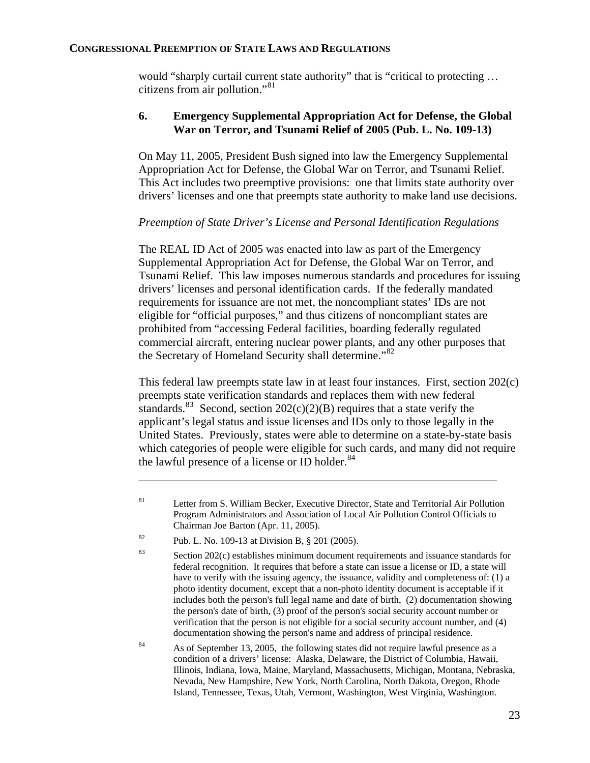would "sharply curtail current state authority" that is "critical to protecting … citizens from air pollution."[81](#page-24-0)

## **6. Emergency Supplemental Appropriation Act for Defense, the Global War on Terror, and Tsunami Relief of 2005 (Pub. L. No. 109-13)**

On May 11, 2005, President Bush signed into law the Emergency Supplemental Appropriation Act for Defense, the Global War on Terror, and Tsunami Relief. This Act includes two preemptive provisions: one that limits state authority over drivers' licenses and one that preempts state authority to make land use decisions.

## *Preemption of State Driver's License and Personal Identification Regulations*

The REAL ID Act of 2005 was enacted into law as part of the Emergency Supplemental Appropriation Act for Defense, the Global War on Terror, and Tsunami Relief. This law imposes numerous standards and procedures for issuing drivers' licenses and personal identification cards. If the federally mandated requirements for issuance are not met, the noncompliant states' IDs are not eligible for "official purposes," and thus citizens of noncompliant states are prohibited from "accessing Federal facilities, boarding federally regulated commercial aircraft, entering nuclear power plants, and any other purposes that the Secretary of Homeland Security shall determine."<sup>[82](#page-24-1)</sup>

This federal law preempts state law in at least four instances. First, section 202(c) preempts state verification standards and replaces them with new federal standards.<sup>[83](#page-24-2)</sup> Second, section  $202(c)(2)(B)$  requires that a state verify the applicant's legal status and issue licenses and IDs only to those legally in the United States. Previously, states were able to determine on a state-by-state basis which categories of people were eligible for such cards, and many did not require the lawful presence of a license or ID holder. $84$ 

\_\_\_\_\_\_\_\_\_\_\_\_\_\_\_\_\_\_\_\_\_\_\_\_\_\_\_\_\_\_\_\_\_\_\_\_\_\_\_\_\_\_\_\_\_\_\_\_\_\_\_\_\_\_\_\_\_\_\_\_\_\_

<span id="page-24-3"></span>84 As of September 13, 2005, the following states did not require lawful presence as a condition of a drivers' license: Alaska, Delaware, the District of Columbia, Hawaii, Illinois, Indiana, Iowa, Maine, Maryland, Massachusetts, Michigan, Montana, Nebraska, Nevada, New Hampshire, New York, North Carolina, North Dakota, Oregon, Rhode Island, Tennessee, Texas, Utah, Vermont, Washington, West Virginia, Washington.

<span id="page-24-0"></span><sup>&</sup>lt;sup>81</sup> Letter from S. William Becker, Executive Director, State and Territorial Air Pollution Program Administrators and Association of Local Air Pollution Control Officials to Chairman Joe Barton (Apr. 11, 2005).

<span id="page-24-1"></span><sup>82</sup> Pub. L. No. 109-13 at Division B, § 201 (2005).

<span id="page-24-2"></span><sup>83</sup> Section 202(c) establishes minimum document requirements and issuance standards for federal recognition. It requires that before a state can issue a license or ID, a state will have to verify with the issuing agency, the issuance, validity and completeness of: (1) a photo identity document, except that a non-photo identity document is acceptable if it includes both the person's full legal name and date of birth, (2) documentation showing the person's date of birth, (3) proof of the person's social security account number or verification that the person is not eligible for a social security account number, and (4) documentation showing the person's name and address of principal residence.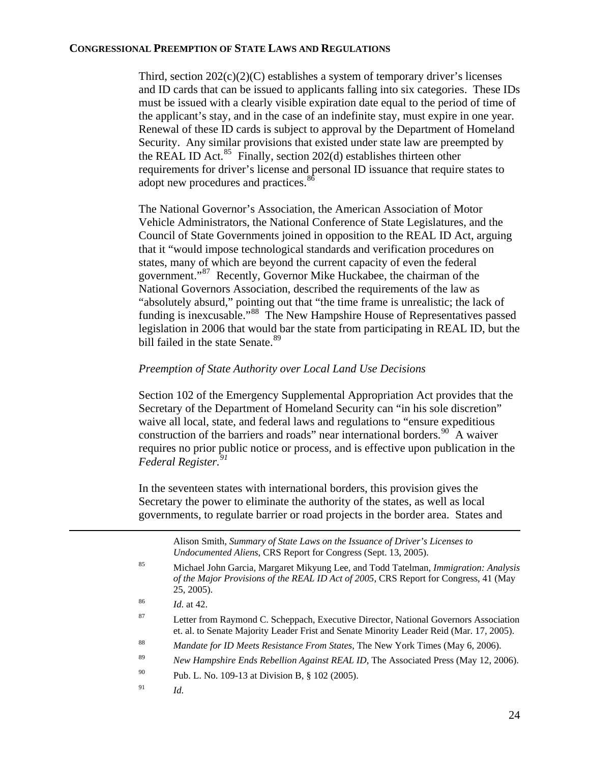Third, section  $202(c)(2)(C)$  establishes a system of temporary driver's licenses and ID cards that can be issued to applicants falling into six categories. These IDs must be issued with a clearly visible expiration date equal to the period of time of the applicant's stay, and in the case of an indefinite stay, must expire in one year. Renewal of these ID cards is subject to approval by the Department of Homeland Security. Any similar provisions that existed under state law are preempted by the REAL ID Act.<sup>[85](#page-25-0)</sup> Finally, section 202(d) establishes thirteen other requirements for driver's license and personal ID issuance that require states to adopt new procedures and practices.<sup>[86](#page-25-1)</sup>

The National Governor's Association, the American Association of Motor Vehicle Administrators, the National Conference of State Legislatures, and the Council of State Governments joined in opposition to the REAL ID Act, arguing that it "would impose technological standards and verification procedures on states, many of which are beyond the current capacity of even the federal government."[87](#page-25-2) Recently, Governor Mike Huckabee, the chairman of the National Governors Association, described the requirements of the law as "absolutely absurd," pointing out that "the time frame is unrealistic; the lack of funding is inexcusable."[88](#page-25-3) The New Hampshire House of Representatives passed legislation in 2006 that would bar the state from participating in REAL ID, but the bill failed in the state Senate.<sup>[89](#page-25-4)</sup>

## *Preemption of State Authority over Local Land Use Decisions*

Section 102 of the Emergency Supplemental Appropriation Act provides that the Secretary of the Department of Homeland Security can "in his sole discretion" waive all local, state, and federal laws and regulations to "ensure expeditious construction of the barriers and roads" near international borders.<sup>[90](#page-25-5)</sup> A waiver requires no prior public notice or process, and is effective upon publication in the *Federal Register.[91](#page-25-6)*

In the seventeen states with international borders, this provision gives the Secretary the power to eliminate the authority of the states, as well as local governments, to regulate barrier or road projects in the border area. States and

| Alison Smith, Summary of State Laws on the Issuance of Driver's Licenses to |
|-----------------------------------------------------------------------------|
| <i>Undocumented Aliens, CRS Report for Congress (Sept. 13, 2005).</i>       |
|                                                                             |

<span id="page-25-3"></span><span id="page-25-2"></span><span id="page-25-1"></span><span id="page-25-0"></span> $\overline{a}$ 

<sup>85</sup> Michael John Garcia, Margaret Mikyung Lee, and Todd Tatelman, *Immigration: Analysis of the Major Provisions of the REAL ID Act of 2005*, CRS Report for Congress, 41 (May 25, 2005).

<sup>86</sup> *Id*. at 42.

<sup>&</sup>lt;sup>87</sup> Letter from Raymond C. Scheppach, Executive Director, National Governors Association et. al. to Senate Majority Leader Frist and Senate Minority Leader Reid (Mar. 17, 2005).

<sup>88</sup> *Mandate for ID Meets Resistance From States*, The New York Times (May 6, 2006).

<sup>89</sup> *New Hampshire Ends Rebellion Against REAL ID*, The Associated Press (May 12, 2006).

<span id="page-25-5"></span><span id="page-25-4"></span><sup>90</sup> Pub. L. No. 109-13 at Division B, § 102 (2005).

<span id="page-25-6"></span><sup>91</sup> *Id*.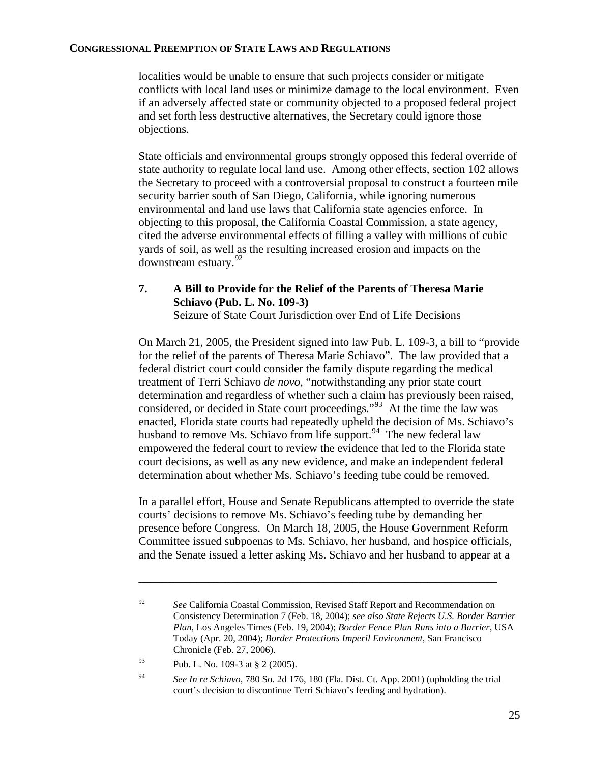localities would be unable to ensure that such projects consider or mitigate conflicts with local land uses or minimize damage to the local environment. Even if an adversely affected state or community objected to a proposed federal project and set forth less destructive alternatives, the Secretary could ignore those objections.

State officials and environmental groups strongly opposed this federal override of state authority to regulate local land use. Among other effects, section 102 allows the Secretary to proceed with a controversial proposal to construct a fourteen mile security barrier south of San Diego, California, while ignoring numerous environmental and land use laws that California state agencies enforce. In objecting to this proposal, the California Coastal Commission, a state agency, cited the adverse environmental effects of filling a valley with millions of cubic yards of soil, as well as the resulting increased erosion and impacts on the downstream estuary.[92](#page-26-0)

## **7. A Bill to Provide for the Relief of the Parents of Theresa Marie Schiavo (Pub. L. No. 109-3)**

Seizure of State Court Jurisdiction over End of Life Decisions

On March 21, 2005, the President signed into law Pub. L. 109-3, a bill to "provide for the relief of the parents of Theresa Marie Schiavo". The law provided that a federal district court could consider the family dispute regarding the medical treatment of Terri Schiavo *de novo*, "notwithstanding any prior state court determination and regardless of whether such a claim has previously been raised, considered, or decided in State court proceedings."[93](#page-26-1) At the time the law was enacted, Florida state courts had repeatedly upheld the decision of Ms. Schiavo's husband to remove Ms. Schiavo from life support. <sup>[94](#page-26-2)</sup> The new federal law empowered the federal court to review the evidence that led to the Florida state court decisions, as well as any new evidence, and make an independent federal determination about whether Ms. Schiavo's feeding tube could be removed.

In a parallel effort, House and Senate Republicans attempted to override the state courts' decisions to remove Ms. Schiavo's feeding tube by demanding her presence before Congress. On March 18, 2005, the House Government Reform Committee issued subpoenas to Ms. Schiavo, her husband, and hospice officials, and the Senate issued a letter asking Ms. Schiavo and her husband to appear at a

<span id="page-26-0"></span><sup>92</sup> *See* California Coastal Commission, Revised Staff Report and Recommendation on Consistency Determination 7 (Feb. 18, 2004); *see also State Rejects U.S. Border Barrier Plan*, Los Angeles Times (Feb. 19, 2004); *Border Fence Plan Runs into a Barrier*, USA Today (Apr. 20, 2004); *Border Protections Imperil Environment*, San Francisco Chronicle (Feb. 27, 2006).

<sup>93</sup> Pub. L. No. 109-3 at § 2 (2005).

<span id="page-26-2"></span><span id="page-26-1"></span><sup>94</sup> *See In re Schiavo*, 780 So. 2d 176, 180 (Fla. Dist. Ct. App. 2001) (upholding the trial court's decision to discontinue Terri Schiavo's feeding and hydration).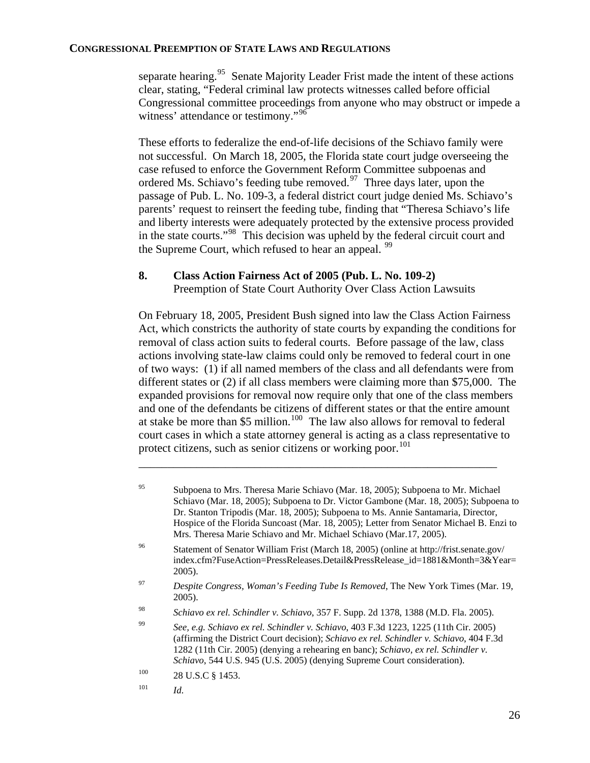separate hearing.<sup>[95](#page-27-0)</sup> Senate Majority Leader Frist made the intent of these actions clear, stating, "Federal criminal law protects witnesses called before official Congressional committee proceedings from anyone who may obstruct or impede a witness' attendance or testimony."<sup>[96](#page-27-1)</sup>

These efforts to federalize the end-of-life decisions of the Schiavo family were not successful. On March 18, 2005, the Florida state court judge overseeing the case refused to enforce the Government Reform Committee subpoenas and ordered Ms. Schiavo's feeding tube removed.<sup>[97](#page-27-2)</sup> Three days later, upon the passage of Pub. L. No. 109-3, a federal district court judge denied Ms. Schiavo's parents' request to reinsert the feeding tube, finding that "Theresa Schiavo's life and liberty interests were adequately protected by the extensive process provided in the state courts."[98](#page-27-3) This decision was upheld by the federal circuit court and the Supreme Court, which refused to hear an appeal. <sup>[99](#page-27-4)</sup>

## **8. Class Action Fairness Act of 2005 (Pub. L. No. 109-2)**  Preemption of State Court Authority Over Class Action Lawsuits

On February 18, 2005, President Bush signed into law the Class Action Fairness Act, which constricts the authority of state courts by expanding the conditions for removal of class action suits to federal courts. Before passage of the law, class actions involving state-law claims could only be removed to federal court in one of two ways: (1) if all named members of the class and all defendants were from different states or (2) if all class members were claiming more than \$75,000. The expanded provisions for removal now require only that one of the class members and one of the defendants be citizens of different states or that the entire amount at stake be more than \$5 million.[100](#page-27-5) The law also allows for removal to federal court cases in which a state attorney general is acting as a class representative to protect citizens, such as senior citizens or working poor.<sup>[101](#page-27-6)</sup>

\_\_\_\_\_\_\_\_\_\_\_\_\_\_\_\_\_\_\_\_\_\_\_\_\_\_\_\_\_\_\_\_\_\_\_\_\_\_\_\_\_\_\_\_\_\_\_\_\_\_\_\_\_\_\_\_\_\_\_\_\_\_

- <span id="page-27-1"></span>96 Statement of Senator William Frist (March 18, 2005) (online at http://frist.senate.gov/ index.cfm?FuseAction=PressReleases.Detail&PressRelease\_id=1881&Month=3&Year= 2005).
- <span id="page-27-2"></span>97 *Despite Congress, Woman's Feeding Tube Is Removed*, The New York Times (Mar. 19, 2005).
- <span id="page-27-3"></span>98 *Schiavo ex rel. Schindler v. Schiavo*, 357 F. Supp. 2d 1378, 1388 (M.D. Fla. 2005).
- <span id="page-27-4"></span>99 *See, e.g. Schiavo ex rel. Schindler v. Schiavo*, 403 F.3d 1223, 1225 (11th Cir. 2005) (affirming the District Court decision); *Schiavo ex rel. Schindler v. Schiavo*, 404 F.3d 1282 (11th Cir. 2005) (denying a rehearing en banc); *Schiavo, ex rel. Schindler v. Schiavo*, 544 U.S. 945 (U.S. 2005) (denying Supreme Court consideration).

101 *Id*.

<span id="page-27-0"></span><sup>95</sup> Subpoena to Mrs. Theresa Marie Schiavo (Mar. 18, 2005); Subpoena to Mr. Michael Schiavo (Mar. 18, 2005); Subpoena to Dr. Victor Gambone (Mar. 18, 2005); Subpoena to Dr. Stanton Tripodis (Mar. 18, 2005); Subpoena to Ms. Annie Santamaria, Director, Hospice of the Florida Suncoast (Mar. 18, 2005); Letter from Senator Michael B. Enzi to Mrs. Theresa Marie Schiavo and Mr. Michael Schiavo (Mar.17, 2005).

<span id="page-27-6"></span><span id="page-27-5"></span><sup>100 28</sup> U.S.C § 1453.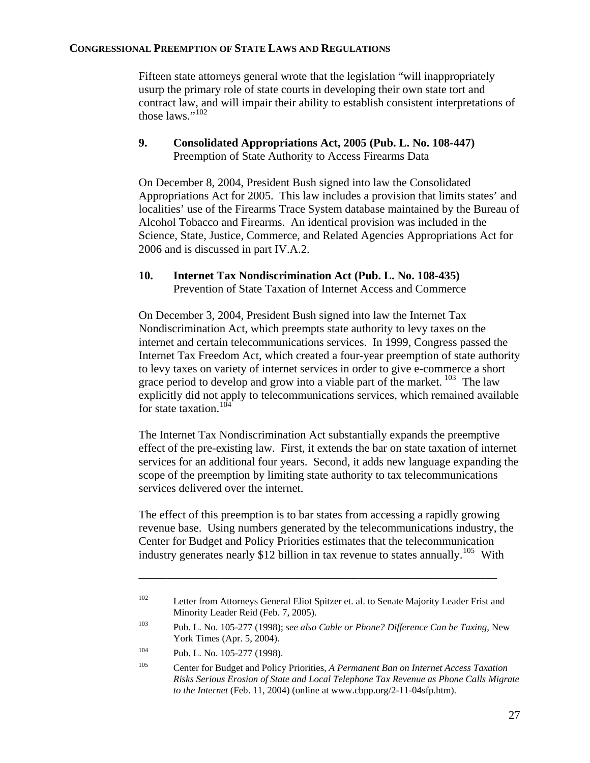Fifteen state attorneys general wrote that the legislation "will inappropriately usurp the primary role of state courts in developing their own state tort and contract law, and will impair their ability to establish consistent interpretations of those laws." $102$ 

## **9. Consolidated Appropriations Act, 2005 (Pub. L. No. 108-447)**  Preemption of State Authority to Access Firearms Data

On December 8, 2004, President Bush signed into law the Consolidated Appropriations Act for 2005. This law includes a provision that limits states' and localities' use of the Firearms Trace System database maintained by the Bureau of Alcohol Tobacco and Firearms. An identical provision was included in the Science, State, Justice, Commerce, and Related Agencies Appropriations Act for 2006 and is discussed in part IV.A.2.

#### **10. Internet Tax Nondiscrimination Act (Pub. L. No. 108-435)**  Prevention of State Taxation of Internet Access and Commerce

On December 3, 2004, President Bush signed into law the Internet Tax Nondiscrimination Act, which preempts state authority to levy taxes on the internet and certain telecommunications services. In 1999, Congress passed the Internet Tax Freedom Act, which created a four-year preemption of state authority to levy taxes on variety of internet services in order to give e-commerce a short grace period to develop and grow into a viable part of the market. <sup>[103](#page-28-1)</sup> The law explicitly did not apply to telecommunications services, which remained available for state taxation. $10$ 

The Internet Tax Nondiscrimination Act substantially expands the preemptive effect of the pre-existing law. First, it extends the bar on state taxation of internet services for an additional four years. Second, it adds new language expanding the scope of the preemption by limiting state authority to tax telecommunications services delivered over the internet.

The effect of this preemption is to bar states from accessing a rapidly growing revenue base. Using numbers generated by the telecommunications industry, the Center for Budget and Policy Priorities estimates that the telecommunication industry generates nearly \$12 billion in tax revenue to states annually.<sup>[105](#page-28-3)</sup> With

<span id="page-28-0"></span><sup>&</sup>lt;sup>102</sup> Letter from Attorneys General Eliot Spitzer et. al. to Senate Majority Leader Frist and Minority Leader Reid (Feb. 7, 2005).

<span id="page-28-1"></span><sup>103</sup> Pub. L. No. 105-277 (1998); *see also Cable or Phone? Difference Can be Taxing*, New York Times (Apr. 5, 2004).

<span id="page-28-2"></span><sup>104</sup> Pub. L. No. 105-277 (1998).

<span id="page-28-3"></span><sup>105</sup> Center for Budget and Policy Priorities, *A Permanent Ban on Internet Access Taxation Risks Serious Erosion of State and Local Telephone Tax Revenue as Phone Calls Migrate to the Internet* (Feb. 11, 2004) (online at www.cbpp.org/2-11-04sfp.htm).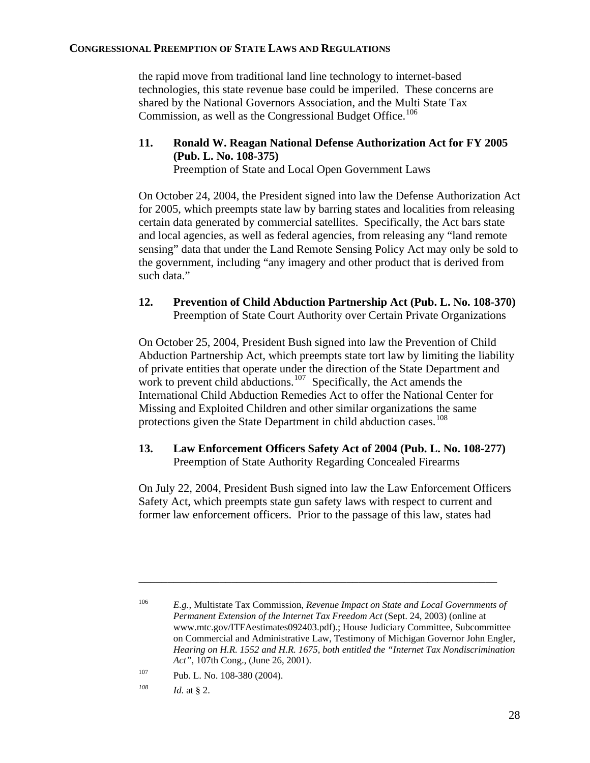the rapid move from traditional land line technology to internet-based technologies, this state revenue base could be imperiled. These concerns are shared by the National Governors Association, and the Multi State Tax Commission, as well as the Congressional Budget Office.<sup>[106](#page-29-0)</sup>

## **11. Ronald W. Reagan National Defense Authorization Act for FY 2005 (Pub. L. No. 108-375)**

Preemption of State and Local Open Government Laws

On October 24, 2004, the President signed into law the Defense Authorization Act for 2005, which preempts state law by barring states and localities from releasing certain data generated by commercial satellites. Specifically, the Act bars state and local agencies, as well as federal agencies, from releasing any "land remote sensing" data that under the Land Remote Sensing Policy Act may only be sold to the government, including "any imagery and other product that is derived from such data."

## **12. Prevention of Child Abduction Partnership Act (Pub. L. No. 108-370)**  Preemption of State Court Authority over Certain Private Organizations

On October 25, 2004, President Bush signed into law the Prevention of Child Abduction Partnership Act, which preempts state tort law by limiting the liability of private entities that operate under the direction of the State Department and work to prevent child abductions.<sup>[107](#page-29-1)</sup> Specifically, the Act amends the International Child Abduction Remedies Act to offer the National Center for Missing and Exploited Children and other similar organizations the same protections given the State Department in child abduction cases.<sup>[108](#page-29-2)</sup>

## **13. Law Enforcement Officers Safety Act of 2004 (Pub. L. No. 108-277)**  Preemption of State Authority Regarding Concealed Firearms

On July 22, 2004, President Bush signed into law the Law Enforcement Officers Safety Act, which preempts state gun safety laws with respect to current and former law enforcement officers. Prior to the passage of this law, states had

<span id="page-29-0"></span><sup>106</sup> *E.g.,* Multistate Tax Commission, *Revenue Impact on State and Local Governments of Permanent Extension of the Internet Tax Freedom Act* (Sept. 24, 2003) (online at www.mtc.gov/ITFAestimates092403.pdf).; House Judiciary Committee, Subcommittee on Commercial and Administrative Law, Testimony of Michigan Governor John Engler, *Hearing on H.R. 1552 and H.R. 1675, both entitled the "Internet Tax Nondiscrimination Act"*, 107th Cong., (June 26, 2001).

<span id="page-29-2"></span><span id="page-29-1"></span><sup>107</sup> Pub. L. No. 108-380 (2004).

*<sup>108</sup> Id*. at § 2.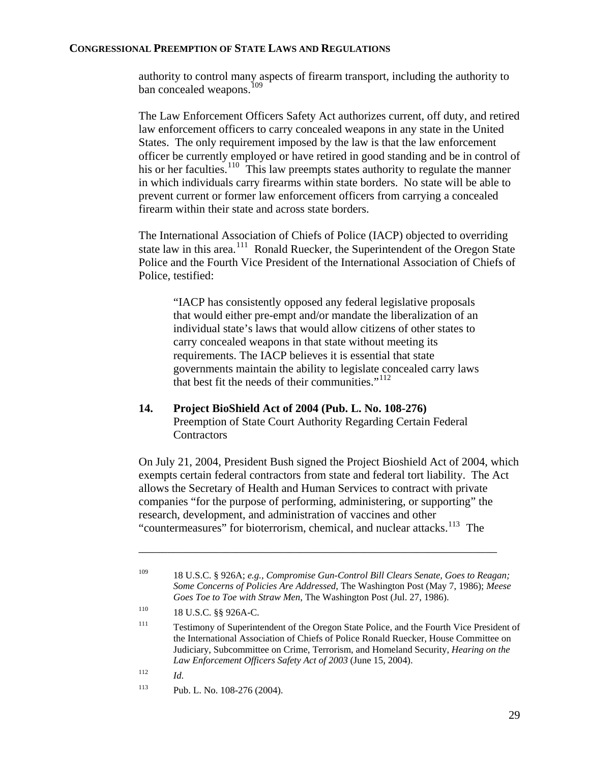authority to control many aspects of firearm transport, including the authority to ban concealed weapons.<sup>[109](#page-30-0)</sup>

The Law Enforcement Officers Safety Act authorizes current, off duty, and retired law enforcement officers to carry concealed weapons in any state in the United States. The only requirement imposed by the law is that the law enforcement officer be currently employed or have retired in good standing and be in control of his or her faculties.<sup>[110](#page-30-1)</sup> This law preempts states authority to regulate the manner in which individuals carry firearms within state borders. No state will be able to prevent current or former law enforcement officers from carrying a concealed firearm within their state and across state borders.

The International Association of Chiefs of Police (IACP) objected to overriding state law in this area.<sup>[111](#page-30-2)</sup> Ronald Ruecker, the Superintendent of the Oregon State Police and the Fourth Vice President of the International Association of Chiefs of Police, testified:

"IACP has consistently opposed any federal legislative proposals that would either pre-empt and/or mandate the liberalization of an individual state's laws that would allow citizens of other states to carry concealed weapons in that state without meeting its requirements. The IACP believes it is essential that state governments maintain the ability to legislate concealed carry laws that best fit the needs of their communities."<sup>[112](#page-30-3)</sup>

#### **14. Project BioShield Act of 2004 (Pub. L. No. 108-276)**  Preemption of State Court Authority Regarding Certain Federal **Contractors**

On July 21, 2004, President Bush signed the Project Bioshield Act of 2004, which exempts certain federal contractors from state and federal tort liability. The Act allows the Secretary of Health and Human Services to contract with private companies "for the purpose of performing, administering, or supporting" the research, development, and administration of vaccines and other "countermeasures" for bioterrorism, chemical, and nuclear attacks.<sup>[113](#page-30-4)</sup> The

- <span id="page-30-3"></span> $112$  *Id.*
- <span id="page-30-4"></span>113 Pub. L. No. 108-276 (2004).

<span id="page-30-0"></span><sup>109 18</sup> U.S.C. § 926A; *e.g., Compromise Gun-Control Bill Clears Senate, Goes to Reagan; Some Concerns of Policies Are Addressed*, The Washington Post (May 7, 1986); *Meese Goes Toe to Toe with Straw Men*, The Washington Post (Jul. 27, 1986).

<span id="page-30-1"></span><sup>110 18</sup> U.S.C. §§ 926A-C.

<span id="page-30-2"></span><sup>&</sup>lt;sup>111</sup> Testimony of Superintendent of the Oregon State Police, and the Fourth Vice President of the International Association of Chiefs of Police Ronald Ruecker, House Committee on Judiciary, Subcommittee on Crime, Terrorism, and Homeland Security, *Hearing on the Law Enforcement Officers Safety Act of 2003* (June 15, 2004).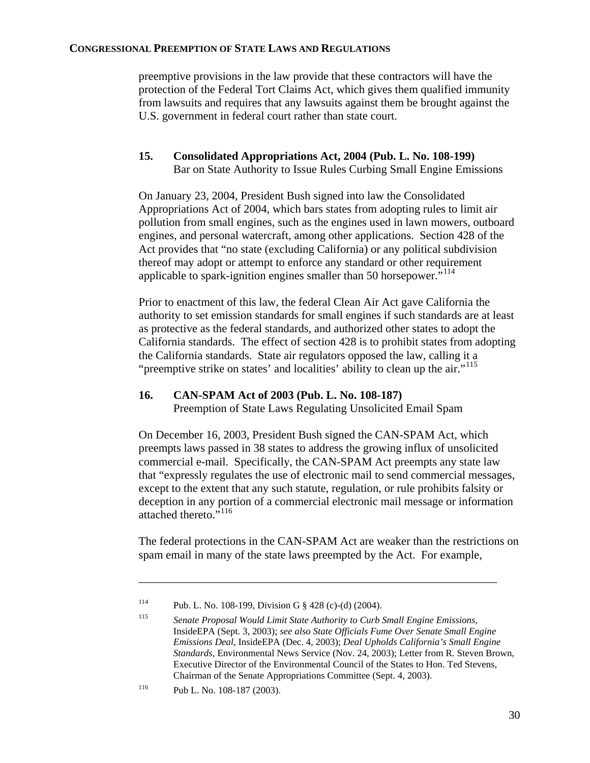preemptive provisions in the law provide that these contractors will have the protection of the Federal Tort Claims Act, which gives them qualified immunity from lawsuits and requires that any lawsuits against them be brought against the U.S. government in federal court rather than state court.

## **15. Consolidated Appropriations Act, 2004 (Pub. L. No. 108-199)**  Bar on State Authority to Issue Rules Curbing Small Engine Emissions

On January 23, 2004, President Bush signed into law the Consolidated Appropriations Act of 2004, which bars states from adopting rules to limit air pollution from small engines, such as the engines used in lawn mowers, outboard engines, and personal watercraft, among other applications. Section 428 of the Act provides that "no state (excluding California) or any political subdivision thereof may adopt or attempt to enforce any standard or other requirement applicable to spark-ignition engines smaller than 50 horsepower.<sup>5[114](#page-31-0)</sup>

Prior to enactment of this law, the federal Clean Air Act gave California the authority to set emission standards for small engines if such standards are at least as protective as the federal standards, and authorized other states to adopt the California standards. The effect of section 428 is to prohibit states from adopting the California standards. State air regulators opposed the law, calling it a "preemptive strike on states' and localities' ability to clean up the air."<sup>[115](#page-31-1)</sup>

## **16. CAN-SPAM Act of 2003 (Pub. L. No. 108-187)**

Preemption of State Laws Regulating Unsolicited Email Spam

On December 16, 2003, President Bush signed the CAN-SPAM Act, which preempts laws passed in 38 states to address the growing influx of unsolicited commercial e-mail. Specifically, the CAN-SPAM Act preempts any state law that "expressly regulates the use of electronic mail to send commercial messages, except to the extent that any such statute, regulation, or rule prohibits falsity or deception in any portion of a commercial electronic mail message or information attached thereto."<sup>[116](#page-31-2)</sup>

The federal protections in the CAN-SPAM Act are weaker than the restrictions on spam email in many of the state laws preempted by the Act. For example,

<span id="page-31-0"></span><sup>114</sup> Pub. L. No. 108-199, Division G § 428 (c)-(d) (2004).

<span id="page-31-1"></span><sup>115</sup> *Senate Proposal Would Limit State Authority to Curb Small Engine Emissions*, InsideEPA (Sept. 3, 2003); *see also State Officials Fume Over Senate Small Engine Emissions Deal*, InsideEPA (Dec. 4, 2003); *Deal Upholds California's Small Engine Standards*, Environmental News Service (Nov. 24, 2003); Letter from R. Steven Brown, Executive Director of the Environmental Council of the States to Hon. Ted Stevens, Chairman of the Senate Appropriations Committee (Sept. 4, 2003).

<span id="page-31-2"></span><sup>116</sup> Pub L. No. 108-187 (2003).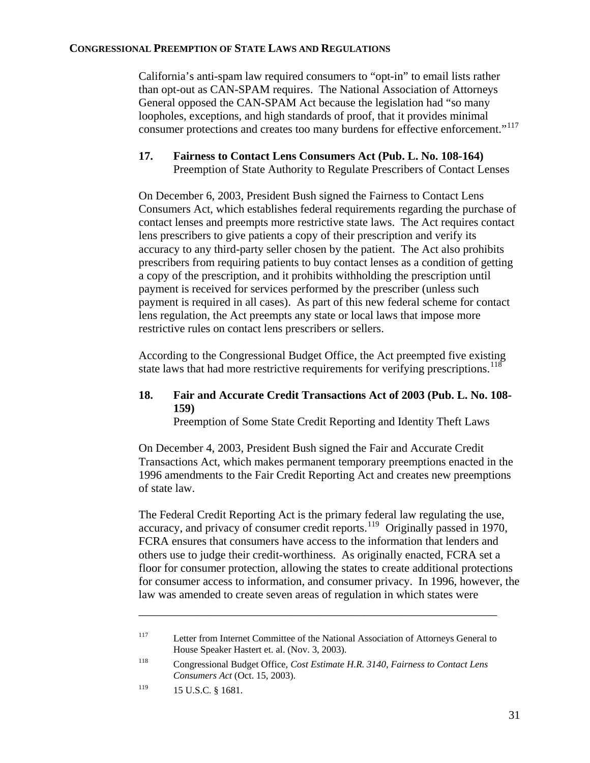California's anti-spam law required consumers to "opt-in" to email lists rather than opt-out as CAN-SPAM requires. The National Association of Attorneys General opposed the CAN-SPAM Act because the legislation had "so many loopholes, exceptions, and high standards of proof, that it provides minimal consumer protections and creates too many burdens for effective enforcement."<sup>[117](#page-32-0)</sup>

## **17. Fairness to Contact Lens Consumers Act (Pub. L. No. 108-164)**  Preemption of State Authority to Regulate Prescribers of Contact Lenses

On December 6, 2003, President Bush signed the Fairness to Contact Lens Consumers Act, which establishes federal requirements regarding the purchase of contact lenses and preempts more restrictive state laws. The Act requires contact lens prescribers to give patients a copy of their prescription and verify its accuracy to any third-party seller chosen by the patient. The Act also prohibits prescribers from requiring patients to buy contact lenses as a condition of getting a copy of the prescription, and it prohibits withholding the prescription until payment is received for services performed by the prescriber (unless such payment is required in all cases). As part of this new federal scheme for contact lens regulation, the Act preempts any state or local laws that impose more restrictive rules on contact lens prescribers or sellers.

According to the Congressional Budget Office, the Act preempted five existing state laws that had more restrictive requirements for verifying prescriptions.<sup>[118](#page-32-1)</sup>

## **18. Fair and Accurate Credit Transactions Act of 2003 (Pub. L. No. 108- 159)**

Preemption of Some State Credit Reporting and Identity Theft Laws

On December 4, 2003, President Bush signed the Fair and Accurate Credit Transactions Act, which makes permanent temporary preemptions enacted in the 1996 amendments to the Fair Credit Reporting Act and creates new preemptions of state law.

The Federal Credit Reporting Act is the primary federal law regulating the use, accuracy, and privacy of consumer credit reports.<sup>[119](#page-32-2)</sup> Originally passed in 1970, FCRA ensures that consumers have access to the information that lenders and others use to judge their credit-worthiness. As originally enacted, FCRA set a floor for consumer protection, allowing the states to create additional protections for consumer access to information, and consumer privacy. In 1996, however, the law was amended to create seven areas of regulation in which states were

<span id="page-32-0"></span>117 Letter from Internet Committee of the National Association of Attorneys General to House Speaker Hastert et. al. (Nov. 3, 2003).

<span id="page-32-1"></span><sup>118</sup> Congressional Budget Office, *Cost Estimate H.R. 3140, Fairness to Contact Lens Consumers Act* (Oct. 15, 2003).

<span id="page-32-2"></span> $119$  15 U.S.C. § 1681.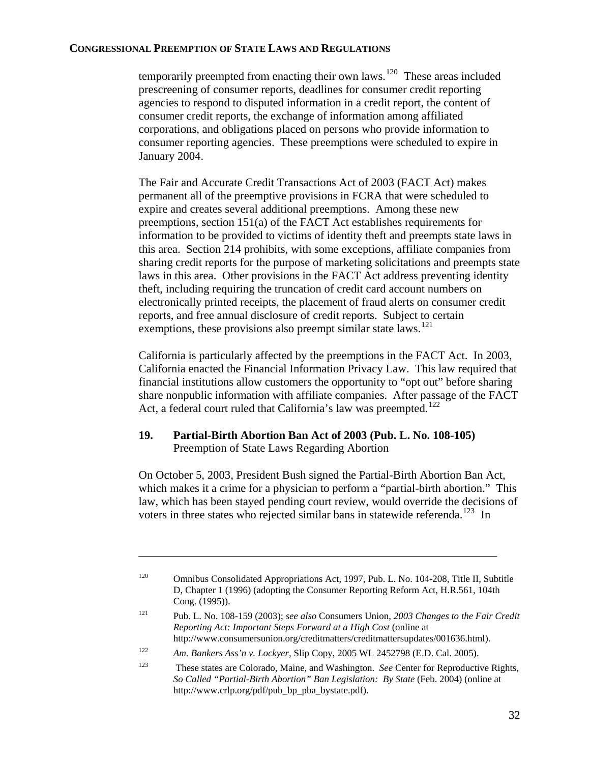temporarily preempted from enacting their own laws.<sup>[120](#page-33-0)</sup> These areas included prescreening of consumer reports, deadlines for consumer credit reporting agencies to respond to disputed information in a credit report, the content of consumer credit reports, the exchange of information among affiliated corporations, and obligations placed on persons who provide information to consumer reporting agencies. These preemptions were scheduled to expire in January 2004.

The Fair and Accurate Credit Transactions Act of 2003 (FACT Act) makes permanent all of the preemptive provisions in FCRA that were scheduled to expire and creates several additional preemptions. Among these new preemptions, section 151(a) of the FACT Act establishes requirements for information to be provided to victims of identity theft and preempts state laws in this area. Section 214 prohibits, with some exceptions, affiliate companies from sharing credit reports for the purpose of marketing solicitations and preempts state laws in this area. Other provisions in the FACT Act address preventing identity theft, including requiring the truncation of credit card account numbers on electronically printed receipts, the placement of fraud alerts on consumer credit reports, and free annual disclosure of credit reports. Subject to certain exemptions, these provisions also preempt similar state laws.<sup>[121](#page-33-1)</sup>

California is particularly affected by the preemptions in the FACT Act. In 2003, California enacted the Financial Information Privacy Law. This law required that financial institutions allow customers the opportunity to "opt out" before sharing share nonpublic information with affiliate companies. After passage of the FACT Act, a federal court ruled that California's law was preempted.<sup>[122](#page-33-2)</sup>

## **19. Partial-Birth Abortion Ban Act of 2003 (Pub. L. No. 108-105)**  Preemption of State Laws Regarding Abortion

On October 5, 2003, President Bush signed the Partial-Birth Abortion Ban Act, which makes it a crime for a physician to perform a "partial-birth abortion." This law, which has been stayed pending court review, would override the decisions of voters in three states who rejected similar bans in statewide referenda.<sup>[123](#page-33-3)</sup> In

\_\_\_\_\_\_\_\_\_\_\_\_\_\_\_\_\_\_\_\_\_\_\_\_\_\_\_\_\_\_\_\_\_\_\_\_\_\_\_\_\_\_\_\_\_\_\_\_\_\_\_\_\_\_\_\_\_\_\_\_\_\_

<span id="page-33-2"></span>122 *Am. Bankers Ass'n v. Lockyer*, Slip Copy, 2005 WL 2452798 (E.D. Cal. 2005).

<span id="page-33-0"></span><sup>120</sup> Omnibus Consolidated Appropriations Act, 1997, Pub. L. No. 104-208, Title II, Subtitle D, Chapter 1 (1996) (adopting the Consumer Reporting Reform Act, H.R.561, 104th Cong. (1995)).

<span id="page-33-1"></span><sup>121</sup> Pub. L. No. 108-159 (2003); *see also* Consumers Union, *2003 Changes to the Fair Credit Reporting Act: Important Steps Forward at a High Cost* (online at http://www.consumersunion.org/creditmatters/creditmattersupdates/001636.html).

<span id="page-33-3"></span><sup>123</sup> These states are Colorado, Maine, and Washington. *See* Center for Reproductive Rights, *So Called "Partial-Birth Abortion" Ban Legislation: By State* (Feb. 2004) (online at http://www.crlp.org/pdf/pub\_bp\_pba\_bystate.pdf).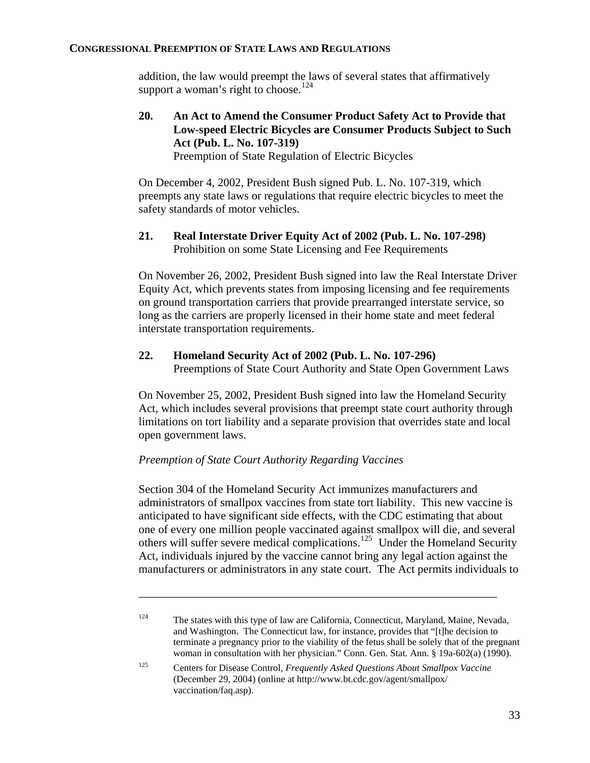addition, the law would preempt the laws of several states that affirmatively support a woman's right to choose.<sup>[124](#page-34-0)</sup>

**20. An Act to Amend the Consumer Product Safety Act to Provide that Low-speed Electric Bicycles are Consumer Products Subject to Such Act (Pub. L. No. 107-319)** Preemption of State Regulation of Electric Bicycles

On December 4, 2002, President Bush signed Pub. L. No. 107-319, which preempts any state laws or regulations that require electric bicycles to meet the safety standards of motor vehicles.

**21. Real Interstate Driver Equity Act of 2002 (Pub. L. No. 107-298)**  Prohibition on some State Licensing and Fee Requirements

On November 26, 2002, President Bush signed into law the Real Interstate Driver Equity Act, which prevents states from imposing licensing and fee requirements on ground transportation carriers that provide prearranged interstate service, so long as the carriers are properly licensed in their home state and meet federal interstate transportation requirements.

## **22. Homeland Security Act of 2002 (Pub. L. No. 107-296)** Preemptions of State Court Authority and State Open Government Laws

On November 25, 2002, President Bush signed into law the Homeland Security Act, which includes several provisions that preempt state court authority through limitations on tort liability and a separate provision that overrides state and local open government laws.

## *Preemption of State Court Authority Regarding Vaccines*

Section 304 of the Homeland Security Act immunizes manufacturers and administrators of smallpox vaccines from state tort liability. This new vaccine is anticipated to have significant side effects, with the CDC estimating that about one of every one million people vaccinated against smallpox will die, and several others will suffer severe medical complications.[125](#page-34-1) Under the Homeland Security Act, individuals injured by the vaccine cannot bring any legal action against the manufacturers or administrators in any state court. The Act permits individuals to

<span id="page-34-0"></span> $124$  The states with this type of law are California, Connecticut, Maryland, Maine, Nevada, and Washington. The Connecticut law, for instance, provides that "[t]he decision to terminate a pregnancy prior to the viability of the fetus shall be solely that of the pregnant woman in consultation with her physician." Conn. Gen. Stat. Ann. § 19a-602(a) (1990).

<span id="page-34-1"></span><sup>125</sup> Centers for Disease Control, *Frequently Asked Questions About Smallpox Vaccine* (December 29, 2004) (online at http://www.bt.cdc.gov/agent/smallpox/ vaccination/faq.asp).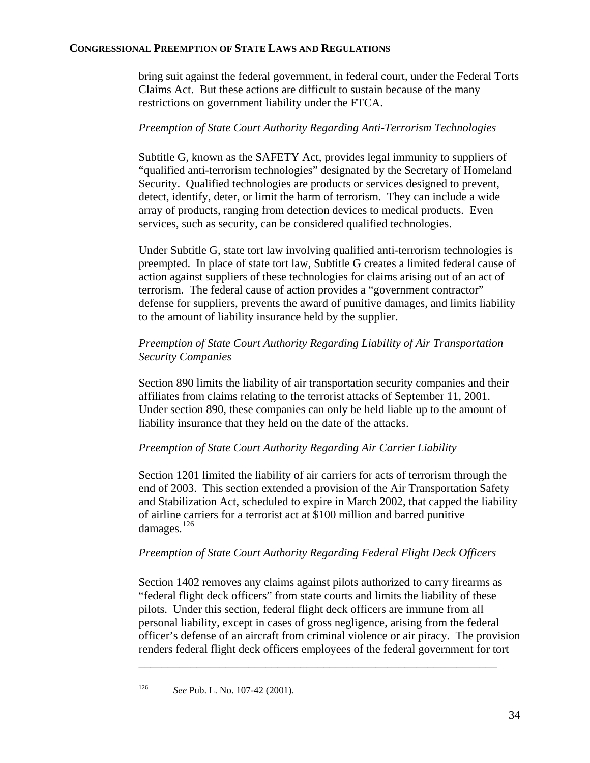bring suit against the federal government, in federal court, under the Federal Torts Claims Act. But these actions are difficult to sustain because of the many restrictions on government liability under the FTCA.

## *Preemption of State Court Authority Regarding Anti-Terrorism Technologies*

Subtitle G, known as the SAFETY Act, provides legal immunity to suppliers of "qualified anti-terrorism technologies" designated by the Secretary of Homeland Security. Qualified technologies are products or services designed to prevent, detect, identify, deter, or limit the harm of terrorism. They can include a wide array of products, ranging from detection devices to medical products. Even services, such as security, can be considered qualified technologies.

Under Subtitle G, state tort law involving qualified anti-terrorism technologies is preempted. In place of state tort law, Subtitle G creates a limited federal cause of action against suppliers of these technologies for claims arising out of an act of terrorism. The federal cause of action provides a "government contractor" defense for suppliers, prevents the award of punitive damages, and limits liability to the amount of liability insurance held by the supplier.

## *Preemption of State Court Authority Regarding Liability of Air Transportation Security Companies*

Section 890 limits the liability of air transportation security companies and their affiliates from claims relating to the terrorist attacks of September 11, 2001. Under section 890, these companies can only be held liable up to the amount of liability insurance that they held on the date of the attacks.

## *Preemption of State Court Authority Regarding Air Carrier Liability*

Section 1201 limited the liability of air carriers for acts of terrorism through the end of 2003. This section extended a provision of the Air Transportation Safety and Stabilization Act, scheduled to expire in March 2002, that capped the liability of airline carriers for a terrorist act at \$100 million and barred punitive damages. $^{126}$  $^{126}$  $^{126}$ 

## *Preemption of State Court Authority Regarding Federal Flight Deck Officers*

Section 1402 removes any claims against pilots authorized to carry firearms as "federal flight deck officers" from state courts and limits the liability of these pilots. Under this section, federal flight deck officers are immune from all personal liability, except in cases of gross negligence, arising from the federal officer's defense of an aircraft from criminal violence or air piracy. The provision renders federal flight deck officers employees of the federal government for tort

<span id="page-35-0"></span><sup>126</sup> *See* Pub. L. No. 107-42 (2001).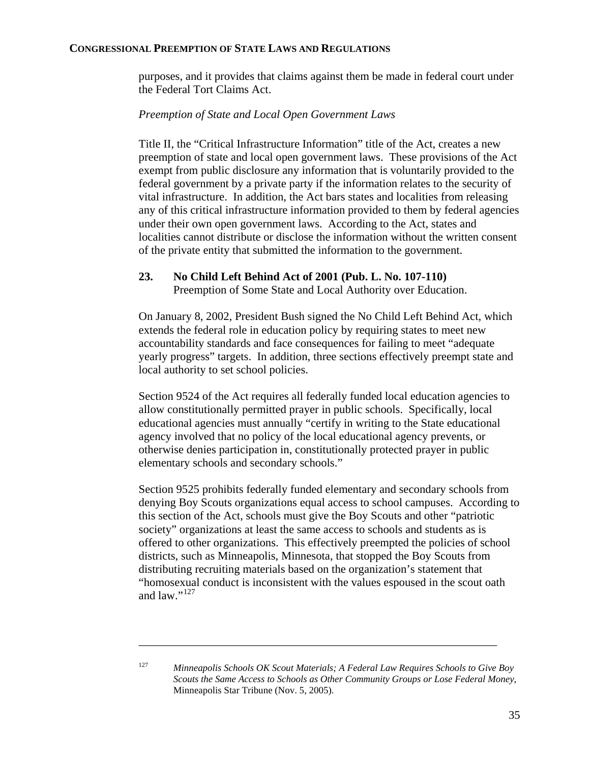purposes, and it provides that claims against them be made in federal court under the Federal Tort Claims Act.

## *Preemption of State and Local Open Government Laws*

Title II, the "Critical Infrastructure Information" title of the Act, creates a new preemption of state and local open government laws. These provisions of the Act exempt from public disclosure any information that is voluntarily provided to the federal government by a private party if the information relates to the security of vital infrastructure. In addition, the Act bars states and localities from releasing any of this critical infrastructure information provided to them by federal agencies under their own open government laws. According to the Act, states and localities cannot distribute or disclose the information without the written consent of the private entity that submitted the information to the government.

## **23. No Child Left Behind Act of 2001 (Pub. L. No. 107-110)**

Preemption of Some State and Local Authority over Education.

On January 8, 2002, President Bush signed the No Child Left Behind Act, which extends the federal role in education policy by requiring states to meet new accountability standards and face consequences for failing to meet "adequate yearly progress" targets. In addition, three sections effectively preempt state and local authority to set school policies.

Section 9524 of the Act requires all federally funded local education agencies to allow constitutionally permitted prayer in public schools. Specifically, local educational agencies must annually "certify in writing to the State educational agency involved that no policy of the local educational agency prevents, or otherwise denies participation in, constitutionally protected prayer in public elementary schools and secondary schools."

Section 9525 prohibits federally funded elementary and secondary schools from denying Boy Scouts organizations equal access to school campuses. According to this section of the Act, schools must give the Boy Scouts and other "patriotic society" organizations at least the same access to schools and students as is offered to other organizations. This effectively preempted the policies of school districts, such as Minneapolis, Minnesota, that stopped the Boy Scouts from distributing recruiting materials based on the organization's statement that "homosexual conduct is inconsistent with the values espoused in the scout oath and law $"$ <sup>[127](#page-36-0)</sup>

<span id="page-36-0"></span>

<sup>127</sup> *Minneapolis Schools OK Scout Materials; A Federal Law Requires Schools to Give Boy Scouts the Same Access to Schools as Other Community Groups or Lose Federal Money*, Minneapolis Star Tribune (Nov. 5, 2005).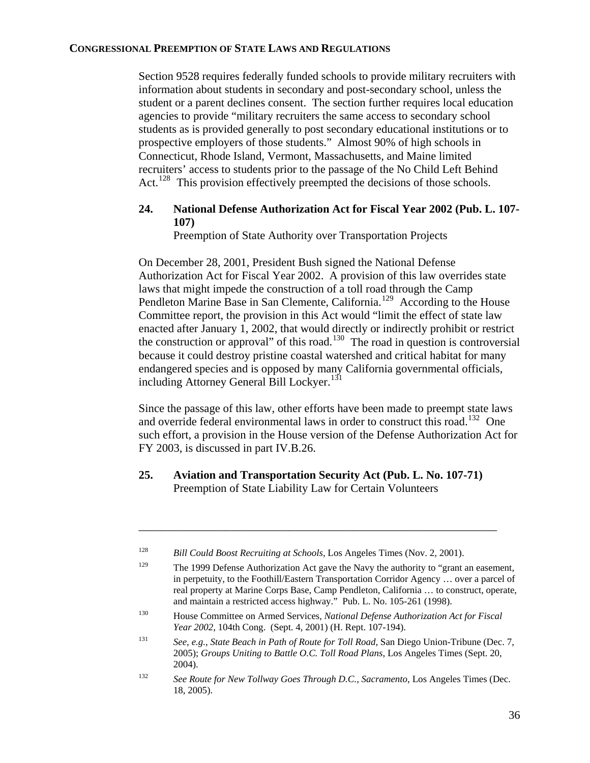Section 9528 requires federally funded schools to provide military recruiters with information about students in secondary and post-secondary school, unless the student or a parent declines consent. The section further requires local education agencies to provide "military recruiters the same access to secondary school students as is provided generally to post secondary educational institutions or to prospective employers of those students." Almost 90% of high schools in Connecticut, Rhode Island, Vermont, Massachusetts, and Maine limited recruiters' access to students prior to the passage of the No Child Left Behind Act.<sup>[128](#page-37-0)</sup> This provision effectively preempted the decisions of those schools.

## **24. National Defense Authorization Act for Fiscal Year 2002 (Pub. L. 107- 107)**

Preemption of State Authority over Transportation Projects

On December 28, 2001, President Bush signed the National Defense Authorization Act for Fiscal Year 2002. A provision of this law overrides state laws that might impede the construction of a toll road through the Camp Pendleton Marine Base in San Clemente, California.<sup>[129](#page-37-1)</sup> According to the House Committee report, the provision in this Act would "limit the effect of state law enacted after January 1, 2002, that would directly or indirectly prohibit or restrict the construction or approval" of this road.<sup>[130](#page-37-2)</sup> The road in question is controversial because it could destroy pristine coastal watershed and critical habitat for many endangered species and is opposed by many California governmental officials, including Attorney General Bill Lockyer.<sup>131</sup>

Since the passage of this law, other efforts have been made to preempt state laws and override federal environmental laws in order to construct this road.<sup>[132](#page-37-4)</sup> One such effort, a provision in the House version of the Defense Authorization Act for FY 2003, is discussed in part IV.B.26.

## **25. Aviation and Transportation Security Act (Pub. L. No. 107-71)** Preemption of State Liability Law for Certain Volunteers

<span id="page-37-0"></span><sup>128</sup> *Bill Could Boost Recruiting at Schools*, Los Angeles Times (Nov. 2, 2001).

<span id="page-37-1"></span><sup>&</sup>lt;sup>129</sup> The 1999 Defense Authorization Act gave the Navy the authority to "grant an easement, in perpetuity, to the Foothill/Eastern Transportation Corridor Agency … over a parcel of real property at Marine Corps Base, Camp Pendleton, California … to construct, operate, and maintain a restricted access highway." Pub. L. No. 105-261 (1998).

<span id="page-37-2"></span><sup>130</sup>House Committee on Armed Services, *National Defense Authorization Act for Fiscal Year 2002*, 104th Cong. (Sept. 4, 2001) (H. Rept. 107-194).

<span id="page-37-3"></span><sup>131</sup> *See, e.g.*, *State Beach in Path of Route for Toll Road*, San Diego Union-Tribune (Dec. 7, 2005); *Groups Uniting to Battle O.C. Toll Road Plans*, Los Angeles Times (Sept. 20, 2004).

<span id="page-37-4"></span><sup>132</sup> *See Route for New Tollway Goes Through D.C., Sacramento*, Los Angeles Times (Dec. 18, 2005).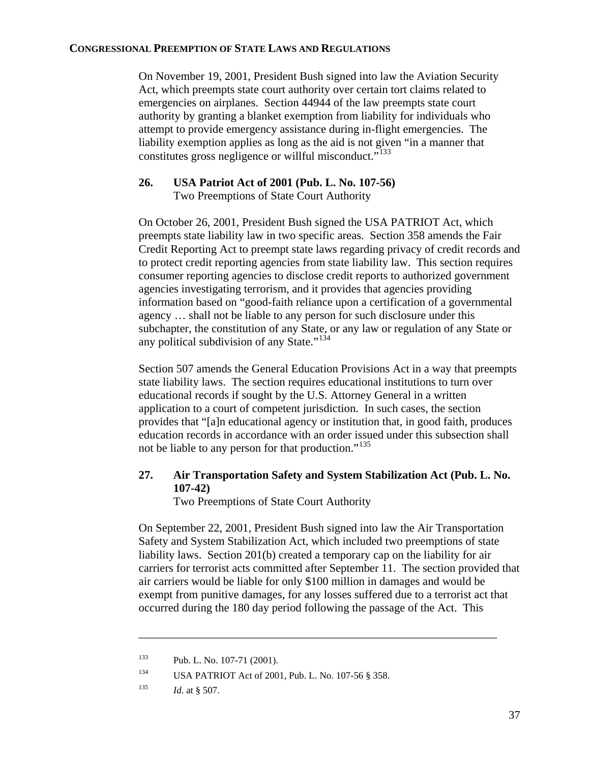On November 19, 2001, President Bush signed into law the Aviation Security Act, which preempts state court authority over certain tort claims related to emergencies on airplanes. Section 44944 of the law preempts state court authority by granting a blanket exemption from liability for individuals who attempt to provide emergency assistance during in-flight emergencies. The liability exemption applies as long as the aid is not given "in a manner that constitutes gross negligence or willful misconduct."<sup>[133](#page-38-0)</sup>

## **26. USA Patriot Act of 2001 (Pub. L. No. 107-56)**  Two Preemptions of State Court Authority

On October 26, 2001, President Bush signed the USA PATRIOT Act, which preempts state liability law in two specific areas. Section 358 amends the Fair Credit Reporting Act to preempt state laws regarding privacy of credit records and to protect credit reporting agencies from state liability law. This section requires consumer reporting agencies to disclose credit reports to authorized government agencies investigating terrorism, and it provides that agencies providing information based on "good-faith reliance upon a certification of a governmental agency … shall not be liable to any person for such disclosure under this subchapter, the constitution of any State, or any law or regulation of any State or any political subdivision of any State."<sup>[134](#page-38-1)</sup>

Section 507 amends the General Education Provisions Act in a way that preempts state liability laws. The section requires educational institutions to turn over educational records if sought by the U.S. Attorney General in a written application to a court of competent jurisdiction. In such cases, the section provides that "[a]n educational agency or institution that, in good faith, produces education records in accordance with an order issued under this subsection shall not be liable to any person for that production."[135](#page-38-2)

## **27. Air Transportation Safety and System Stabilization Act (Pub. L. No. 107-42)**

Two Preemptions of State Court Authority

On September 22, 2001, President Bush signed into law the Air Transportation Safety and System Stabilization Act, which included two preemptions of state liability laws. Section 201(b) created a temporary cap on the liability for air carriers for terrorist acts committed after September 11. The section provided that air carriers would be liable for only \$100 million in damages and would be exempt from punitive damages, for any losses suffered due to a terrorist act that occurred during the 180 day period following the passage of the Act. This

<span id="page-38-0"></span><sup>133</sup> Pub. L. No. 107-71 (2001).

<span id="page-38-1"></span><sup>134</sup> USA PATRIOT Act of 2001, Pub. L. No. 107-56 § 358.

<span id="page-38-2"></span><sup>135</sup> *Id*. at § 507.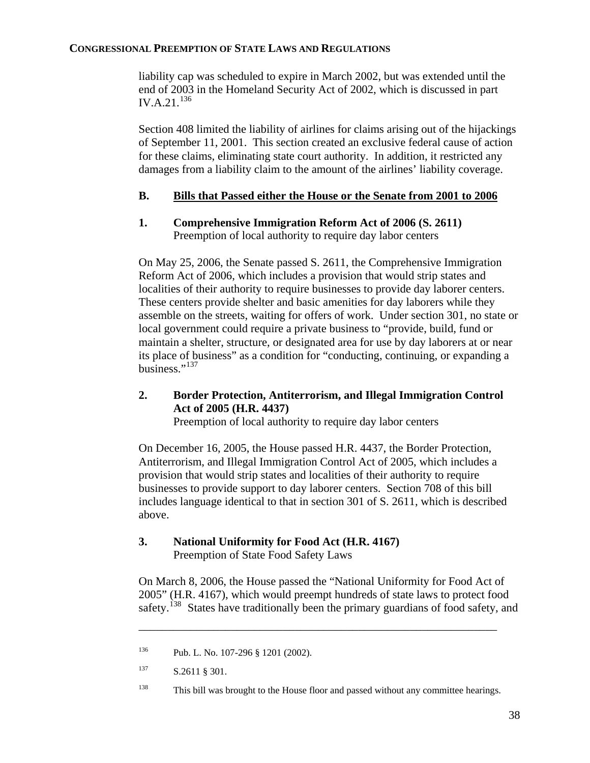liability cap was scheduled to expire in March 2002, but was extended until the end of 2003 in the Homeland Security Act of 2002, which is discussed in part IV.A.21.[136](#page-39-0)

Section 408 limited the liability of airlines for claims arising out of the hijackings of September 11, 2001. This section created an exclusive federal cause of action for these claims, eliminating state court authority. In addition, it restricted any damages from a liability claim to the amount of the airlines' liability coverage.

## **B. Bills that Passed either the House or the Senate from 2001 to 2006**

**1. Comprehensive Immigration Reform Act of 2006 (S. 2611)**  Preemption of local authority to require day labor centers

On May 25, 2006, the Senate passed S. 2611, the Comprehensive Immigration Reform Act of 2006, which includes a provision that would strip states and localities of their authority to require businesses to provide day laborer centers. These centers provide shelter and basic amenities for day laborers while they assemble on the streets, waiting for offers of work. Under section 301, no state or local government could require a private business to "provide, build, fund or maintain a shelter, structure, or designated area for use by day laborers at or near its place of business" as a condition for "conducting, continuing, or expanding a business."<sup>[137](#page-39-1)</sup>

## **2. Border Protection, Antiterrorism, and Illegal Immigration Control Act of 2005 (H.R. 4437)**

Preemption of local authority to require day labor centers

On December 16, 2005, the House passed H.R. 4437, the Border Protection, Antiterrorism, and Illegal Immigration Control Act of 2005, which includes a provision that would strip states and localities of their authority to require businesses to provide support to day laborer centers. Section 708 of this bill includes language identical to that in section 301 of S. 2611, which is described above.

## **3. National Uniformity for Food Act (H.R. 4167)**

Preemption of State Food Safety Laws

On March 8, 2006, the House passed the "National Uniformity for Food Act of 2005" (H.R. 4167), which would preempt hundreds of state laws to protect food safety.<sup>[138](#page-39-2)</sup> States have traditionally been the primary guardians of food safety, and

<span id="page-39-0"></span><sup>136</sup> Pub. L. No. 107-296 § 1201 (2002).

<span id="page-39-2"></span><span id="page-39-1"></span><sup>137</sup> S.2611 § 301.

<sup>&</sup>lt;sup>138</sup> This bill was brought to the House floor and passed without any committee hearings.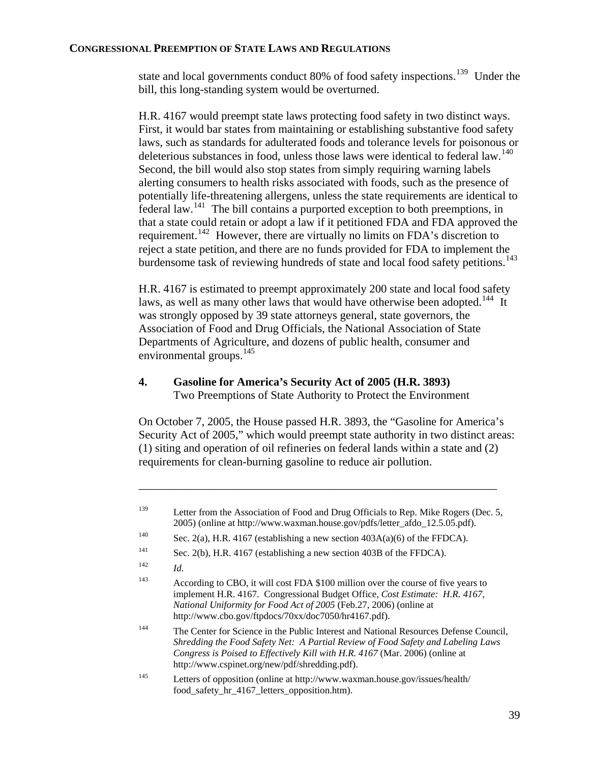state and local governments conduct 80% of food safety inspections.<sup>[139](#page-40-0)</sup> Under the bill, this long-standing system would be overturned.

H.R. 4167 would preempt state laws protecting food safety in two distinct ways. First, it would bar states from maintaining or establishing substantive food safety laws, such as standards for adulterated foods and tolerance levels for poisonous or deleterious substances in food, unless those laws were identical to federal law.<sup>[140](#page-40-1)</sup> Second, the bill would also stop states from simply requiring warning labels alerting consumers to health risks associated with foods, such as the presence of potentially life-threatening allergens, unless the state requirements are identical to  $\frac{1}{2}$  federal law.<sup>[141](#page-40-2)</sup> The bill contains a purported exception to both preemptions, in that a state could retain or adopt a law if it petitioned FDA and FDA approved the requirement.<sup>[142](#page-40-3)</sup> However, there are virtually no limits on FDA's discretion to reject a state petition, and there are no funds provided for FDA to implement the burdensome task of reviewing hundreds of state and local food safety petitions.<sup>[143](#page-40-4)</sup>

H.R. 4167 is estimated to preempt approximately 200 state and local food safety laws, as well as many other laws that would have otherwise been adopted.<sup>[144](#page-40-5)</sup> It was strongly opposed by 39 state attorneys general, state governors, the Association of Food and Drug Officials, the National Association of State Departments of Agriculture, and dozens of public health, consumer and environmental groups.<sup>[145](#page-40-6)</sup>

## **4. Gasoline for America's Security Act of 2005 (H.R. 3893)**  Two Preemptions of State Authority to Protect the Environment

On October 7, 2005, the House passed H.R. 3893, the "Gasoline for America's Security Act of 2005," which would preempt state authority in two distinct areas: (1) siting and operation of oil refineries on federal lands within a state and (2) requirements for clean-burning gasoline to reduce air pollution.

<span id="page-40-6"></span><span id="page-40-5"></span><span id="page-40-4"></span><span id="page-40-3"></span><span id="page-40-2"></span><span id="page-40-1"></span><span id="page-40-0"></span><sup>&</sup>lt;sup>139</sup> Letter from the Association of Food and Drug Officials to Rep. Mike Rogers (Dec. 5, 2005) (online at http://www.waxman.house.gov/pdfs/letter\_afdo\_12.5.05.pdf). <sup>140</sup> Sec. 2(a), H.R. 4167 (establishing a new section  $403A(a)(6)$  of the FFDCA). <sup>141</sup> Sec. 2(b), H.R. 4167 (establishing a new section 403B of the FFDCA). 142 *Id*. 143 According to CBO, it will cost FDA \$100 million over the course of five years to implement H.R. 4167. Congressional Budget Office, *Cost Estimate: H.R. 4167, National Uniformity for Food Act of 2005* (Feb.27, 2006) (online at http://www.cbo.gov/ftpdocs/70xx/doc7050/hr4167.pdf). 144 The Center for Science in the Public Interest and National Resources Defense Council, *Shredding the Food Safety Net: A Partial Review of Food Safety and Labeling Laws Congress is Poised to Effectively Kill with H.R. 4167* (Mar. 2006) (online at http://www.cspinet.org/new/pdf/shredding.pdf). 145 Letters of opposition (online at http://www.waxman.house.gov/issues/health/ food\_safety\_hr\_4167\_letters\_opposition.htm).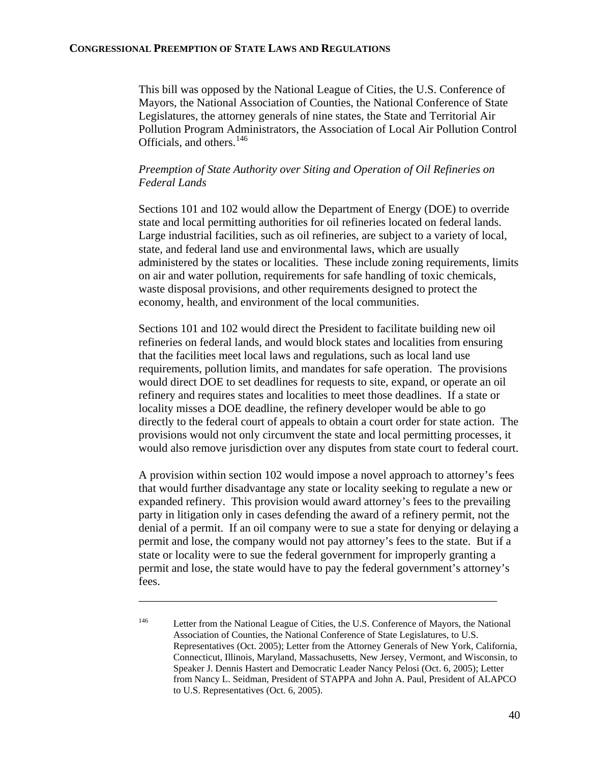This bill was opposed by the National League of Cities, the U.S. Conference of Mayors, the National Association of Counties, the National Conference of State Legislatures, the attorney generals of nine states, the State and Territorial Air Pollution Program Administrators, the Association of Local Air Pollution Control Officials, and others.<sup>[146](#page-41-0)</sup>

## *Preemption of State Authority over Siting and Operation of Oil Refineries on Federal Lands*

Sections 101 and 102 would allow the Department of Energy (DOE) to override state and local permitting authorities for oil refineries located on federal lands. Large industrial facilities, such as oil refineries, are subject to a variety of local, state, and federal land use and environmental laws, which are usually administered by the states or localities. These include zoning requirements, limits on air and water pollution, requirements for safe handling of toxic chemicals, waste disposal provisions, and other requirements designed to protect the economy, health, and environment of the local communities.

Sections 101 and 102 would direct the President to facilitate building new oil refineries on federal lands, and would block states and localities from ensuring that the facilities meet local laws and regulations, such as local land use requirements, pollution limits, and mandates for safe operation. The provisions would direct DOE to set deadlines for requests to site, expand, or operate an oil refinery and requires states and localities to meet those deadlines. If a state or locality misses a DOE deadline, the refinery developer would be able to go directly to the federal court of appeals to obtain a court order for state action. The provisions would not only circumvent the state and local permitting processes, it would also remove jurisdiction over any disputes from state court to federal court.

A provision within section 102 would impose a novel approach to attorney's fees that would further disadvantage any state or locality seeking to regulate a new or expanded refinery. This provision would award attorney's fees to the prevailing party in litigation only in cases defending the award of a refinery permit, not the denial of a permit. If an oil company were to sue a state for denying or delaying a permit and lose, the company would not pay attorney's fees to the state. But if a state or locality were to sue the federal government for improperly granting a permit and lose, the state would have to pay the federal government's attorney's fees.

<span id="page-41-0"></span><sup>&</sup>lt;sup>146</sup> Letter from the National League of Cities, the U.S. Conference of Mayors, the National Association of Counties, the National Conference of State Legislatures, to U.S. Representatives (Oct. 2005); Letter from the Attorney Generals of New York, California, Connecticut, Illinois, Maryland, Massachusetts, New Jersey, Vermont, and Wisconsin, to Speaker J. Dennis Hastert and Democratic Leader Nancy Pelosi (Oct. 6, 2005); Letter from Nancy L. Seidman, President of STAPPA and John A. Paul, President of ALAPCO to U.S. Representatives (Oct. 6, 2005).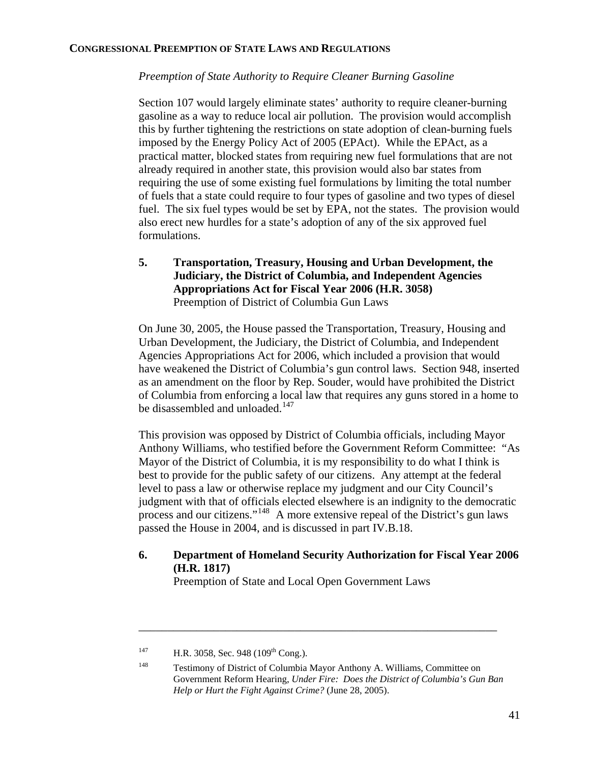### *Preemption of State Authority to Require Cleaner Burning Gasoline*

Section 107 would largely eliminate states' authority to require cleaner-burning gasoline as a way to reduce local air pollution. The provision would accomplish this by further tightening the restrictions on state adoption of clean-burning fuels imposed by the Energy Policy Act of 2005 (EPAct). While the EPAct, as a practical matter, blocked states from requiring new fuel formulations that are not already required in another state, this provision would also bar states from requiring the use of some existing fuel formulations by limiting the total number of fuels that a state could require to four types of gasoline and two types of diesel fuel. The six fuel types would be set by EPA, not the states. The provision would also erect new hurdles for a state's adoption of any of the six approved fuel formulations.

## **5. Transportation, Treasury, Housing and Urban Development, the Judiciary, the District of Columbia, and Independent Agencies Appropriations Act for Fiscal Year 2006 (H.R. 3058)**  Preemption of District of Columbia Gun Laws

On June 30, 2005, the House passed the Transportation, Treasury, Housing and Urban Development, the Judiciary, the District of Columbia, and Independent Agencies Appropriations Act for 2006, which included a provision that would have weakened the District of Columbia's gun control laws. Section 948, inserted as an amendment on the floor by Rep. Souder, would have prohibited the District of Columbia from enforcing a local law that requires any guns stored in a home to be disassembled and unloaded.<sup>[147](#page-42-0)</sup>

This provision was opposed by District of Columbia officials, including Mayor Anthony Williams, who testified before the Government Reform Committee: "As Mayor of the District of Columbia, it is my responsibility to do what I think is best to provide for the public safety of our citizens. Any attempt at the federal level to pass a law or otherwise replace my judgment and our City Council's judgment with that of officials elected elsewhere is an indignity to the democratic process and our citizens."<sup>[148](#page-42-1)</sup> A more extensive repeal of the District's gun laws passed the House in 2004, and is discussed in part IV.B.18.

**6. Department of Homeland Security Authorization for Fiscal Year 2006 (H.R. 1817)** 

Preemption of State and Local Open Government Laws

<span id="page-42-1"></span><span id="page-42-0"></span> $^{147}$  H.R. 3058, Sec. 948 (109<sup>th</sup> Cong.).

<sup>148</sup> Testimony of District of Columbia Mayor Anthony A. Williams, Committee on Government Reform Hearing, *Under Fire: Does the District of Columbia's Gun Ban Help or Hurt the Fight Against Crime?* (June 28, 2005).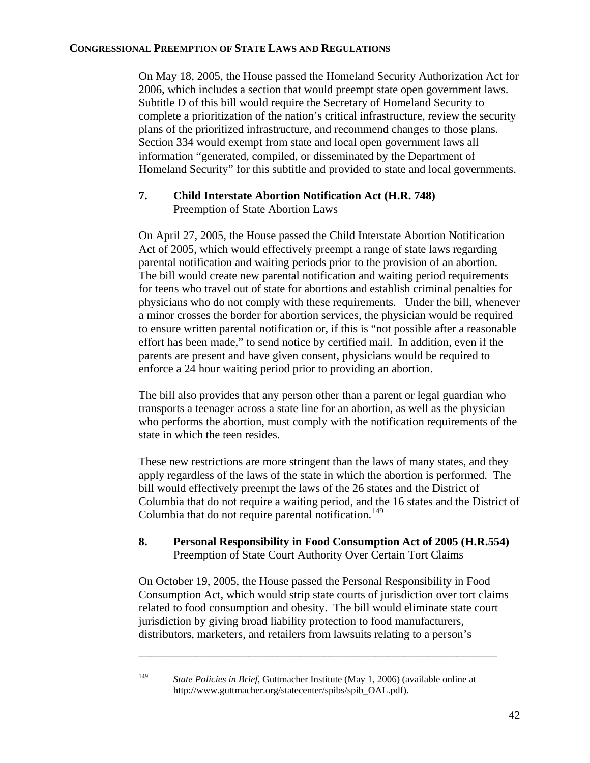On May 18, 2005, the House passed the Homeland Security Authorization Act for 2006, which includes a section that would preempt state open government laws. Subtitle D of this bill would require the Secretary of Homeland Security to complete a prioritization of the nation's critical infrastructure, review the security plans of the prioritized infrastructure, and recommend changes to those plans. Section 334 would exempt from state and local open government laws all information "generated, compiled, or disseminated by the Department of Homeland Security" for this subtitle and provided to state and local governments.

## **7. Child Interstate Abortion Notification Act (H.R. 748)**  Preemption of State Abortion Laws

On April 27, 2005, the House passed the Child Interstate Abortion Notification Act of 2005, which would effectively preempt a range of state laws regarding parental notification and waiting periods prior to the provision of an abortion. The bill would create new parental notification and waiting period requirements for teens who travel out of state for abortions and establish criminal penalties for physicians who do not comply with these requirements. Under the bill, whenever a minor crosses the border for abortion services, the physician would be required to ensure written parental notification or, if this is "not possible after a reasonable effort has been made," to send notice by certified mail. In addition, even if the parents are present and have given consent, physicians would be required to enforce a 24 hour waiting period prior to providing an abortion.

The bill also provides that any person other than a parent or legal guardian who transports a teenager across a state line for an abortion, as well as the physician who performs the abortion, must comply with the notification requirements of the state in which the teen resides.

These new restrictions are more stringent than the laws of many states, and they apply regardless of the laws of the state in which the abortion is performed. The bill would effectively preempt the laws of the 26 states and the District of Columbia that do not require a waiting period, and the 16 states and the District of Columbia that do not require parental notification.<sup>[149](#page-43-0)</sup>

## **8. Personal Responsibility in Food Consumption Act of 2005 (H.R.554)**  Preemption of State Court Authority Over Certain Tort Claims

On October 19, 2005, the House passed the Personal Responsibility in Food Consumption Act, which would strip state courts of jurisdiction over tort claims related to food consumption and obesity. The bill would eliminate state court jurisdiction by giving broad liability protection to food manufacturers, distributors, marketers, and retailers from lawsuits relating to a person's

<span id="page-43-0"></span><sup>149</sup> *State Policies in Brief*, Guttmacher Institute (May 1, 2006) (available online at http://www.guttmacher.org/statecenter/spibs/spib\_OAL.pdf).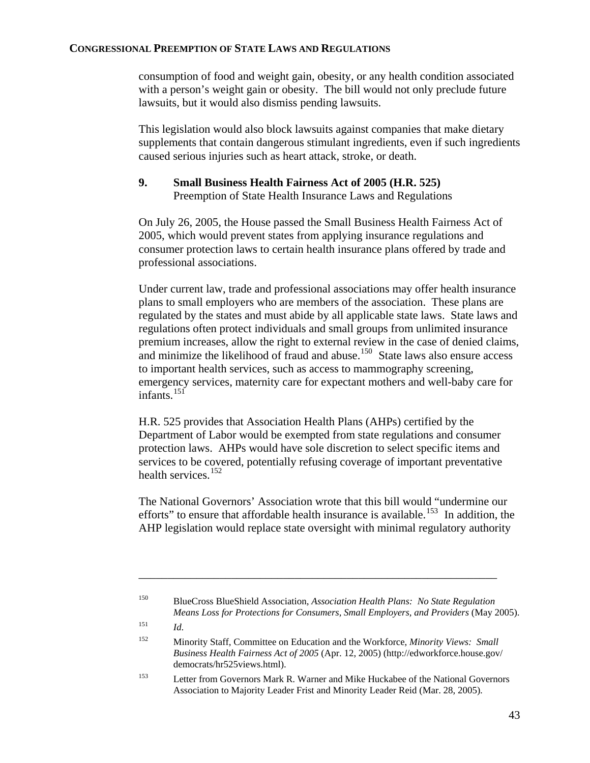consumption of food and weight gain, obesity, or any health condition associated with a person's weight gain or obesity. The bill would not only preclude future lawsuits, but it would also dismiss pending lawsuits.

This legislation would also block lawsuits against companies that make dietary supplements that contain dangerous stimulant ingredients, even if such ingredients caused serious injuries such as heart attack, stroke, or death.

## **9. Small Business Health Fairness Act of 2005 (H.R. 525)**  Preemption of State Health Insurance Laws and Regulations

On July 26, 2005, the House passed the Small Business Health Fairness Act of 2005, which would prevent states from applying insurance regulations and consumer protection laws to certain health insurance plans offered by trade and professional associations.

Under current law, trade and professional associations may offer health insurance plans to small employers who are members of the association. These plans are regulated by the states and must abide by all applicable state laws. State laws and regulations often protect individuals and small groups from unlimited insurance premium increases, allow the right to external review in the case of denied claims, and minimize the likelihood of fraud and abuse.<sup>[150](#page-44-0)</sup> State laws also ensure access to important health services, such as access to mammography screening, emergency services, maternity care for expectant mothers and well-baby care for infants.<sup>[151](#page-44-1)</sup>

H.R. 525 provides that Association Health Plans (AHPs) certified by the Department of Labor would be exempted from state regulations and consumer protection laws. AHPs would have sole discretion to select specific items and services to be covered, potentially refusing coverage of important preventative health services.<sup>[152](#page-44-2)</sup>

The National Governors' Association wrote that this bill would "undermine our efforts" to ensure that affordable health insurance is available.<sup>[153](#page-44-3)</sup> In addition, the AHP legislation would replace state oversight with minimal regulatory authority

\_\_\_\_\_\_\_\_\_\_\_\_\_\_\_\_\_\_\_\_\_\_\_\_\_\_\_\_\_\_\_\_\_\_\_\_\_\_\_\_\_\_\_\_\_\_\_\_\_\_\_\_\_\_\_\_\_\_\_\_\_\_

<span id="page-44-1"></span>151 *Id*.

<span id="page-44-0"></span><sup>150</sup> BlueCross BlueShield Association, *Association Health Plans: No State Regulation Means Loss for Protections for Consumers, Small Employers, and Providers* (May 2005).

<span id="page-44-2"></span><sup>152</sup> Minority Staff, Committee on Education and the Workforce, *Minority Views: Small Business Health Fairness Act of 2005* (Apr. 12, 2005) (http://edworkforce.house.gov/ democrats/hr525views.html).

<span id="page-44-3"></span><sup>153</sup> Letter from Governors Mark R. Warner and Mike Huckabee of the National Governors Association to Majority Leader Frist and Minority Leader Reid (Mar. 28, 2005).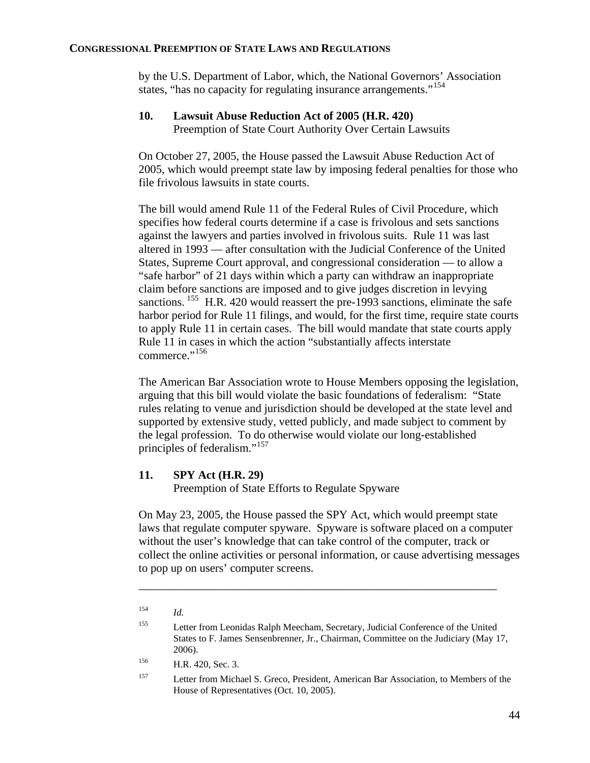by the U.S. Department of Labor, which, the National Governors' Association states, "has no capacity for regulating insurance arrangements."<sup>[154](#page-45-0)</sup>

## **10. Lawsuit Abuse Reduction Act of 2005 (H.R. 420)**  Preemption of State Court Authority Over Certain Lawsuits

On October 27, 2005, the House passed the Lawsuit Abuse Reduction Act of 2005, which would preempt state law by imposing federal penalties for those who file frivolous lawsuits in state courts.

The bill would amend Rule 11 of the Federal Rules of Civil Procedure, which specifies how federal courts determine if a case is frivolous and sets sanctions against the lawyers and parties involved in frivolous suits. Rule 11 was last altered in 1993 — after consultation with the Judicial Conference of the United States, Supreme Court approval, and congressional consideration — to allow a "safe harbor" of 21 days within which a party can withdraw an inappropriate claim before sanctions are imposed and to give judges discretion in levying sanctions. <sup>[155](#page-45-1)</sup> H.R. 420 would reassert the pre-1993 sanctions, eliminate the safe harbor period for Rule 11 filings, and would, for the first time, require state courts to apply Rule 11 in certain cases. The bill would mandate that state courts apply Rule 11 in cases in which the action "substantially affects interstate commerce."<sup>[156](#page-45-2)</sup>

The American Bar Association wrote to House Members opposing the legislation, arguing that this bill would violate the basic foundations of federalism: "State rules relating to venue and jurisdiction should be developed at the state level and supported by extensive study, vetted publicly, and made subject to comment by the legal profession. To do otherwise would violate our long-established principles of federalism."<sup>[157](#page-45-3)</sup>

## **11. SPY Act (H.R. 29)**

Preemption of State Efforts to Regulate Spyware

On May 23, 2005, the House passed the SPY Act, which would preempt state laws that regulate computer spyware. Spyware is software placed on a computer without the user's knowledge that can take control of the computer, track or collect the online activities or personal information, or cause advertising messages to pop up on users' computer screens.

<span id="page-45-0"></span><sup>154</sup> *Id*.

<span id="page-45-1"></span><sup>155</sup> Letter from Leonidas Ralph Meecham, Secretary, Judicial Conference of the United States to F. James Sensenbrenner, Jr., Chairman, Committee on the Judiciary (May 17, 2006).

<span id="page-45-2"></span><sup>156</sup> H.R. 420, Sec. 3.

<span id="page-45-3"></span><sup>157</sup> Letter from Michael S. Greco, President, American Bar Association, to Members of the House of Representatives (Oct. 10, 2005).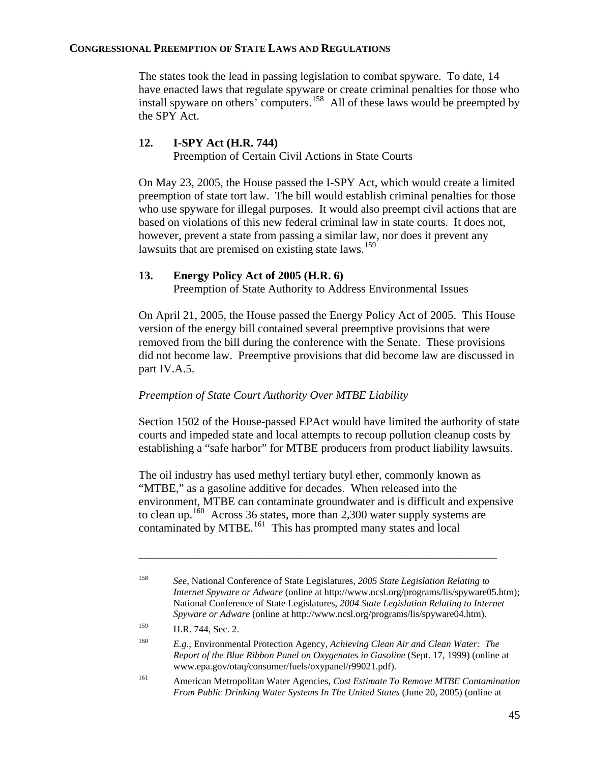The states took the lead in passing legislation to combat spyware. To date, 14 have enacted laws that regulate spyware or create criminal penalties for those who install spyware on others' computers.<sup>[158](#page-46-0)</sup> All of these laws would be preempted by the SPY Act.

## **12. I-SPY Act (H.R. 744)**

Preemption of Certain Civil Actions in State Courts

On May 23, 2005, the House passed the I-SPY Act, which would create a limited preemption of state tort law. The bill would establish criminal penalties for those who use spyware for illegal purposes. It would also preempt civil actions that are based on violations of this new federal criminal law in state courts. It does not, however, prevent a state from passing a similar law, nor does it prevent any lawsuits that are premised on existing state laws.<sup>[159](#page-46-1)</sup>

## **13. Energy Policy Act of 2005 (H.R. 6)**

Preemption of State Authority to Address Environmental Issues

On April 21, 2005, the House passed the Energy Policy Act of 2005. This House version of the energy bill contained several preemptive provisions that were removed from the bill during the conference with the Senate. These provisions did not become law. Preemptive provisions that did become law are discussed in part IV.A.5.

## *Preemption of State Court Authority Over MTBE Liability*

Section 1502 of the House-passed EPAct would have limited the authority of state courts and impeded state and local attempts to recoup pollution cleanup costs by establishing a "safe harbor" for MTBE producers from product liability lawsuits.

The oil industry has used methyl tertiary butyl ether, commonly known as "MTBE," as a gasoline additive for decades. When released into the environment, MTBE can contaminate groundwater and is difficult and expensive to clean up.<sup>[160](#page-46-2)</sup> Across 36 states, more than 2,300 water supply systems are contaminated by  $MTBE$ <sup>[161](#page-46-3)</sup> This has prompted many states and local

\_\_\_\_\_\_\_\_\_\_\_\_\_\_\_\_\_\_\_\_\_\_\_\_\_\_\_\_\_\_\_\_\_\_\_\_\_\_\_\_\_\_\_\_\_\_\_\_\_\_\_\_\_\_\_\_\_\_\_\_\_\_

<span id="page-46-3"></span>161 American Metropolitan Water Agencies, *Cost Estimate To Remove MTBE Contamination From Public Drinking Water Systems In The United States* (June 20, 2005) (online at

<span id="page-46-0"></span><sup>158</sup> *See*, National Conference of State Legislatures, *2005 State Legislation Relating to Internet Spyware or Adware* (online at http://www.ncsl.org/programs/lis/spyware05.htm); National Conference of State Legislatures, *2004 State Legislation Relating to Internet Spyware or Adware* (online at http://www.ncsl.org/programs/lis/spyware04.htm).

<span id="page-46-1"></span><sup>&</sup>lt;sup>159</sup> H.R. 744, Sec. 2.

<span id="page-46-2"></span><sup>160</sup> *E.g.*, Environmental Protection Agency, *Achieving Clean Air and Clean Water: The Report of the Blue Ribbon Panel on Oxygenates in Gasoline* (Sept. 17, 1999) (online at www.epa.gov/otaq/consumer/fuels/oxypanel/r99021.pdf).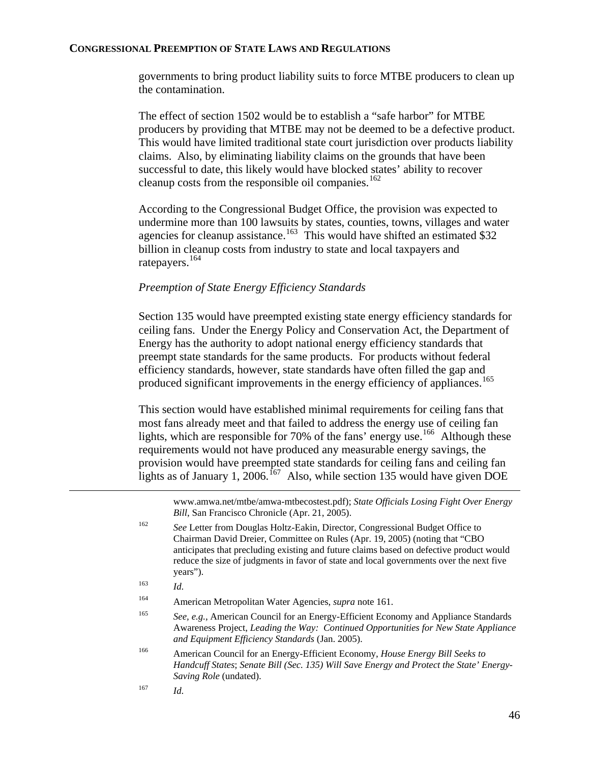governments to bring product liability suits to force MTBE producers to clean up the contamination.

The effect of section 1502 would be to establish a "safe harbor" for MTBE producers by providing that MTBE may not be deemed to be a defective product. This would have limited traditional state court jurisdiction over products liability claims. Also, by eliminating liability claims on the grounds that have been successful to date, this likely would have blocked states' ability to recover cleanup costs from the responsible oil companies.<sup>[162](#page-47-0)</sup>

According to the Congressional Budget Office, the provision was expected to undermine more than 100 lawsuits by states, counties, towns, villages and water agencies for cleanup assistance.<sup>[163](#page-47-1)</sup> This would have shifted an estimated \$32 billion in cleanup costs from industry to state and local taxpayers and ratepayers.<sup>[164](#page-47-2)</sup>

#### *Preemption of State Energy Efficiency Standards*

Section 135 would have preempted existing state energy efficiency standards for ceiling fans. Under the Energy Policy and Conservation Act, the Department of Energy has the authority to adopt national energy efficiency standards that preempt state standards for the same products. For products without federal efficiency standards, however, state standards have often filled the gap and produced significant improvements in the energy efficiency of appliances.<sup>[165](#page-47-3)</sup>

This section would have established minimal requirements for ceiling fans that most fans already meet and that failed to address the energy use of ceiling fan lights, which are responsible for 70% of the fans' energy use.<sup>[166](#page-47-4)</sup> Although these requirements would not have produced any measurable energy savings, the provision would have preempted state standards for ceiling fans and ceiling fan lights as of January 1, 2006.<sup>[167](#page-47-5)</sup> Also, while section 135 would have given DOE

www.amwa.net/mtbe/amwa-mtbecostest.pdf); *State Officials Losing Fight Over Energy Bill*, San Francisco Chronicle (Apr. 21, 2005).

- 162 *See* Letter from Douglas Holtz-Eakin, Director, Congressional Budget Office to Chairman David Dreier, Committee on Rules (Apr. 19, 2005) (noting that "CBO anticipates that precluding existing and future claims based on defective product would reduce the size of judgments in favor of state and local governments over the next five years").
- 163 *Id*.

<span id="page-47-2"></span><span id="page-47-1"></span><span id="page-47-0"></span> $\overline{a}$ 

- 164 American Metropolitan Water Agencies, *supra* note 161.
- <span id="page-47-3"></span>165 *See, e.g.*, American Council for an Energy-Efficient Economy and Appliance Standards Awareness Project, *Leading the Way: Continued Opportunities for New State Appliance and Equipment Efficiency Standards* (Jan. 2005).
- <span id="page-47-4"></span>166 American Council for an Energy-Efficient Economy, *House Energy Bill Seeks to Handcuff States*; *Senate Bill (Sec. 135) Will Save Energy and Protect the State' Energy-Saving Role* (undated).
- <span id="page-47-5"></span>167 *Id*.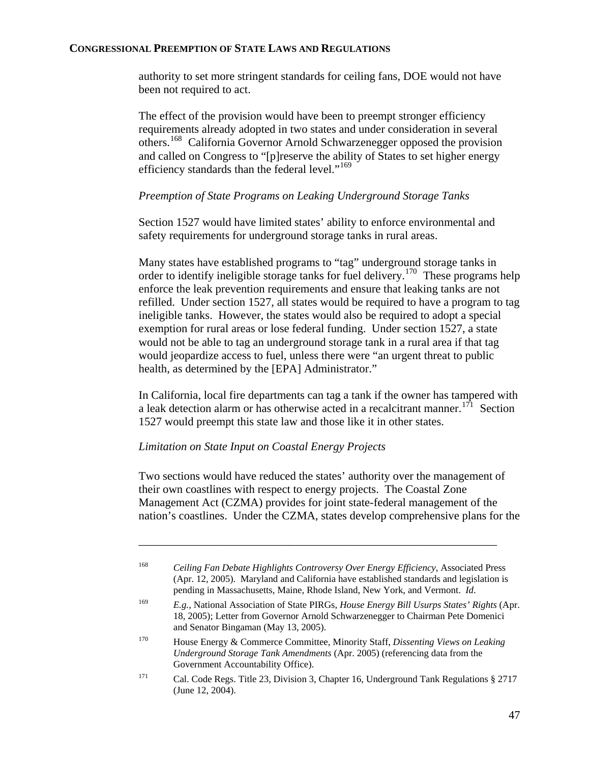authority to set more stringent standards for ceiling fans, DOE would not have been not required to act.

The effect of the provision would have been to preempt stronger efficiency requirements already adopted in two states and under consideration in several others.[168](#page-48-0) California Governor Arnold Schwarzenegger opposed the provision and called on Congress to "[p]reserve the ability of States to set higher energy efficiency standards than the federal level."<sup>[169](#page-48-1)</sup>

## *Preemption of State Programs on Leaking Underground Storage Tanks*

Section 1527 would have limited states' ability to enforce environmental and safety requirements for underground storage tanks in rural areas.

Many states have established programs to "tag" underground storage tanks in order to identify ineligible storage tanks for fuel delivery.<sup>[170](#page-48-2)</sup> These programs help enforce the leak prevention requirements and ensure that leaking tanks are not refilled. Under section 1527, all states would be required to have a program to tag ineligible tanks. However, the states would also be required to adopt a special exemption for rural areas or lose federal funding. Under section 1527, a state would not be able to tag an underground storage tank in a rural area if that tag would jeopardize access to fuel, unless there were "an urgent threat to public health, as determined by the [EPA] Administrator."

In California, local fire departments can tag a tank if the owner has tampered with a leak detection alarm or has otherwise acted in a recalcitrant manner.<sup>[171](#page-48-3)</sup> Section 1527 would preempt this state law and those like it in other states.

## *Limitation on State Input on Coastal Energy Projects*

Two sections would have reduced the states' authority over the management of their own coastlines with respect to energy projects. The Coastal Zone Management Act (CZMA) provides for joint state-federal management of the nation's coastlines. Under the CZMA, states develop comprehensive plans for the

<span id="page-48-0"></span><sup>168</sup> *Ceiling Fan Debate Highlights Controversy Over Energy Efficiency*, Associated Press (Apr. 12, 2005). Maryland and California have established standards and legislation is pending in Massachusetts, Maine, Rhode Island, New York, and Vermont. *Id*.

<span id="page-48-1"></span><sup>169</sup> *E.g.*, National Association of State PIRGs, *House Energy Bill Usurps States' Rights* (Apr. 18, 2005); Letter from Governor Arnold Schwarzenegger to Chairman Pete Domenici and Senator Bingaman (May 13, 2005).

<span id="page-48-2"></span><sup>170</sup> House Energy & Commerce Committee, Minority Staff, *Dissenting Views on Leaking Underground Storage Tank Amendments* (Apr. 2005) (referencing data from the Government Accountability Office).

<span id="page-48-3"></span><sup>&</sup>lt;sup>171</sup> Cal. Code Regs. Title 23, Division 3, Chapter 16, Underground Tank Regulations § 2717 (June 12, 2004).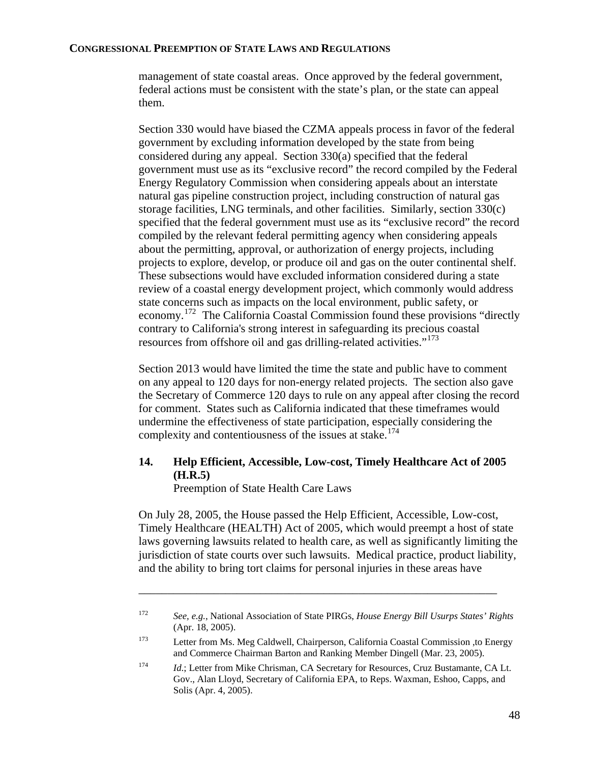management of state coastal areas. Once approved by the federal government, federal actions must be consistent with the state's plan, or the state can appeal them.

Section 330 would have biased the CZMA appeals process in favor of the federal government by excluding information developed by the state from being considered during any appeal. Section 330(a) specified that the federal government must use as its "exclusive record" the record compiled by the Federal Energy Regulatory Commission when considering appeals about an interstate natural gas pipeline construction project, including construction of natural gas storage facilities, LNG terminals, and other facilities. Similarly, section 330(c) specified that the federal government must use as its "exclusive record" the record compiled by the relevant federal permitting agency when considering appeals about the permitting, approval, or authorization of energy projects, including projects to explore, develop, or produce oil and gas on the outer continental shelf. These subsections would have excluded information considered during a state review of a coastal energy development project, which commonly would address state concerns such as impacts on the local environment, public safety, or economy.[172](#page-49-0) The California Coastal Commission found these provisions "directly contrary to California's strong interest in safeguarding its precious coastal resources from offshore oil and gas drilling-related activities."<sup>[173](#page-49-1)</sup>

Section 2013 would have limited the time the state and public have to comment on any appeal to 120 days for non-energy related projects. The section also gave the Secretary of Commerce 120 days to rule on any appeal after closing the record for comment. States such as California indicated that these timeframes would undermine the effectiveness of state participation, especially considering the complexity and contentiousness of the issues at stake.<sup>[174](#page-49-2)</sup>

## **14. Help Efficient, Accessible, Low-cost, Timely Healthcare Act of 2005 (H.R.5)**

Preemption of State Health Care Laws

On July 28, 2005, the House passed the Help Efficient, Accessible, Low-cost, Timely Healthcare (HEALTH) Act of 2005, which would preempt a host of state laws governing lawsuits related to health care, as well as significantly limiting the jurisdiction of state courts over such lawsuits. Medical practice, product liability, and the ability to bring tort claims for personal injuries in these areas have

<span id="page-49-0"></span><sup>172</sup> *See, e.g.*, National Association of State PIRGs, *House Energy Bill Usurps States' Rights* (Apr. 18, 2005).

<span id="page-49-1"></span><sup>173</sup> Letter from Ms. Meg Caldwell, Chairperson, California Coastal Commission ,to Energy and Commerce Chairman Barton and Ranking Member Dingell (Mar. 23, 2005).

<span id="page-49-2"></span><sup>174</sup> *Id.*; Letter from Mike Chrisman, CA Secretary for Resources, Cruz Bustamante, CA Lt. Gov., Alan Lloyd, Secretary of California EPA, to Reps. Waxman, Eshoo, Capps, and Solis (Apr. 4, 2005).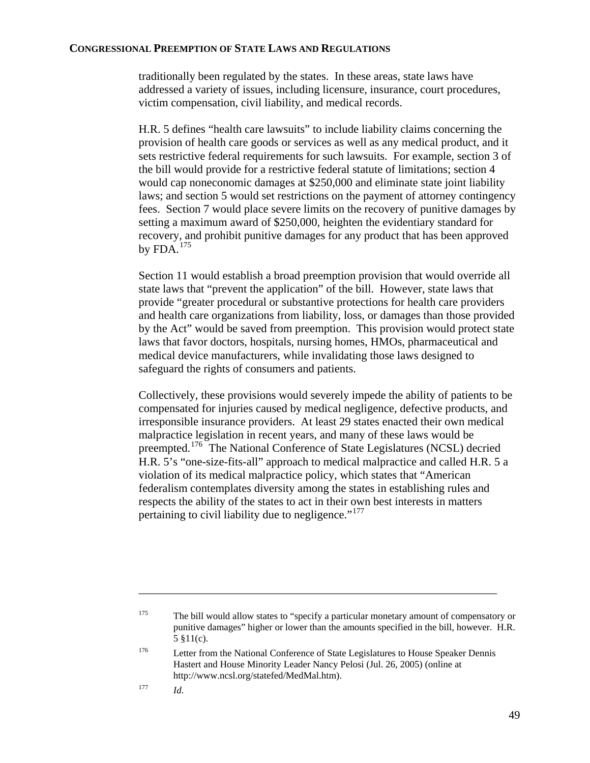traditionally been regulated by the states. In these areas, state laws have addressed a variety of issues, including licensure, insurance, court procedures, victim compensation, civil liability, and medical records.

H.R. 5 defines "health care lawsuits" to include liability claims concerning the provision of health care goods or services as well as any medical product, and it sets restrictive federal requirements for such lawsuits. For example, section 3 of the bill would provide for a restrictive federal statute of limitations; section 4 would cap noneconomic damages at \$250,000 and eliminate state joint liability laws; and section 5 would set restrictions on the payment of attorney contingency fees. Section 7 would place severe limits on the recovery of punitive damages by setting a maximum award of \$250,000, heighten the evidentiary standard for recovery, and prohibit punitive damages for any product that has been approved by FDA. $^{175}$  $^{175}$  $^{175}$ 

Section 11 would establish a broad preemption provision that would override all state laws that "prevent the application" of the bill. However, state laws that provide "greater procedural or substantive protections for health care providers and health care organizations from liability, loss, or damages than those provided by the Act" would be saved from preemption. This provision would protect state laws that favor doctors, hospitals, nursing homes, HMOs, pharmaceutical and medical device manufacturers, while invalidating those laws designed to safeguard the rights of consumers and patients.

Collectively, these provisions would severely impede the ability of patients to be compensated for injuries caused by medical negligence, defective products, and irresponsible insurance providers. At least 29 states enacted their own medical malpractice legislation in recent years, and many of these laws would be preempted.[176](#page-50-1) The National Conference of State Legislatures (NCSL) decried H.R. 5's "one-size-fits-all" approach to medical malpractice and called H.R. 5 a violation of its medical malpractice policy, which states that "American federalism contemplates diversity among the states in establishing rules and respects the ability of the states to act in their own best interests in matters pertaining to civil liability due to negligence."<sup>[177](#page-50-2)</sup>

<span id="page-50-0"></span><sup>&</sup>lt;sup>175</sup> The bill would allow states to "specify a particular monetary amount of compensatory or punitive damages" higher or lower than the amounts specified in the bill, however. H.R. 5 §11(c).

<span id="page-50-2"></span><span id="page-50-1"></span><sup>&</sup>lt;sup>176</sup> Letter from the National Conference of State Legislatures to House Speaker Dennis Hastert and House Minority Leader Nancy Pelosi (Jul. 26, 2005) (online at http://www.ncsl.org/statefed/MedMal.htm).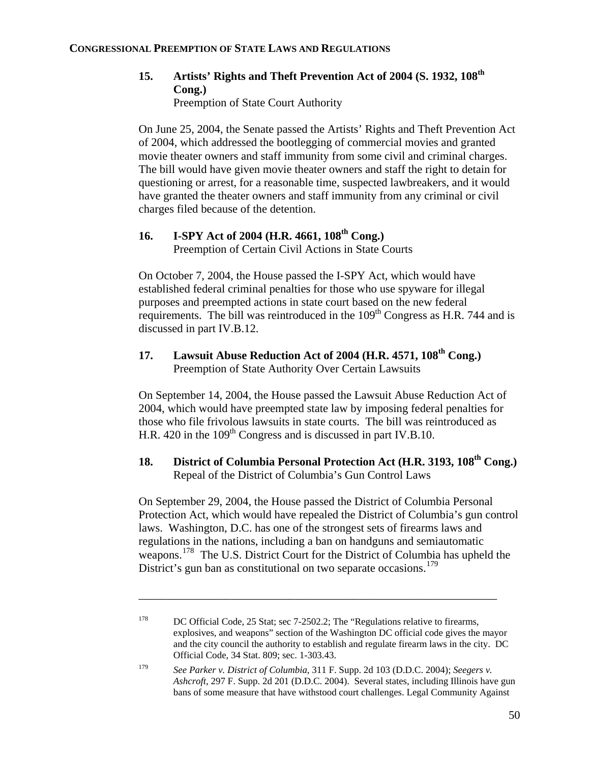## **15. Artists' Rights and Theft Prevention Act of 2004 (S. 1932, 108th Cong.)**

Preemption of State Court Authority

On June 25, 2004, the Senate passed the Artists' Rights and Theft Prevention Act of 2004, which addressed the bootlegging of commercial movies and granted movie theater owners and staff immunity from some civil and criminal charges. The bill would have given movie theater owners and staff the right to detain for questioning or arrest, for a reasonable time, suspected lawbreakers, and it would have granted the theater owners and staff immunity from any criminal or civil charges filed because of the detention.

## **16. I-SPY Act of 2004 (H.R. 4661, 108th Cong.)**  Preemption of Certain Civil Actions in State Courts

On October 7, 2004, the House passed the I-SPY Act, which would have established federal criminal penalties for those who use spyware for illegal purposes and preempted actions in state court based on the new federal requirements. The bill was reintroduced in the  $109<sup>th</sup>$  Congress as H.R. 744 and is discussed in part IV.B.12.

## 17. Lawsuit Abuse Reduction Act of 2004 (H.R. 4571, 108<sup>th</sup> Cong.) Preemption of State Authority Over Certain Lawsuits

On September 14, 2004, the House passed the Lawsuit Abuse Reduction Act of 2004, which would have preempted state law by imposing federal penalties for those who file frivolous lawsuits in state courts. The bill was reintroduced as H.R. 420 in the 109<sup>th</sup> Congress and is discussed in part IV.B.10.

## 18. District of Columbia Personal Protection Act (H.R. 3193, 108<sup>th</sup> Cong.) Repeal of the District of Columbia's Gun Control Laws

On September 29, 2004, the House passed the District of Columbia Personal Protection Act, which would have repealed the District of Columbia's gun control laws. Washington, D.C. has one of the strongest sets of firearms laws and regulations in the nations, including a ban on handguns and semiautomatic weapons.<sup>[178](#page-51-0)</sup> The U.S. District Court for the District of Columbia has upheld the District's gun ban as constitutional on two separate occasions.<sup>[179](#page-51-1)</sup>

<span id="page-51-0"></span><sup>&</sup>lt;sup>178</sup> DC Official Code, 25 Stat; sec 7-2502.2; The "Regulations relative to firearms, explosives, and weapons" section of the Washington DC official code gives the mayor and the city council the authority to establish and regulate firearm laws in the city. DC Official Code, 34 Stat. 809; sec. 1-303.43.

<span id="page-51-1"></span><sup>179</sup> *See Parker v. District of Columbia*, 311 F. Supp. 2d 103 (D.D.C. 2004); *Seegers v. Ashcroft,* 297 F. Supp. 2d 201 (D.D.C. 2004). Several states, including Illinois have gun bans of some measure that have withstood court challenges. Legal Community Against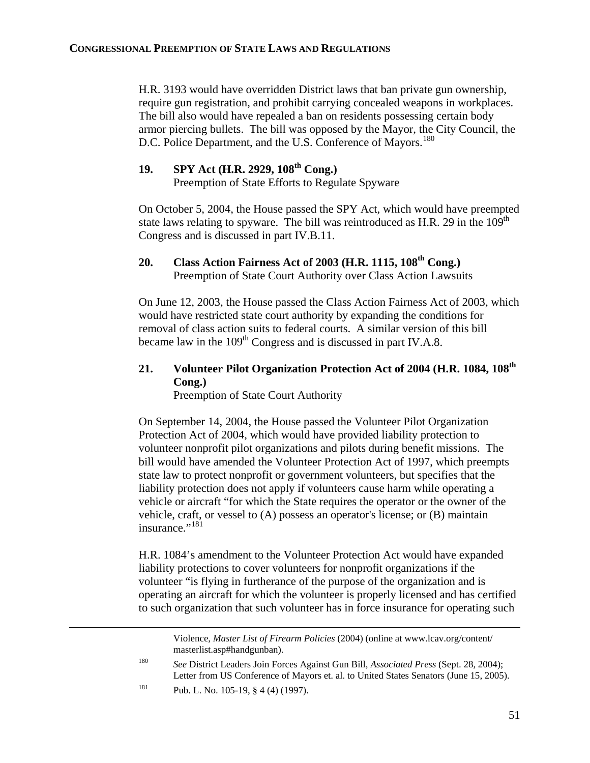H.R. 3193 would have overridden District laws that ban private gun ownership, require gun registration, and prohibit carrying concealed weapons in workplaces. The bill also would have repealed a ban on residents possessing certain body armor piercing bullets. The bill was opposed by the Mayor, the City Council, the D.C. Police Department, and the U.S. Conference of Mayors.<sup>[180](#page-52-0)</sup>

## **19. SPY Act (H.R. 2929, 108th Cong.)**

Preemption of State Efforts to Regulate Spyware

On October 5, 2004, the House passed the SPY Act, which would have preempted state laws relating to spyware. The bill was reintroduced as H.R. 29 in the  $109<sup>th</sup>$ Congress and is discussed in part IV.B.11.

## **20. Class Action Fairness Act of 2003 (H.R. 1115, 108th Cong.)**  Preemption of State Court Authority over Class Action Lawsuits

On June 12, 2003, the House passed the Class Action Fairness Act of 2003, which would have restricted state court authority by expanding the conditions for removal of class action suits to federal courts. A similar version of this bill became law in the  $109<sup>th</sup>$  Congress and is discussed in part IV.A.8.

## **21. Volunteer Pilot Organization Protection Act of 2004 (H.R. 1084, 108th Cong.)**

Preemption of State Court Authority

On September 14, 2004, the House passed the Volunteer Pilot Organization Protection Act of 2004, which would have provided liability protection to volunteer nonprofit pilot organizations and pilots during benefit missions. The bill would have amended the Volunteer Protection Act of 1997, which preempts state law to protect nonprofit or government volunteers, but specifies that the liability protection does not apply if volunteers cause harm while operating a vehicle or aircraft "for which the State requires the operator or the owner of the vehicle, craft, or vessel to (A) possess an operator's license; or (B) maintain insurance."<sup>[181](#page-52-1)</sup>

H.R. 1084's amendment to the Volunteer Protection Act would have expanded liability protections to cover volunteers for nonprofit organizations if the volunteer "is flying in furtherance of the purpose of the organization and is operating an aircraft for which the volunteer is properly licensed and has certified to such organization that such volunteer has in force insurance for operating such

Violence, *Master List of Firearm Policies* (2004) (online at www.lcav.org/content/ masterlist.asp#handgunban).

180 *See* District Leaders Join Forces Against Gun Bill, *Associated Press* (Sept. 28, 2004); Letter from US Conference of Mayors et. al. to United States Senators (June 15, 2005).

<sup>181</sup> Pub. L. No. 105-19, § 4 (4) (1997).

<span id="page-52-1"></span><span id="page-52-0"></span> $\overline{a}$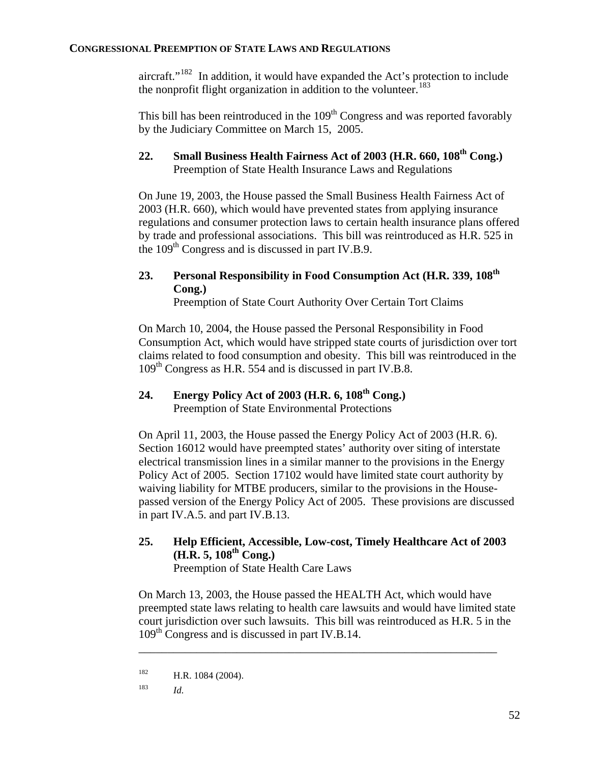aircraft."<sup>[182](#page-53-0)</sup> In addition, it would have expanded the Act's protection to include the nonprofit flight organization in addition to the volunteer.<sup>[183](#page-53-1)</sup>

This bill has been reintroduced in the  $109<sup>th</sup>$  Congress and was reported favorably by the Judiciary Committee on March 15, 2005.

## 22. Small Business Health Fairness Act of 2003 (H.R. 660, 108<sup>th</sup> Cong.) Preemption of State Health Insurance Laws and Regulations

On June 19, 2003, the House passed the Small Business Health Fairness Act of 2003 (H.R. 660), which would have prevented states from applying insurance regulations and consumer protection laws to certain health insurance plans offered by trade and professional associations. This bill was reintroduced as H.R. 525 in the  $109<sup>th</sup>$  Congress and is discussed in part IV.B.9.

## 23. Personal Responsibility in Food Consumption Act (H.R. 339, 108<sup>th</sup> **Cong.)**

Preemption of State Court Authority Over Certain Tort Claims

On March 10, 2004, the House passed the Personal Responsibility in Food Consumption Act, which would have stripped state courts of jurisdiction over tort claims related to food consumption and obesity. This bill was reintroduced in the  $109<sup>th</sup>$  Congress as H.R. 554 and is discussed in part IV.B.8.

## **24. Energy Policy Act of 2003 (H.R. 6, 108th Cong.)**  Preemption of State Environmental Protections

On April 11, 2003, the House passed the Energy Policy Act of 2003 (H.R. 6). Section 16012 would have preempted states' authority over siting of interstate electrical transmission lines in a similar manner to the provisions in the Energy Policy Act of 2005. Section 17102 would have limited state court authority by waiving liability for MTBE producers, similar to the provisions in the Housepassed version of the Energy Policy Act of 2005. These provisions are discussed in part IV.A.5. and part IV.B.13.

## **25. Help Efficient, Accessible, Low-cost, Timely Healthcare Act of 2003 (H.R. 5, 108th Cong.)**

Preemption of State Health Care Laws

On March 13, 2003, the House passed the HEALTH Act, which would have preempted state laws relating to health care lawsuits and would have limited state court jurisdiction over such lawsuits. This bill was reintroduced as H.R. 5 in the  $109<sup>th</sup>$  Congress and is discussed in part IV.B.14.

<span id="page-53-1"></span><span id="page-53-0"></span> $^{182}$  H.R. 1084 (2004).

<sup>183</sup> *Id*.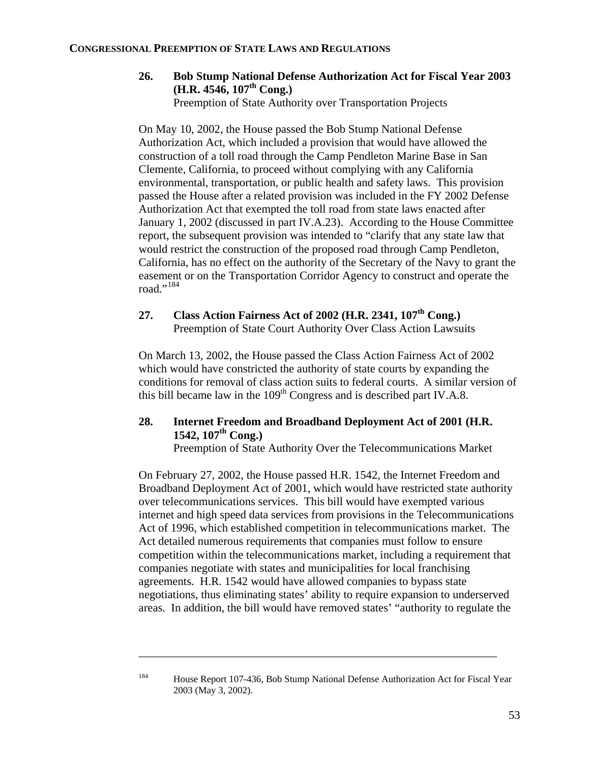**26. Bob Stump National Defense Authorization Act for Fiscal Year 2003 (H.R. 4546, 107th Cong.)** 

Preemption of State Authority over Transportation Projects

On May 10, 2002, the House passed the Bob Stump National Defense Authorization Act, which included a provision that would have allowed the construction of a toll road through the Camp Pendleton Marine Base in San Clemente, California, to proceed without complying with any California environmental, transportation, or public health and safety laws. This provision passed the House after a related provision was included in the FY 2002 Defense Authorization Act that exempted the toll road from state laws enacted after January 1, 2002 (discussed in part IV.A.23). According to the House Committee report, the subsequent provision was intended to "clarify that any state law that would restrict the construction of the proposed road through Camp Pendleton, California, has no effect on the authority of the Secretary of the Navy to grant the easement or on the Transportation Corridor Agency to construct and operate the road."[184](#page-54-0)

## **27. Class Action Fairness Act of 2002 (H.R. 2341, 107th Cong.)**  Preemption of State Court Authority Over Class Action Lawsuits

On March 13, 2002, the House passed the Class Action Fairness Act of 2002 which would have constricted the authority of state courts by expanding the conditions for removal of class action suits to federal courts. A similar version of this bill became law in the  $109<sup>th</sup>$  Congress and is described part IV.A.8.

## **28. Internet Freedom and Broadband Deployment Act of 2001 (H.R. 1542, 107th Cong.)**

Preemption of State Authority Over the Telecommunications Market

On February 27, 2002, the House passed H.R. 1542, the Internet Freedom and Broadband Deployment Act of 2001, which would have restricted state authority over telecommunications services. This bill would have exempted various internet and high speed data services from provisions in the Telecommunications Act of 1996, which established competition in telecommunications market. The Act detailed numerous requirements that companies must follow to ensure competition within the telecommunications market, including a requirement that companies negotiate with states and municipalities for local franchising agreements. H.R. 1542 would have allowed companies to bypass state negotiations, thus eliminating states' ability to require expansion to underserved areas. In addition, the bill would have removed states' "authority to regulate the

<span id="page-54-0"></span><sup>&</sup>lt;sup>184</sup> House Report 107-436, Bob Stump National Defense Authorization Act for Fiscal Year 2003 (May 3, 2002).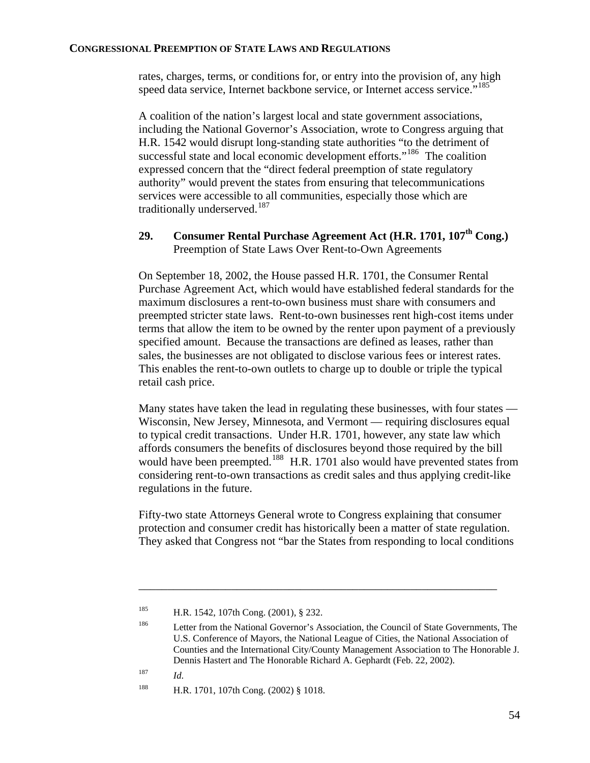rates, charges, terms, or conditions for, or entry into the provision of, any high speed data service, Internet backbone service, or Internet access service."<sup>[185](#page-55-0)</sup>

A coalition of the nation's largest local and state government associations, including the National Governor's Association, wrote to Congress arguing that H.R. 1542 would disrupt long-standing state authorities "to the detriment of successful state and local economic development efforts."<sup>[186](#page-55-1)</sup> The coalition expressed concern that the "direct federal preemption of state regulatory authority" would prevent the states from ensuring that telecommunications services were accessible to all communities, especially those which are traditionally underserved.<sup>[187](#page-55-2)</sup>

## 29. Consumer Rental Purchase Agreement Act (H.R. 1701, 107<sup>th</sup> Cong.) Preemption of State Laws Over Rent-to-Own Agreements

On September 18, 2002, the House passed H.R. 1701, the Consumer Rental Purchase Agreement Act, which would have established federal standards for the maximum disclosures a rent-to-own business must share with consumers and preempted stricter state laws. Rent-to-own businesses rent high-cost items under terms that allow the item to be owned by the renter upon payment of a previously specified amount. Because the transactions are defined as leases, rather than sales, the businesses are not obligated to disclose various fees or interest rates. This enables the rent-to-own outlets to charge up to double or triple the typical retail cash price.

Many states have taken the lead in regulating these businesses, with four states — Wisconsin, New Jersey, Minnesota, and Vermont — requiring disclosures equal to typical credit transactions. Under H.R. 1701, however, any state law which affords consumers the benefits of disclosures beyond those required by the bill would have been preempted.<sup>[188](#page-55-3)</sup> H.R. 1701 also would have prevented states from considering rent-to-own transactions as credit sales and thus applying credit-like regulations in the future.

Fifty-two state Attorneys General wrote to Congress explaining that consumer protection and consumer credit has historically been a matter of state regulation. They asked that Congress not "bar the States from responding to local conditions

\_\_\_\_\_\_\_\_\_\_\_\_\_\_\_\_\_\_\_\_\_\_\_\_\_\_\_\_\_\_\_\_\_\_\_\_\_\_\_\_\_\_\_\_\_\_\_\_\_\_\_\_\_\_\_\_\_\_\_\_\_\_

<span id="page-55-1"></span><sup>186</sup> Letter from the National Governor's Association, the Council of State Governments, The U.S. Conference of Mayors, the National League of Cities, the National Association of Counties and the International City/County Management Association to The Honorable J. Dennis Hastert and The Honorable Richard A. Gephardt (Feb. 22, 2002).

<span id="page-55-2"></span>187 *Id*.

<span id="page-55-0"></span><sup>185</sup> H.R. 1542, 107th Cong. (2001), § 232.

<span id="page-55-3"></span><sup>188</sup> H.R. 1701, 107th Cong. (2002) § 1018.